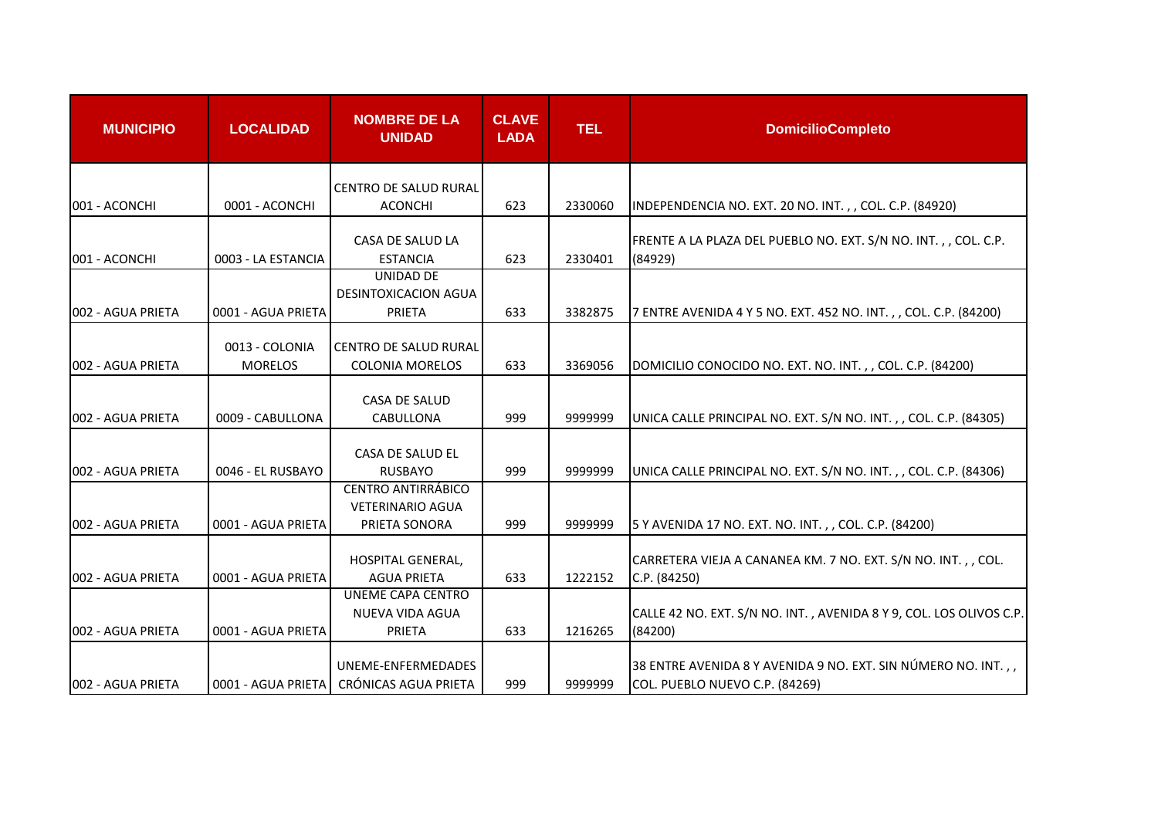| <b>MUNICIPIO</b>   | <b>LOCALIDAD</b>                 | <b>NOMBRE DE LA</b><br><b>UNIDAD</b>                                  | <b>CLAVE</b><br><b>LADA</b> | <b>TEL</b> | <b>DomicilioCompleto</b>                                                                        |
|--------------------|----------------------------------|-----------------------------------------------------------------------|-----------------------------|------------|-------------------------------------------------------------------------------------------------|
|                    |                                  | <b>CENTRO DE SALUD RURAL</b>                                          |                             |            |                                                                                                 |
| 001 - ACONCHI      | 0001 - ACONCHI                   | <b>ACONCHI</b>                                                        | 623                         | 2330060    | INDEPENDENCIA NO. EXT. 20 NO. INT.,, COL. C.P. (84920)                                          |
| 001 - ACONCHI      | 0003 - LA ESTANCIA               | CASA DE SALUD LA<br><b>ESTANCIA</b>                                   | 623                         | 2330401    | FRENTE A LA PLAZA DEL PUEBLO NO. EXT. S/N NO. INT. , , COL. C.P.<br>(84929)                     |
| 002 - AGUA PRIETA  | 0001 - AGUA PRIETA               | <b>UNIDAD DE</b><br>DESINTOXICACION AGUA<br>PRIETA                    | 633                         | 3382875    | 7 ENTRE AVENIDA 4 Y 5 NO. EXT. 452 NO. INT.,, COL. C.P. (84200)                                 |
|                    |                                  |                                                                       |                             |            |                                                                                                 |
| 1002 - AGUA PRIETA | 0013 - COLONIA<br><b>MORELOS</b> | <b>CENTRO DE SALUD RURAL</b><br><b>COLONIA MORELOS</b>                | 633                         | 3369056    | DOMICILIO CONOCIDO NO. EXT. NO. INT.,, COL. C.P. (84200)                                        |
| 002 - AGUA PRIETA  | 0009 - CABULLONA                 | CASA DE SALUD<br>CABULLONA                                            | 999                         | 9999999    | UNICA CALLE PRINCIPAL NO. EXT. S/N NO. INT.,, COL. C.P. (84305)                                 |
| 002 - AGUA PRIETA  | 0046 - EL RUSBAYO                | CASA DE SALUD EL<br><b>RUSBAYO</b>                                    | 999                         | 9999999    | UNICA CALLE PRINCIPAL NO. EXT. S/N NO. INT.,, COL. C.P. (84306)                                 |
| 1002 - AGUA PRIETA | 0001 - AGUA PRIETA               | <b>CENTRO ANTIRRÁBICO</b><br><b>VETERINARIO AGUA</b><br>PRIETA SONORA | 999                         | 9999999    | 5 Y AVENIDA 17 NO. EXT. NO. INT., , COL. C.P. (84200)                                           |
| 002 - AGUA PRIETA  | 0001 - AGUA PRIETA               | HOSPITAL GENERAL,<br><b>AGUA PRIETA</b>                               | 633                         | 1222152    | CARRETERA VIEJA A CANANEA KM. 7 NO. EXT. S/N NO. INT.,, COL.<br>C.P. (84250)                    |
| 002 - AGUA PRIETA  | 0001 - AGUA PRIETA               | UNEME CAPA CENTRO<br>NUEVA VIDA AGUA<br>PRIETA                        | 633                         | 1216265    | CALLE 42 NO. EXT. S/N NO. INT. , AVENIDA 8 Y 9, COL. LOS OLIVOS C.P.<br>(84200)                 |
| 002 - AGUA PRIETA  | 0001 - AGUA PRIETA               | UNEME-ENFERMEDADES<br><b>CRÓNICAS AGUA PRIETA</b>                     | 999                         | 9999999    | 38 ENTRE AVENIDA 8 Y AVENIDA 9 NO. EXT. SIN NÚMERO NO. INT.,,<br>COL. PUEBLO NUEVO C.P. (84269) |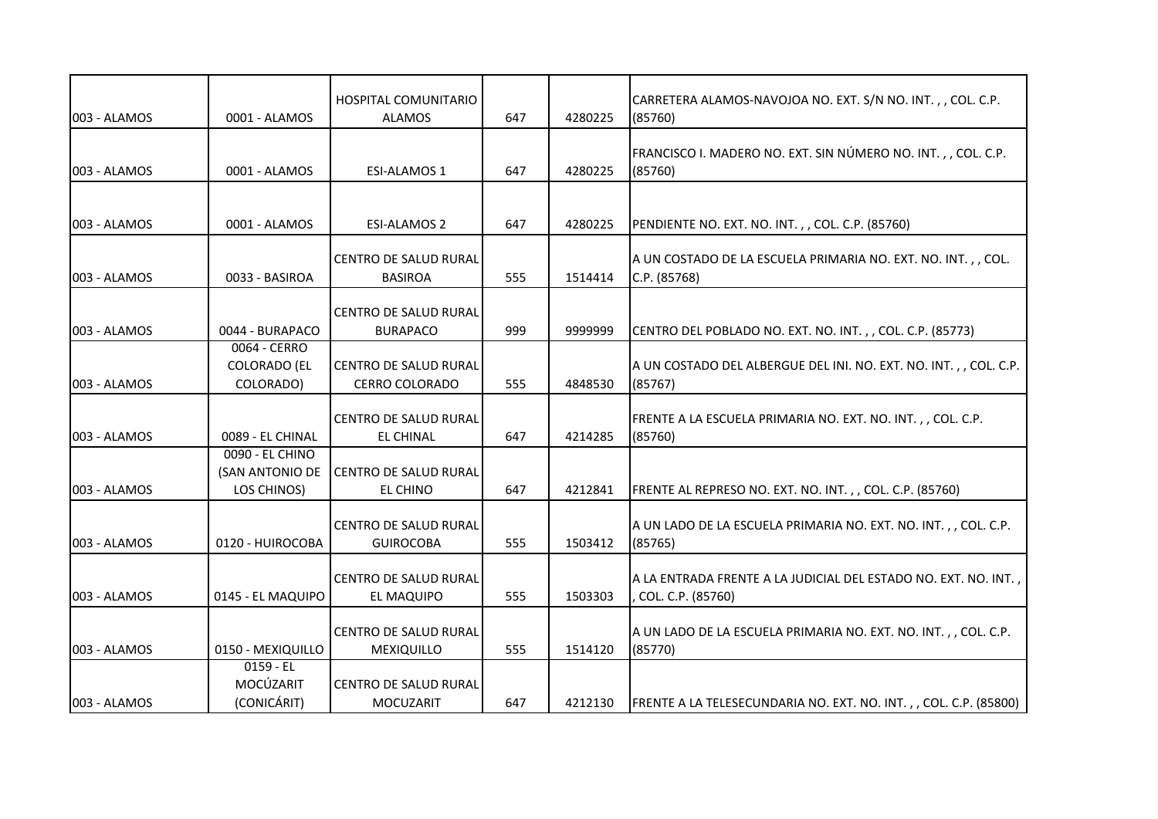| 003 - ALAMOS | 0001 - ALAMOS                                     | HOSPITAL COMUNITARIO<br><b>ALAMOS</b>            | 647 | 4280225 | CARRETERA ALAMOS-NAVOJOA NO. EXT. S/N NO. INT.,, COL. C.P.<br>(85760)                |
|--------------|---------------------------------------------------|--------------------------------------------------|-----|---------|--------------------------------------------------------------------------------------|
| 003 - ALAMOS | 0001 - ALAMOS                                     | <b>ESI-ALAMOS 1</b>                              | 647 | 4280225 | FRANCISCO I. MADERO NO. EXT. SIN NÚMERO NO. INT.,, COL. C.P.<br>(85760)              |
|              |                                                   |                                                  |     |         |                                                                                      |
| 003 - ALAMOS | 0001 - ALAMOS                                     | <b>ESI-ALAMOS 2</b>                              | 647 | 4280225 | PENDIENTE NO. EXT. NO. INT., , COL. C.P. (85760)                                     |
| 003 - ALAMOS | 0033 - BASIROA                                    | <b>CENTRO DE SALUD RURAL</b><br><b>BASIROA</b>   | 555 | 1514414 | A UN COSTADO DE LA ESCUELA PRIMARIA NO. EXT. NO. INT.,, COL.<br>C.P. (85768)         |
| 003 - ALAMOS | 0044 - BURAPACO                                   | CENTRO DE SALUD RURAL<br><b>BURAPACO</b>         | 999 | 9999999 | CENTRO DEL POBLADO NO. EXT. NO. INT.,, COL. C.P. (85773)                             |
| 003 - ALAMOS | 0064 - CERRO<br><b>COLORADO (EL</b><br>COLORADO)  | CENTRO DE SALUD RURAL<br><b>CERRO COLORADO</b>   | 555 | 4848530 | A UN COSTADO DEL ALBERGUE DEL INI. NO. EXT. NO. INT.,, COL. C.P.<br>(85767)          |
| 003 - ALAMOS | 0089 - EL CHINAL                                  | <b>CENTRO DE SALUD RURAL</b><br>EL CHINAL        | 647 | 4214285 | FRENTE A LA ESCUELA PRIMARIA NO. EXT. NO. INT.,, COL. C.P.<br>(85760)                |
| 003 - ALAMOS | 0090 - EL CHINO<br>(SAN ANTONIO DE<br>LOS CHINOS) | CENTRO DE SALUD RURAL<br>EL CHINO                | 647 | 4212841 | FRENTE AL REPRESO NO. EXT. NO. INT.,, COL. C.P. (85760)                              |
| 003 - ALAMOS | 0120 - HUIROCOBA                                  | <b>CENTRO DE SALUD RURAL</b><br><b>GUIROCOBA</b> | 555 | 1503412 | A UN LADO DE LA ESCUELA PRIMARIA NO. EXT. NO. INT. , , COL. C.P.<br>(85765)          |
| 003 - ALAMOS | 0145 - EL MAQUIPO                                 | CENTRO DE SALUD RURAL<br>EL MAQUIPO              | 555 | 1503303 | A LA ENTRADA FRENTE A LA JUDICIAL DEL ESTADO NO. EXT. NO. INT.,<br>COL. C.P. (85760) |
| 003 - ALAMOS | 0150 - MEXIQUILLO                                 | CENTRO DE SALUD RURAL<br>MEXIQUILLO              | 555 | 1514120 | A UN LADO DE LA ESCUELA PRIMARIA NO. EXT. NO. INT.,, COL. C.P.<br>(85770)            |
| 003 - ALAMOS | $0159 - EL$<br>MOCÚZARIT<br>(CONICÁRIT)           | CENTRO DE SALUD RURAL<br><b>MOCUZARIT</b>        | 647 | 4212130 | FRENTE A LA TELESECUNDARIA NO. EXT. NO. INT.,, COL. C.P. (85800)                     |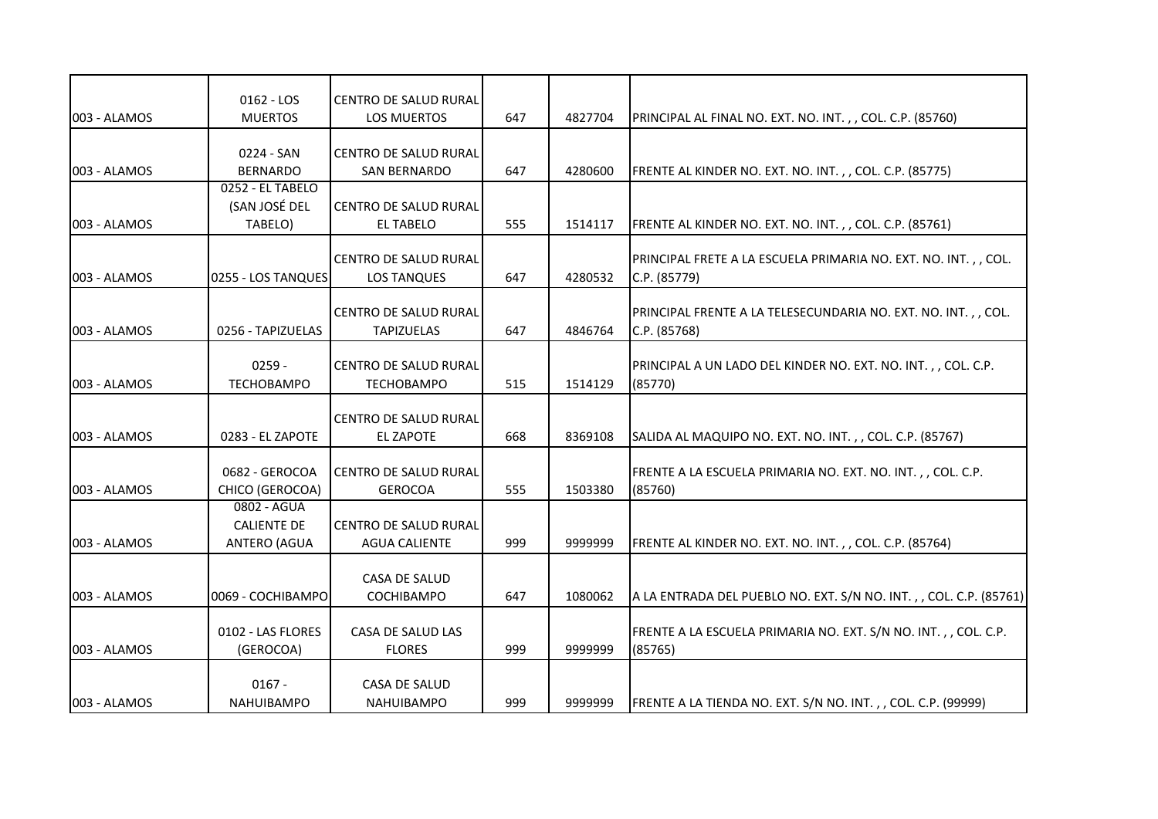|               | 0162 - LOS                                               | <b>CENTRO DE SALUD RURAL</b>                         |     |         |                                                                                  |
|---------------|----------------------------------------------------------|------------------------------------------------------|-----|---------|----------------------------------------------------------------------------------|
| 003 - ALAMOS  | <b>MUERTOS</b>                                           | <b>LOS MUERTOS</b>                                   | 647 | 4827704 | PRINCIPAL AL FINAL NO. EXT. NO. INT.,, COL. C.P. (85760)                         |
| 003 - ALAMOS  | 0224 - SAN<br><b>BERNARDO</b>                            | <b>CENTRO DE SALUD RURAL</b><br><b>SAN BERNARDO</b>  | 647 | 4280600 | FRENTE AL KINDER NO. EXT. NO. INT.,, COL. C.P. (85775)                           |
| 003 - ALAMOS  | 0252 - EL TABELO<br>(SAN JOSÉ DEL<br>TABELO)             | CENTRO DE SALUD RURAL<br><b>EL TABELO</b>            | 555 | 1514117 | FRENTE AL KINDER NO. EXT. NO. INT.,, COL. C.P. (85761)                           |
| 003 - ALAMOS  | 0255 - LOS TANQUES                                       | <b>CENTRO DE SALUD RURAL</b><br><b>LOS TANQUES</b>   | 647 | 4280532 | PRINCIPAL FRETE A LA ESCUELA PRIMARIA NO. EXT. NO. INT. , , COL.<br>C.P. (85779) |
| 003 - ALAMOS  | 0256 - TAPIZUELAS                                        | CENTRO DE SALUD RURAL<br><b>TAPIZUELAS</b>           | 647 | 4846764 | PRINCIPAL FRENTE A LA TELESECUNDARIA NO. EXT. NO. INT.,, COL.<br>C.P. (85768)    |
| 003 - ALAMOS  | $0259 -$<br><b>TECHOBAMPO</b>                            | CENTRO DE SALUD RURAL<br><b>TECHOBAMPO</b>           | 515 | 1514129 | PRINCIPAL A UN LADO DEL KINDER NO. EXT. NO. INT.,, COL. C.P.<br>(85770)          |
| 003 - ALAMOS  | 0283 - EL ZAPOTE                                         | CENTRO DE SALUD RURAL<br><b>EL ZAPOTE</b>            | 668 | 8369108 | SALIDA AL MAQUIPO NO. EXT. NO. INT.,, COL. C.P. (85767)                          |
| 003 - ALAMOS  | 0682 - GEROCOA<br>CHICO (GEROCOA)                        | CENTRO DE SALUD RURAL<br><b>GEROCOA</b>              | 555 | 1503380 | FRENTE A LA ESCUELA PRIMARIA NO. EXT. NO. INT.,, COL. C.P.<br>(85760)            |
| 003 - ALAMOS  | 0802 - AGUA<br><b>CALIENTE DE</b><br><b>ANTERO (AGUA</b> | <b>CENTRO DE SALUD RURAL</b><br><b>AGUA CALIENTE</b> | 999 | 9999999 | FRENTE AL KINDER NO. EXT. NO. INT.,, COL. C.P. (85764)                           |
| 003 - ALAMOS  | 0069 - COCHIBAMPO                                        | CASA DE SALUD<br>COCHIBAMPO                          | 647 | 1080062 | A LA ENTRADA DEL PUEBLO NO. EXT. S/N NO. INT. , , COL. C.P. (85761)              |
| 003 - ALAMOS  | 0102 - LAS FLORES<br>(GEROCOA)                           | CASA DE SALUD LAS<br><b>FLORES</b>                   | 999 | 9999999 | FRENTE A LA ESCUELA PRIMARIA NO. EXT. S/N NO. INT. , , COL. C.P.<br>(85765)      |
| 1003 - ALAMOS | $0167 -$<br>NAHUIBAMPO                                   | CASA DE SALUD<br><b>NAHUIBAMPO</b>                   | 999 | 9999999 | FRENTE A LA TIENDA NO. EXT. S/N NO. INT.,, COL. C.P. (99999)                     |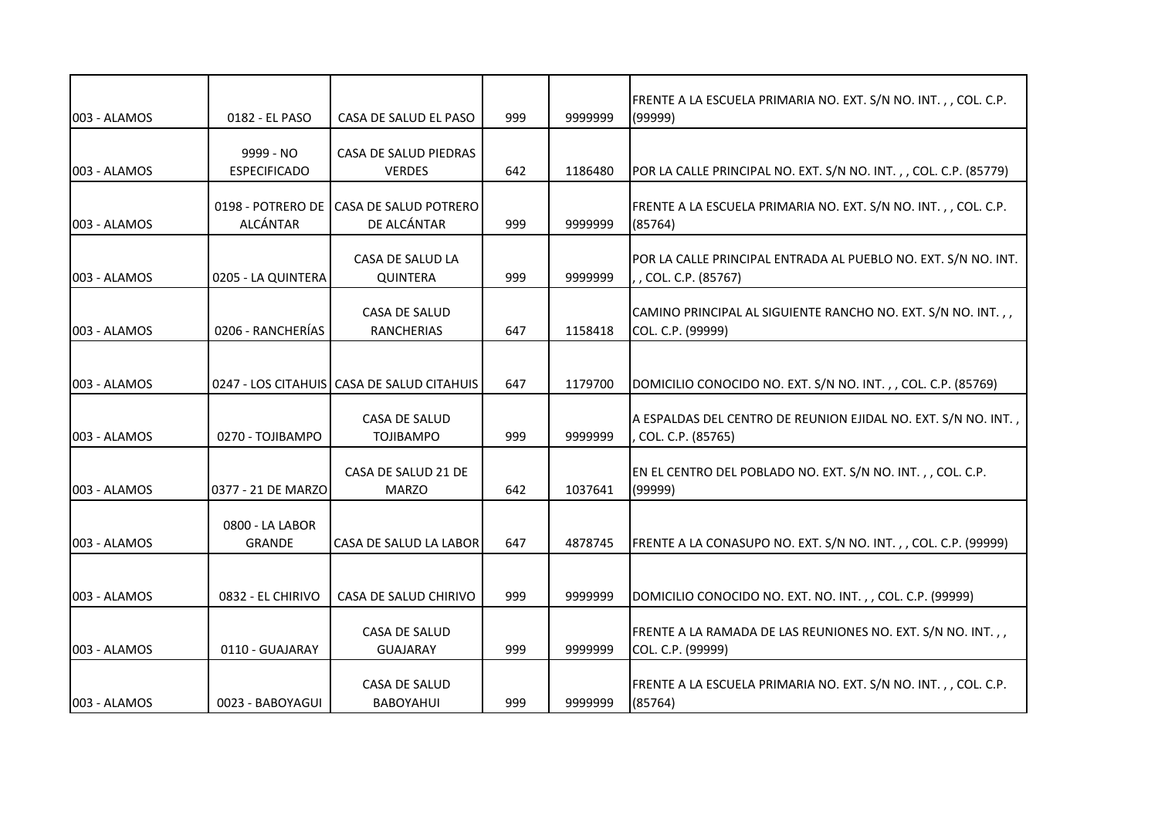| 003 - ALAMOS  | 0182 - EL PASO                       | CASA DE SALUD EL PASO                        | 999 | 9999999 | FRENTE A LA ESCUELA PRIMARIA NO. EXT. S/N NO. INT.,, COL. C.P.<br>(99999)               |
|---------------|--------------------------------------|----------------------------------------------|-----|---------|-----------------------------------------------------------------------------------------|
| 003 - ALAMOS  | 9999 - NO<br><b>ESPECIFICADO</b>     | CASA DE SALUD PIEDRAS<br><b>VERDES</b>       | 642 | 1186480 | POR LA CALLE PRINCIPAL NO. EXT. S/N NO. INT.,, COL. C.P. (85779)                        |
| 003 - ALAMOS  | 0198 - POTRERO DE<br><b>ALCÁNTAR</b> | CASA DE SALUD POTRERO<br>DE ALCÁNTAR         | 999 | 9999999 | FRENTE A LA ESCUELA PRIMARIA NO. EXT. S/N NO. INT.,, COL. C.P.<br>(85764)               |
| 003 - ALAMOS  | 0205 - LA QUINTERA                   | CASA DE SALUD LA<br><b>QUINTERA</b>          | 999 | 9999999 | POR LA CALLE PRINCIPAL ENTRADA AL PUEBLO NO. EXT. S/N NO. INT.<br>, , COL. C.P. (85767) |
| 003 - ALAMOS  | 0206 - RANCHERÍAS                    | CASA DE SALUD<br><b>RANCHERIAS</b>           | 647 | 1158418 | CAMINO PRINCIPAL AL SIGUIENTE RANCHO NO. EXT. S/N NO. INT.,,<br>COL. C.P. (99999)       |
| 003 - ALAMOS  |                                      | 0247 - LOS CITAHUIS I CASA DE SALUD CITAHUIS | 647 | 1179700 | DOMICILIO CONOCIDO NO. EXT. S/N NO. INT.,, COL. C.P. (85769)                            |
| 003 - ALAMOS  | 0270 - TOJIBAMPO                     | <b>CASA DE SALUD</b><br><b>TOJIBAMPO</b>     | 999 | 9999999 | A ESPALDAS DEL CENTRO DE REUNION EJIDAL NO. EXT. S/N NO. INT.,<br>COL. C.P. (85765)     |
| 003 - ALAMOS  | 0377 - 21 DE MARZO                   | CASA DE SALUD 21 DE<br><b>MARZO</b>          | 642 | 1037641 | EN EL CENTRO DEL POBLADO NO. EXT. S/N NO. INT. , , COL. C.P.<br>(99999)                 |
| 003 - ALAMOS  | 0800 - LA LABOR<br><b>GRANDE</b>     | CASA DE SALUD LA LABOR                       | 647 | 4878745 | FRENTE A LA CONASUPO NO. EXT. S/N NO. INT. , , COL. C.P. (99999)                        |
| l003 - ALAMOS | 0832 - EL CHIRIVO                    | CASA DE SALUD CHIRIVO                        | 999 | 9999999 | DOMICILIO CONOCIDO NO. EXT. NO. INT.,, COL. C.P. (99999)                                |
| 003 - ALAMOS  | 0110 - GUAJARAY                      | CASA DE SALUD<br><b>GUAJARAY</b>             | 999 | 9999999 | FRENTE A LA RAMADA DE LAS REUNIONES NO. EXT. S/N NO. INT.,,<br>COL. C.P. (99999)        |
| 003 - ALAMOS  | 0023 - BABOYAGUI                     | CASA DE SALUD<br><b>BABOYAHUI</b>            | 999 | 9999999 | FRENTE A LA ESCUELA PRIMARIA NO. EXT. S/N NO. INT., , COL. C.P.<br>(85764)              |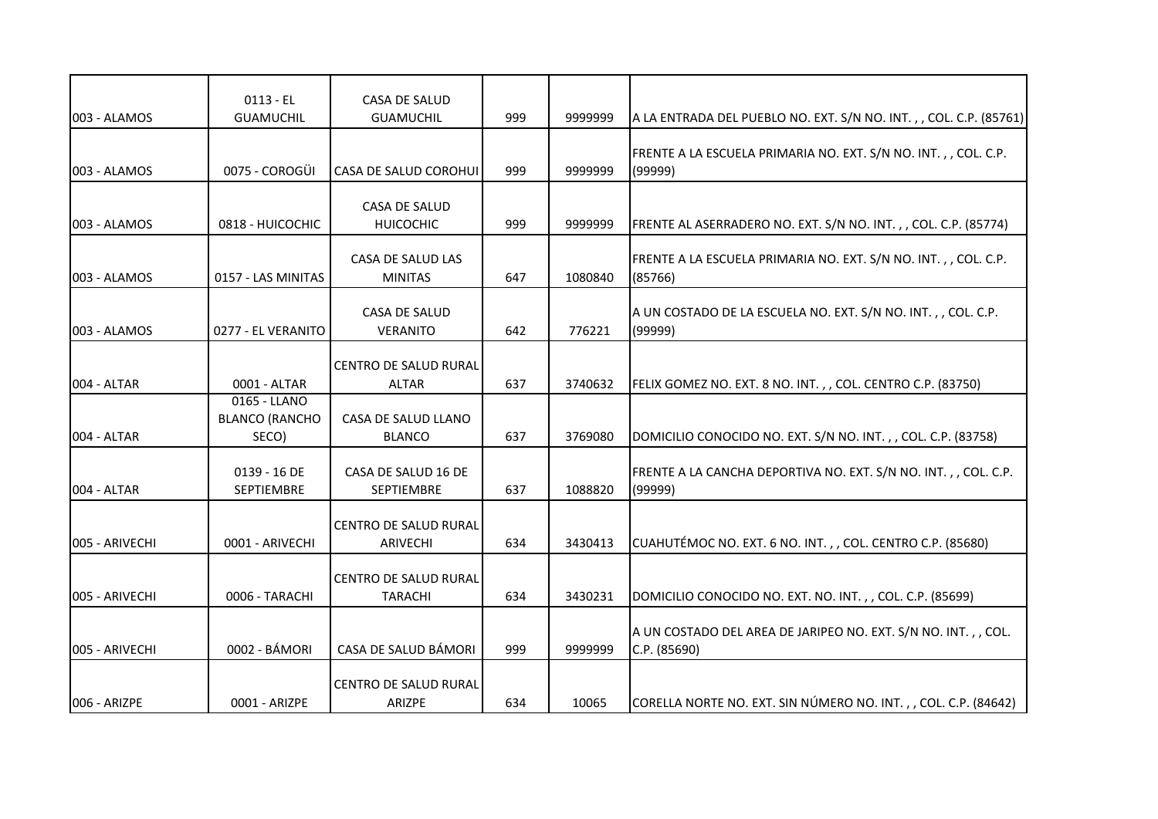|                | $0113 - EL$<br><b>GUAMUCHIL</b>                | CASA DE SALUD                           |     | 9999999 |                                                                               |
|----------------|------------------------------------------------|-----------------------------------------|-----|---------|-------------------------------------------------------------------------------|
| 003 - ALAMOS   |                                                | <b>GUAMUCHIL</b>                        | 999 |         | A LA ENTRADA DEL PUEBLO NO. EXT. S/N NO. INT.,, COL. C.P. (85761)             |
| 003 - ALAMOS   | 0075 - COROGÜI                                 | <b>CASA DE SALUD COROHUI</b>            | 999 | 9999999 | FRENTE A LA ESCUELA PRIMARIA NO. EXT. S/N NO. INT.,, COL. C.P.<br>(99999)     |
| 003 - ALAMOS   | 0818 - HUICOCHIC                               | CASA DE SALUD<br><b>HUICOCHIC</b>       | 999 | 9999999 | FRENTE AL ASERRADERO NO. EXT. S/N NO. INT.,, COL. C.P. (85774)                |
| 003 - ALAMOS   | 0157 - LAS MINITAS                             | CASA DE SALUD LAS<br><b>MINITAS</b>     | 647 | 1080840 | FRENTE A LA ESCUELA PRIMARIA NO. EXT. S/N NO. INT.,, COL. C.P.<br>(85766)     |
| 003 - ALAMOS   | 0277 - EL VERANITO                             | CASA DE SALUD<br><b>VERANITO</b>        | 642 | 776221  | A UN COSTADO DE LA ESCUELA NO. EXT. S/N NO. INT.,, COL. C.P.<br>(99999)       |
| 004 - ALTAR    | 0001 - ALTAR                                   | CENTRO DE SALUD RURAL<br><b>ALTAR</b>   | 637 | 3740632 | FELIX GOMEZ NO. EXT. 8 NO. INT.,, COL. CENTRO C.P. (83750)                    |
| 004 - ALTAR    | 0165 - LLANO<br><b>BLANCO (RANCHO</b><br>SECO) | CASA DE SALUD LLANO<br><b>BLANCO</b>    | 637 | 3769080 | DOMICILIO CONOCIDO NO. EXT. S/N NO. INT., , COL. C.P. (83758)                 |
| 004 - ALTAR    | 0139 - 16 DE<br>SEPTIEMBRE                     | CASA DE SALUD 16 DE<br>SEPTIEMBRE       | 637 | 1088820 | FRENTE A LA CANCHA DEPORTIVA NO. EXT. S/N NO. INT., , COL. C.P.<br>(99999)    |
| 005 - ARIVECHI | 0001 - ARIVECHI                                | CENTRO DE SALUD RURAL<br>ARIVECHI       | 634 | 3430413 | CUAHUTÉMOC NO. EXT. 6 NO. INT.,, COL. CENTRO C.P. (85680)                     |
| 005 - ARIVECHI | 0006 - TARACHI                                 | CENTRO DE SALUD RURAL<br><b>TARACHI</b> | 634 | 3430231 | DOMICILIO CONOCIDO NO. EXT. NO. INT.,, COL. C.P. (85699)                      |
| 005 - ARIVECHI | 0002 - BÁMORI                                  | CASA DE SALUD BÁMORI                    | 999 | 9999999 | A UN COSTADO DEL AREA DE JARIPEO NO. EXT. S/N NO. INT.,, COL.<br>C.P. (85690) |
| 006 - ARIZPE   | 0001 - ARIZPE                                  | CENTRO DE SALUD RURAL<br>ARIZPE         | 634 | 10065   | CORELLA NORTE NO. EXT. SIN NÚMERO NO. INT., COL. C.P. (84642)                 |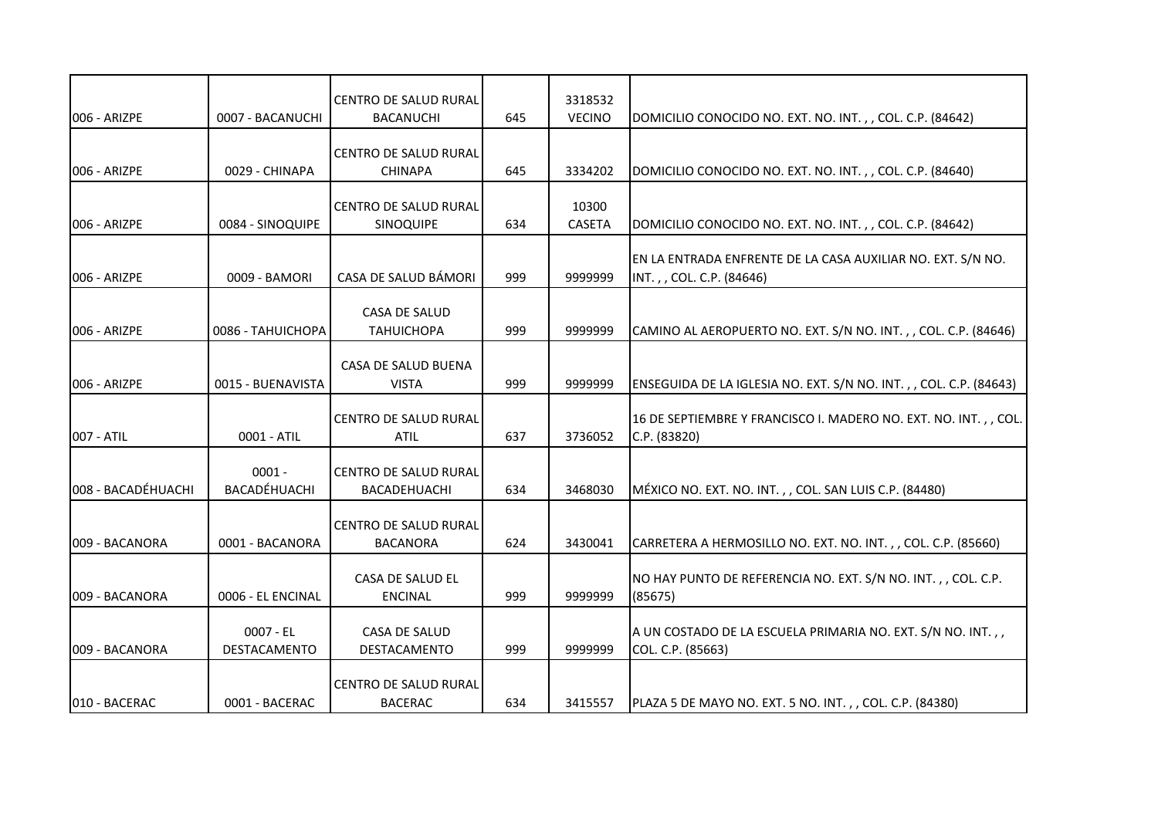|                    |                   | CENTRO DE SALUD RURAL              |     | 3318532       |                                                                         |
|--------------------|-------------------|------------------------------------|-----|---------------|-------------------------------------------------------------------------|
| 006 - ARIZPE       | 0007 - BACANUCHI  | <b>BACANUCHI</b>                   | 645 | <b>VECINO</b> | DOMICILIO CONOCIDO NO. EXT. NO. INT.,, COL. C.P. (84642)                |
|                    |                   |                                    |     |               |                                                                         |
|                    |                   | CENTRO DE SALUD RURAL              |     |               |                                                                         |
| 006 - ARIZPE       | 0029 - CHINAPA    | <b>CHINAPA</b>                     | 645 | 3334202       | DOMICILIO CONOCIDO NO. EXT. NO. INT.,, COL. C.P. (84640)                |
|                    |                   |                                    |     | 10300         |                                                                         |
| 006 - ARIZPE       | 0084 - SINOQUIPE  | CENTRO DE SALUD RURAL<br>SINOQUIPE | 634 | <b>CASETA</b> | DOMICILIO CONOCIDO NO. EXT. NO. INT.,, COL. C.P. (84642)                |
|                    |                   |                                    |     |               |                                                                         |
|                    |                   |                                    |     |               | EN LA ENTRADA ENFRENTE DE LA CASA AUXILIAR NO. EXT. S/N NO.             |
| 006 - ARIZPE       | 0009 - BAMORI     | CASA DE SALUD BÁMORI               | 999 | 9999999       | INT.,, COL. C.P. (84646)                                                |
|                    |                   |                                    |     |               |                                                                         |
|                    |                   | CASA DE SALUD                      |     |               |                                                                         |
| 006 - ARIZPE       | 0086 - TAHUICHOPA | <b>TAHUICHOPA</b>                  | 999 | 9999999       | CAMINO AL AEROPUERTO NO. EXT. S/N NO. INT.,, COL. C.P. (84646)          |
|                    |                   |                                    |     |               |                                                                         |
|                    |                   | CASA DE SALUD BUENA                |     |               |                                                                         |
| 006 - ARIZPE       | 0015 - BUENAVISTA | <b>VISTA</b>                       | 999 | 9999999       | ENSEGUIDA DE LA IGLESIA NO. EXT. S/N NO. INT.,, COL. C.P. (84643)       |
|                    |                   | CENTRO DE SALUD RURAL              |     |               | 16 DE SEPTIEMBRE Y FRANCISCO I. MADERO NO. EXT. NO. INT., COL.          |
| 007 - ATIL         | 0001 - ATIL       | <b>ATIL</b>                        | 637 | 3736052       | C.P. (83820)                                                            |
|                    |                   |                                    |     |               |                                                                         |
|                    | $0001 -$          | CENTRO DE SALUD RURAL              |     |               |                                                                         |
| 008 - BACADÉHUACHI | BACADÉHUACHI      | <b>BACADEHUACHI</b>                | 634 | 3468030       | MÉXICO NO. EXT. NO. INT.,, COL. SAN LUIS C.P. (84480)                   |
|                    |                   |                                    |     |               |                                                                         |
|                    |                   | CENTRO DE SALUD RURAL              |     |               |                                                                         |
| 009 - BACANORA     | 0001 - BACANORA   | <b>BACANORA</b>                    | 624 | 3430041       | CARRETERA A HERMOSILLO NO. EXT. NO. INT.,, COL. C.P. (85660)            |
|                    |                   | CASA DE SALUD EL                   |     |               |                                                                         |
| 1009 - BACANORA    | 0006 - EL ENCINAL | <b>ENCINAL</b>                     | 999 | 9999999       | NO HAY PUNTO DE REFERENCIA NO. EXT. S/N NO. INT.,, COL. C.P.<br>(85675) |
|                    |                   |                                    |     |               |                                                                         |
|                    | 0007 - EL         | <b>CASA DE SALUD</b>               |     |               | A UN COSTADO DE LA ESCUELA PRIMARIA NO. EXT. S/N NO. INT.,,             |
| 1009 - BACANORA    | DESTACAMENTO      | DESTACAMENTO                       | 999 | 9999999       | COL. C.P. (85663)                                                       |
|                    |                   |                                    |     |               |                                                                         |
|                    |                   | CENTRO DE SALUD RURAL              |     |               |                                                                         |
| 010 - BACERAC      | 0001 - BACERAC    | <b>BACERAC</b>                     | 634 | 3415557       | PLAZA 5 DE MAYO NO. EXT. 5 NO. INT.,, COL. C.P. (84380)                 |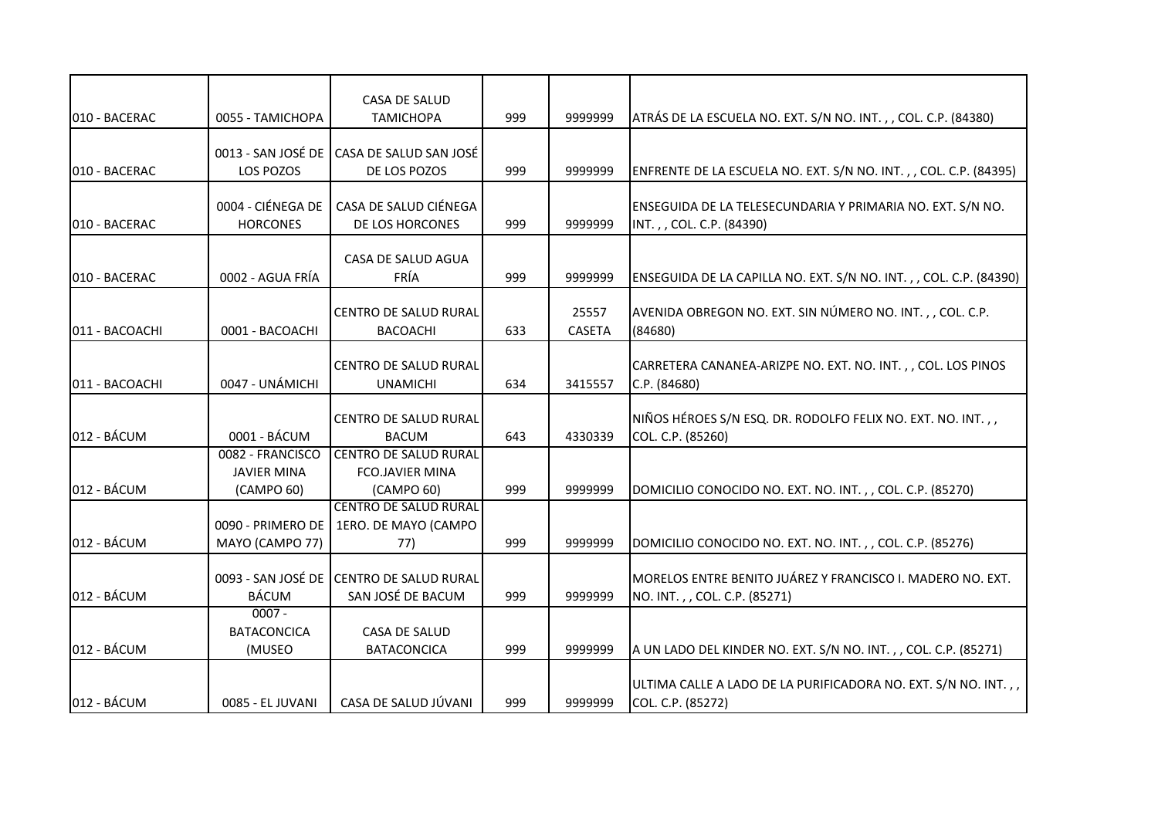| 010 - BACERAC  | 0055 - TAMICHOPA                                     | CASA DE SALUD<br><b>TAMICHOPA</b>                                    | 999 | 9999999                | ATRÁS DE LA ESCUELA NO. EXT. S/N NO. INT.,, COL. C.P. (84380)                              |
|----------------|------------------------------------------------------|----------------------------------------------------------------------|-----|------------------------|--------------------------------------------------------------------------------------------|
| 010 - BACERAC  | 0013 - SAN JOSÉ DE<br>LOS POZOS                      | CASA DE SALUD SAN JOSÉ<br>DE LOS POZOS                               | 999 | 9999999                | ENFRENTE DE LA ESCUELA NO. EXT. S/N NO. INT.,, COL. C.P. (84395)                           |
| 010 - BACERAC  | 0004 - CIÉNEGA DE<br><b>HORCONES</b>                 | CASA DE SALUD CIÉNEGA<br>DE LOS HORCONES                             | 999 | 9999999                | ENSEGUIDA DE LA TELESECUNDARIA Y PRIMARIA NO. EXT. S/N NO.<br>INT.,, COL. C.P. (84390)     |
| 010 - BACERAC  | 0002 - AGUA FRÍA                                     | CASA DE SALUD AGUA<br>FRÍA                                           | 999 | 9999999                | ENSEGUIDA DE LA CAPILLA NO. EXT. S/N NO. INT.,, COL. C.P. (84390)                          |
| 011 - BACOACHI | 0001 - BACOACHI                                      | CENTRO DE SALUD RURAL<br><b>BACOACHI</b>                             | 633 | 25557<br><b>CASETA</b> | AVENIDA OBREGON NO. EXT. SIN NÚMERO NO. INT.,, COL. C.P.<br>(84680)                        |
| 011 - BACOACHI | 0047 - UNÁMICHI                                      | CENTRO DE SALUD RURAL<br><b>UNAMICHI</b>                             | 634 | 3415557                | CARRETERA CANANEA-ARIZPE NO. EXT. NO. INT.,, COL. LOS PINOS<br>C.P. (84680)                |
| 012 - BÁCUM    | 0001 - BÁCUM                                         | CENTRO DE SALUD RURAL<br><b>BACUM</b>                                | 643 | 4330339                | NIÑOS HÉROES S/N ESQ. DR. RODOLFO FELIX NO. EXT. NO. INT.,,<br>COL. C.P. (85260)           |
| 012 - BÁCUM    | 0082 - FRANCISCO<br><b>JAVIER MINA</b><br>(CAMPO 60) | <b>CENTRO DE SALUD RURAL</b><br><b>FCO.JAVIER MINA</b><br>(CAMPO 60) | 999 | 9999999                | DOMICILIO CONOCIDO NO. EXT. NO. INT.,, COL. C.P. (85270)                                   |
| 012 - BÁCUM    | 0090 - PRIMERO DE<br>MAYO (CAMPO 77)                 | <b>CENTRO DE SALUD RURAL</b><br>1ERO. DE MAYO (CAMPO<br>77)          | 999 | 9999999                | DOMICILIO CONOCIDO NO. EXT. NO. INT., , COL. C.P. (85276)                                  |
| 012 - BÁCUM    | 0093 - SAN JOSÉ DE<br><b>BÁCUM</b>                   | CENTRO DE SALUD RURAL<br>SAN JOSÉ DE BACUM                           | 999 | 9999999                | MORELOS ENTRE BENITO JUÁREZ Y FRANCISCO I. MADERO NO. EXT.<br>NO. INT.,, COL. C.P. (85271) |
| 012 - BÁCUM    | $0007 -$<br><b>BATACONCICA</b><br>(MUSEO             | <b>CASA DE SALUD</b><br><b>BATACONCICA</b>                           | 999 | 9999999                | A UN LADO DEL KINDER NO. EXT. S/N NO. INT.,, COL. C.P. (85271)                             |
| 012 - BÁCUM    | 0085 - EL JUVANI                                     | CASA DE SALUD JÚVANI                                                 | 999 | 9999999                | ULTIMA CALLE A LADO DE LA PURIFICADORA NO. EXT. S/N NO. INT.,,<br>COL. C.P. (85272)        |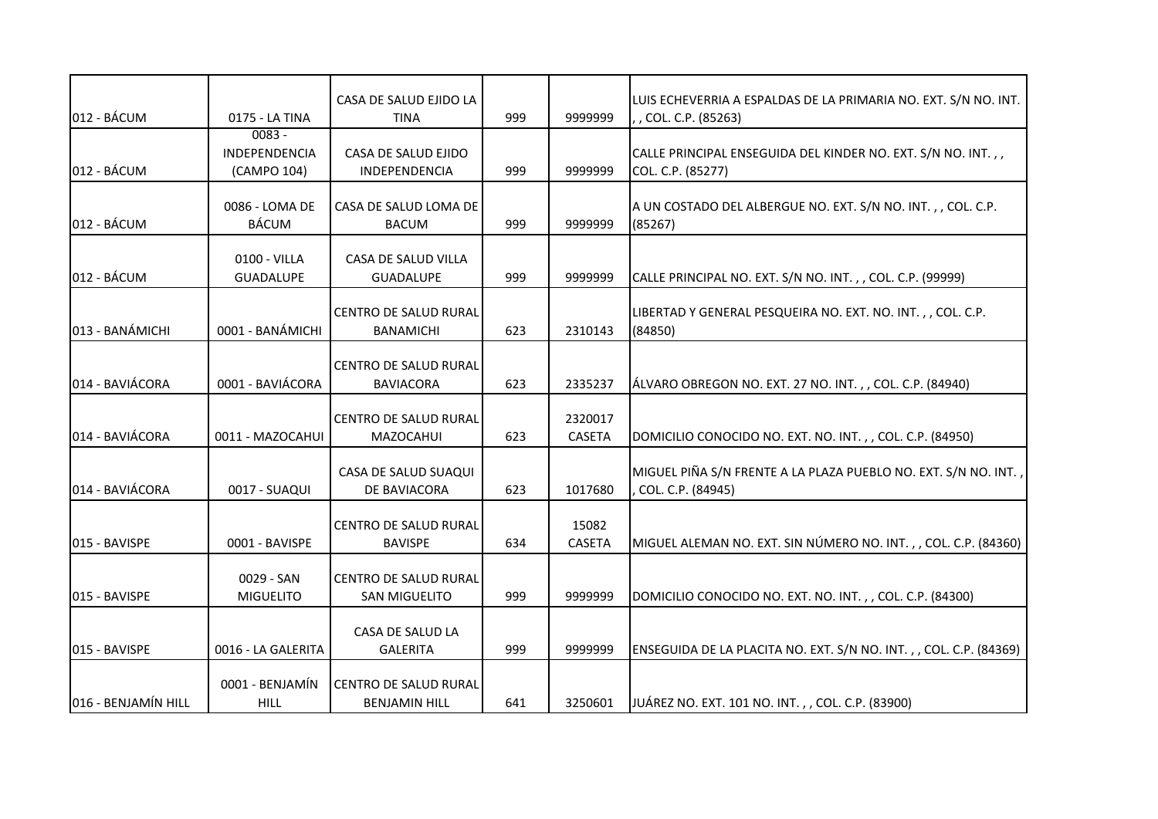| 012 - BÁCUM         | 0175 - LA TINA                           | CASA DE SALUD EJIDO LA<br><b>TINA</b>            | 999 | 9999999                  | LUIS ECHEVERRIA A ESPALDAS DE LA PRIMARIA NO. EXT. S/N NO. INT.<br>,, COL. C.P. (85263) |
|---------------------|------------------------------------------|--------------------------------------------------|-----|--------------------------|-----------------------------------------------------------------------------------------|
| 012 - BÁCUM         | $0083 -$<br>INDEPENDENCIA<br>(CAMPO 104) | CASA DE SALUD EJIDO<br>INDEPENDENCIA             | 999 | 9999999                  | CALLE PRINCIPAL ENSEGUIDA DEL KINDER NO. EXT. S/N NO. INT.,,<br>COL. C.P. (85277)       |
| 012 - BÁCUM         | 0086 - LOMA DE<br><b>BÁCUM</b>           | CASA DE SALUD LOMA DE<br><b>BACUM</b>            | 999 | 9999999                  | A UN COSTADO DEL ALBERGUE NO. EXT. S/N NO. INT.,, COL. C.P.<br>(85267)                  |
| 012 - BÁCUM         | 0100 - VILLA<br><b>GUADALUPE</b>         | CASA DE SALUD VILLA<br><b>GUADALUPE</b>          | 999 | 9999999                  | CALLE PRINCIPAL NO. EXT. S/N NO. INT.,, COL. C.P. (99999)                               |
| 013 - BANÁMICHI     | 0001 - BANÁMICHI                         | CENTRO DE SALUD RURAL<br><b>BANAMICHI</b>        | 623 | 2310143                  | LIBERTAD Y GENERAL PESQUEIRA NO. EXT. NO. INT.,, COL. C.P.<br>(84850)                   |
| 014 - BAVIÁCORA     | 0001 - BAVIÁCORA                         | <b>CENTRO DE SALUD RURAL</b><br><b>BAVIACORA</b> | 623 | 2335237                  | ALVARO OBREGON NO. EXT. 27 NO. INT.,, COL. C.P. (84940)                                 |
| 014 - BAVIÁCORA     | 0011 - MAZOCAHUI                         | <b>CENTRO DE SALUD RURAL</b><br>MAZOCAHUI        | 623 | 2320017<br><b>CASETA</b> | DOMICILIO CONOCIDO NO. EXT. NO. INT.,, COL. C.P. (84950)                                |
| 014 - BAVIÁCORA     | 0017 - SUAQUI                            | CASA DE SALUD SUAQUI<br>DE BAVIACORA             | 623 | 1017680                  | MIGUEL PIÑA S/N FRENTE A LA PLAZA PUEBLO NO. EXT. S/N NO. INT.,<br>COL. C.P. (84945)    |
| 015 - BAVISPE       | 0001 - BAVISPE                           | <b>CENTRO DE SALUD RURAL</b><br><b>BAVISPE</b>   | 634 | 15082<br><b>CASETA</b>   | MIGUEL ALEMAN NO. EXT. SIN NÚMERO NO. INT.,, COL. C.P. (84360)                          |
| 015 - BAVISPE       | 0029 - SAN<br><b>MIGUELITO</b>           | CENTRO DE SALUD RURAL<br><b>SAN MIGUELITO</b>    | 999 | 9999999                  | DOMICILIO CONOCIDO NO. EXT. NO. INT.,, COL. C.P. (84300)                                |
| 015 - BAVISPE       | 0016 - LA GALERITA                       | CASA DE SALUD LA<br><b>GALERITA</b>              | 999 | 9999999                  | ENSEGUIDA DE LA PLACITA NO. EXT. S/N NO. INT.,, COL. C.P. (84369)                       |
| 016 - BENJAMÍN HILL | 0001 - BENJAMÍN<br><b>HILL</b>           | CENTRO DE SALUD RURAL<br><b>BENJAMIN HILL</b>    | 641 | 3250601                  | JUÁREZ NO. EXT. 101 NO. INT.,, COL. C.P. (83900)                                        |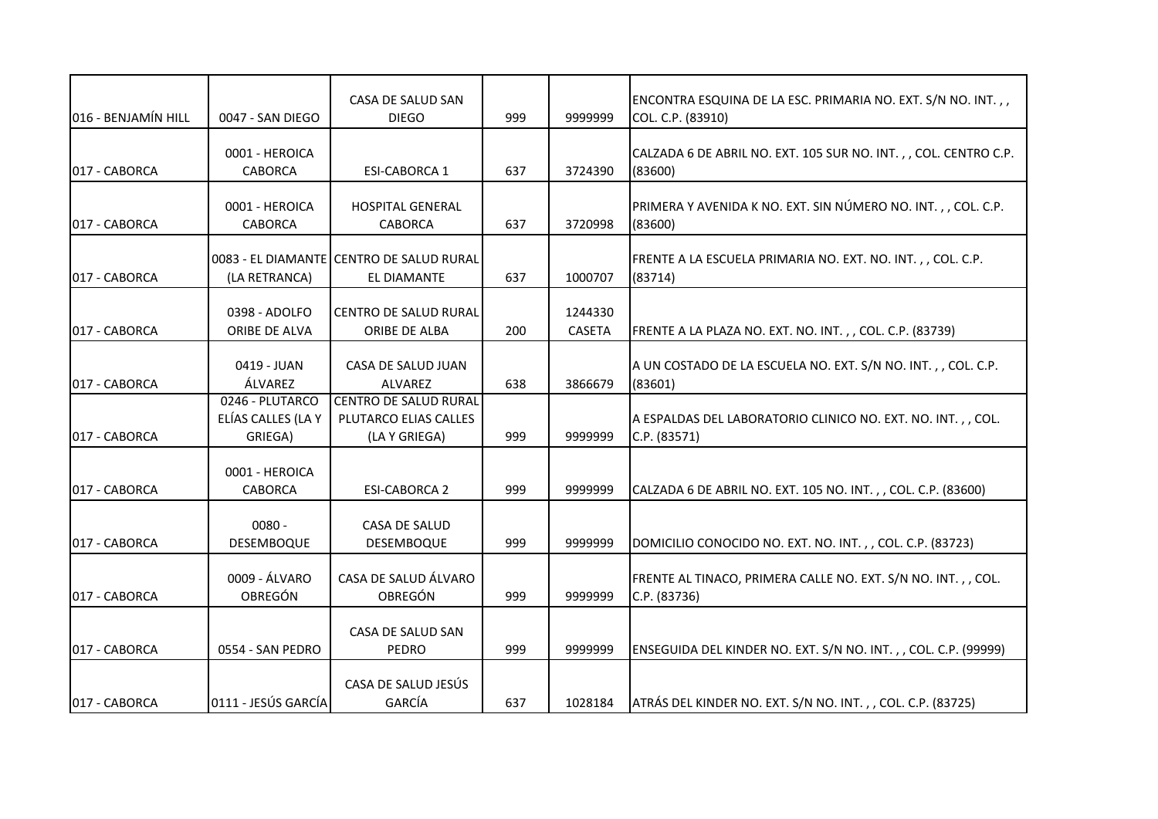| 016 - BENJAMÍN HILL | 0047 - SAN DIEGO                                 | <b>CASA DE SALUD SAN</b><br><b>DIEGO</b>                               | 999 | 9999999                  | ENCONTRA ESQUINA DE LA ESC. PRIMARIA NO. EXT. S/N NO. INT.,,<br>COL. C.P. (83910) |
|---------------------|--------------------------------------------------|------------------------------------------------------------------------|-----|--------------------------|-----------------------------------------------------------------------------------|
| 017 - CABORCA       | 0001 - HEROICA<br><b>CABORCA</b>                 | <b>ESI-CABORCA 1</b>                                                   | 637 | 3724390                  | CALZADA 6 DE ABRIL NO. EXT. 105 SUR NO. INT.,, COL. CENTRO C.P.<br>(83600)        |
| 017 - CABORCA       | 0001 - HEROICA<br><b>CABORCA</b>                 | <b>HOSPITAL GENERAL</b><br><b>CABORCA</b>                              | 637 | 3720998                  | PRIMERA Y AVENIDA K NO. EXT. SIN NÚMERO NO. INT., , COL. C.P.<br>(83600)          |
| 017 - CABORCA       | (LA RETRANCA)                                    | 0083 - EL DIAMANTE CENTRO DE SALUD RURAL<br>EL DIAMANTE                | 637 | 1000707                  | FRENTE A LA ESCUELA PRIMARIA NO. EXT. NO. INT.,, COL. C.P.<br>(83714)             |
| 017 - CABORCA       | 0398 - ADOLFO<br>ORIBE DE ALVA                   | <b>CENTRO DE SALUD RURAL</b><br>ORIBE DE ALBA                          | 200 | 1244330<br><b>CASETA</b> | FRENTE A LA PLAZA NO. EXT. NO. INT.,, COL. C.P. (83739)                           |
| 017 - CABORCA       | 0419 - JUAN<br>ÁLVAREZ                           | CASA DE SALUD JUAN<br>ALVAREZ                                          | 638 | 3866679                  | A UN COSTADO DE LA ESCUELA NO. EXT. S/N NO. INT.,, COL. C.P.<br>(83601)           |
| 017 - CABORCA       | 0246 - PLUTARCO<br>ELÍAS CALLES (LA Y<br>GRIEGA) | <b>CENTRO DE SALUD RURAL</b><br>PLUTARCO ELIAS CALLES<br>(LA Y GRIEGA) | 999 | 9999999                  | A ESPALDAS DEL LABORATORIO CLINICO NO. EXT. NO. INT.,, COL.<br>C.P. (83571)       |
| 017 - CABORCA       | 0001 - HEROICA<br><b>CABORCA</b>                 | <b>ESI-CABORCA 2</b>                                                   | 999 | 9999999                  | CALZADA 6 DE ABRIL NO. EXT. 105 NO. INT.,, COL. C.P. (83600)                      |
| 017 - CABORCA       | $0080 -$<br>DESEMBOQUE                           | CASA DE SALUD<br>DESEMBOQUE                                            | 999 | 9999999                  | DOMICILIO CONOCIDO NO. EXT. NO. INT.,, COL. C.P. (83723)                          |
| 017 - CABORCA       | 0009 - ÁLVARO<br><b>OBREGÓN</b>                  | CASA DE SALUD ÁLVARO<br><b>OBREGÓN</b>                                 | 999 | 9999999                  | FRENTE AL TINACO, PRIMERA CALLE NO. EXT. S/N NO. INT., , COL.<br>C.P. (83736)     |
| 017 - CABORCA       | 0554 - SAN PEDRO                                 | CASA DE SALUD SAN<br>PEDRO                                             | 999 | 9999999                  | ENSEGUIDA DEL KINDER NO. EXT. S/N NO. INT.,, COL. C.P. (99999)                    |
| 017 - CABORCA       | 0111 - JESÚS GARCÍA                              | CASA DE SALUD JESÚS<br>GARCÍA                                          | 637 | 1028184                  | ATRÁS DEL KINDER NO. EXT. S/N NO. INT.,, COL. C.P. (83725)                        |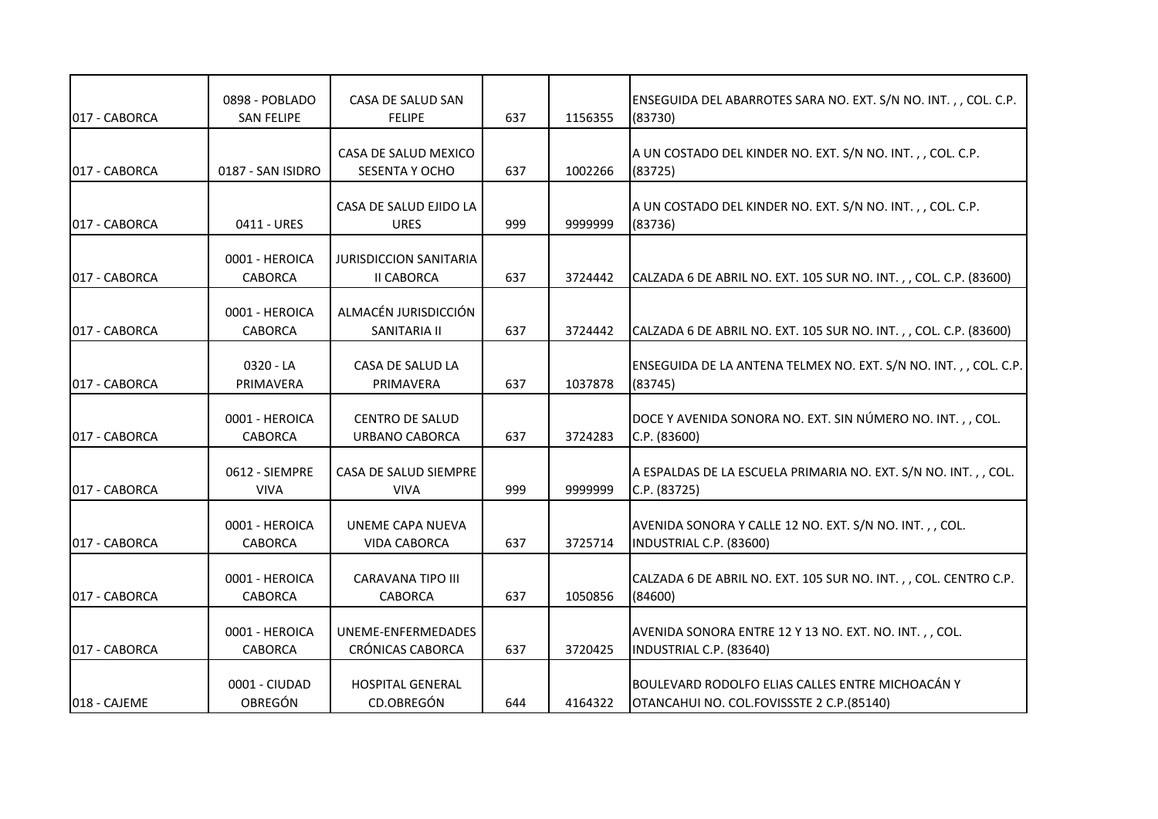| 017 - CABORCA | 0898 - POBLADO<br><b>SAN FELIPE</b> | <b>CASA DE SALUD SAN</b><br><b>FELIPE</b>          | 637 | 1156355 | ENSEGUIDA DEL ABARROTES SARA NO. EXT. S/N NO. INT.,, COL. C.P.<br>(83730)                      |
|---------------|-------------------------------------|----------------------------------------------------|-----|---------|------------------------------------------------------------------------------------------------|
| 017 - CABORCA | 0187 - SAN ISIDRO                   | CASA DE SALUD MEXICO<br><b>SESENTA Y OCHO</b>      | 637 | 1002266 | A UN COSTADO DEL KINDER NO. EXT. S/N NO. INT. , , COL. C.P.<br>(83725)                         |
| 017 - CABORCA | 0411 - URES                         | CASA DE SALUD EJIDO LA<br><b>URES</b>              | 999 | 9999999 | A UN COSTADO DEL KINDER NO. EXT. S/N NO. INT. , , COL. C.P.<br>(83736)                         |
| 017 - CABORCA | 0001 - HEROICA<br><b>CABORCA</b>    | <b>JURISDICCION SANITARIA</b><br><b>II CABORCA</b> | 637 | 3724442 | CALZADA 6 DE ABRIL NO. EXT. 105 SUR NO. INT.,, COL. C.P. (83600)                               |
| 017 - CABORCA | 0001 - HEROICA<br><b>CABORCA</b>    | ALMACÉN JURISDICCIÓN<br><b>SANITARIA II</b>        | 637 | 3724442 | CALZADA 6 DE ABRIL NO. EXT. 105 SUR NO. INT.,, COL. C.P. (83600)                               |
| 017 - CABORCA | 0320 - LA<br>PRIMAVERA              | CASA DE SALUD LA<br>PRIMAVERA                      | 637 | 1037878 | ENSEGUIDA DE LA ANTENA TELMEX NO. EXT. S/N NO. INT.,, COL. C.P.<br>(83745)                     |
| 017 - CABORCA | 0001 - HEROICA<br><b>CABORCA</b>    | <b>CENTRO DE SALUD</b><br><b>URBANO CABORCA</b>    | 637 | 3724283 | DOCE Y AVENIDA SONORA NO. EXT. SIN NÚMERO NO. INT.,, COL.<br>C.P. (83600)                      |
| 017 - CABORCA | 0612 - SIEMPRE<br><b>VIVA</b>       | CASA DE SALUD SIEMPRE<br><b>VIVA</b>               | 999 | 9999999 | A ESPALDAS DE LA ESCUELA PRIMARIA NO. EXT. S/N NO. INT.,, COL.<br>C.P. (83725)                 |
| 017 - CABORCA | 0001 - HEROICA<br><b>CABORCA</b>    | UNEME CAPA NUEVA<br><b>VIDA CABORCA</b>            | 637 | 3725714 | AVENIDA SONORA Y CALLE 12 NO. EXT. S/N NO. INT.,, COL.<br>INDUSTRIAL C.P. (83600)              |
| 017 - CABORCA | 0001 - HEROICA<br><b>CABORCA</b>    | <b>CARAVANA TIPO III</b><br><b>CABORCA</b>         | 637 | 1050856 | CALZADA 6 DE ABRIL NO. EXT. 105 SUR NO. INT.,, COL. CENTRO C.P.<br>(84600)                     |
| 017 - CABORCA | 0001 - HEROICA<br><b>CABORCA</b>    | UNEME-ENFERMEDADES<br><b>CRÓNICAS CABORCA</b>      | 637 | 3720425 | AVENIDA SONORA ENTRE 12 Y 13 NO. EXT. NO. INT.,, COL.<br>INDUSTRIAL C.P. (83640)               |
| 018 - CAJEME  | 0001 - CIUDAD<br>OBREGÓN            | <b>HOSPITAL GENERAL</b><br>CD.OBREGÓN              | 644 | 4164322 | BOULEVARD RODOLFO ELIAS CALLES ENTRE MICHOACÁN Y<br>OTANCAHUI NO. COL.FOVISSSTE 2 C.P. (85140) |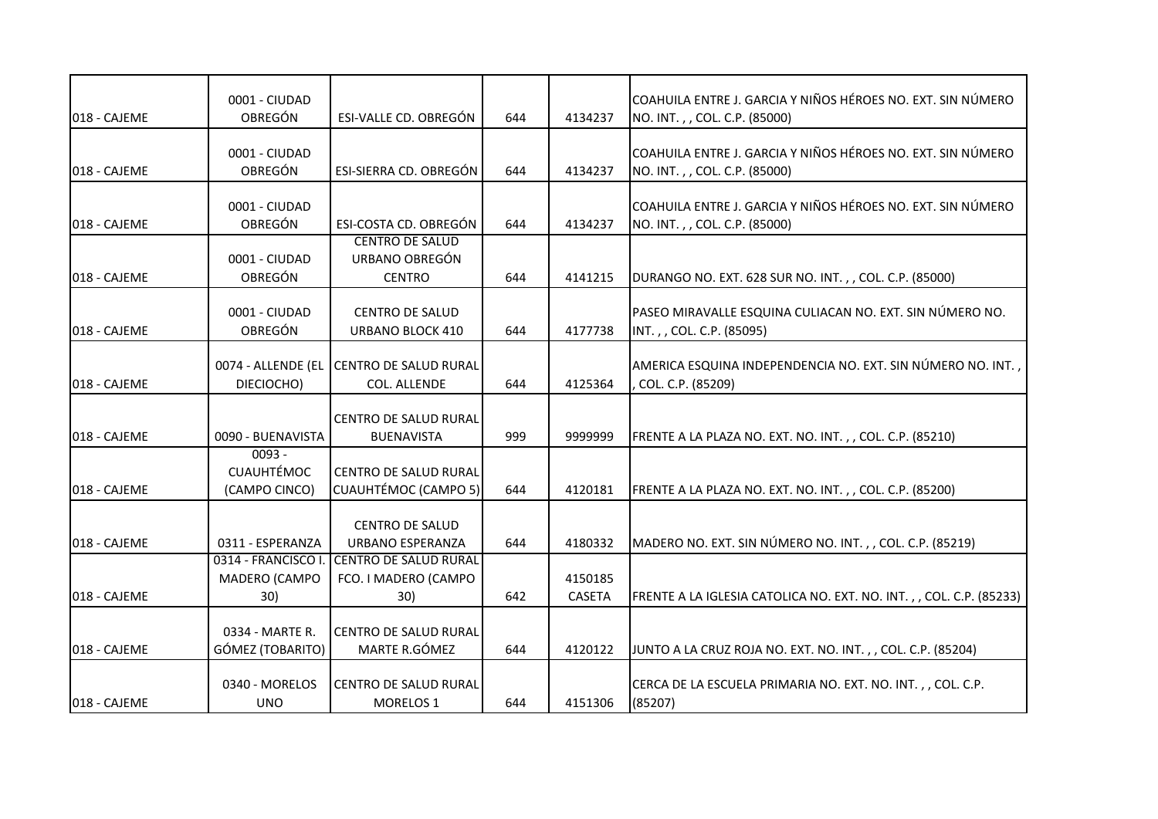| 018 - CAJEME | 0001 - CIUDAD<br><b>OBREGÓN</b>                | ESI-VALLE CD. OBREGÓN                                       | 644 | 4134237                  | COAHUILA ENTRE J. GARCIA Y NIÑOS HÉROES NO. EXT. SIN NÚMERO<br>NO. INT.,, COL. C.P. (85000) |
|--------------|------------------------------------------------|-------------------------------------------------------------|-----|--------------------------|---------------------------------------------------------------------------------------------|
| 018 - CAJEME | 0001 - CIUDAD<br>OBREGÓN                       | ESI-SIERRA CD. OBREGÓN                                      | 644 | 4134237                  | COAHUILA ENTRE J. GARCIA Y NIÑOS HÉROES NO. EXT. SIN NÚMERO<br>NO. INT.,, COL. C.P. (85000) |
| 018 - CAJEME | 0001 - CIUDAD<br><b>OBREGÓN</b>                | ESI-COSTA CD. OBREGÓN                                       | 644 | 4134237                  | COAHUILA ENTRE J. GARCIA Y NIÑOS HÉROES NO. EXT. SIN NÚMERO<br>NO. INT.,, COL. C.P. (85000) |
| 018 - CAJEME | 0001 - CIUDAD<br><b>OBREGÓN</b>                | <b>CENTRO DE SALUD</b><br>URBANO OBREGÓN<br><b>CENTRO</b>   | 644 | 4141215                  | DURANGO NO. EXT. 628 SUR NO. INT.,, COL. C.P. (85000)                                       |
| 018 - CAJEME | 0001 - CIUDAD<br><b>OBREGÓN</b>                | <b>CENTRO DE SALUD</b><br><b>URBANO BLOCK 410</b>           | 644 | 4177738                  | PASEO MIRAVALLE ESQUINA CULIACAN NO. EXT. SIN NÚMERO NO.<br>INT.,, COL. C.P. (85095)        |
| 018 - CAJEME | 0074 - ALLENDE (EL<br>DIECIOCHO)               | CENTRO DE SALUD RURAL<br><b>COL. ALLENDE</b>                | 644 | 4125364                  | AMERICA ESQUINA INDEPENDENCIA NO. EXT. SIN NÚMERO NO. INT.,<br>COL. C.P. (85209)            |
| 018 - CAJEME | 0090 - BUENAVISTA                              | <b>CENTRO DE SALUD RURAL</b><br><b>BUENAVISTA</b>           | 999 | 9999999                  | FRENTE A LA PLAZA NO. EXT. NO. INT.,, COL. C.P. (85210)                                     |
| 018 - CAJEME | $0093 -$<br><b>CUAUHTÉMOC</b><br>(CAMPO CINCO) | <b>CENTRO DE SALUD RURAL</b><br>CUAUHTÉMOC (CAMPO 5)        | 644 | 4120181                  | FRENTE A LA PLAZA NO. EXT. NO. INT.,, COL. C.P. (85200)                                     |
| 018 - CAJEME | 0311 - ESPERANZA                               | <b>CENTRO DE SALUD</b><br><b>URBANO ESPERANZA</b>           | 644 | 4180332                  | MADERO NO. EXT. SIN NÚMERO NO. INT.,, COL. C.P. (85219)                                     |
| 018 - CAJEME | 0314 - FRANCISCO I.<br>MADERO (CAMPO<br>30)    | <b>CENTRO DE SALUD RURAL</b><br>FCO. I MADERO (CAMPO<br>30) | 642 | 4150185<br><b>CASETA</b> | FRENTE A LA IGLESIA CATOLICA NO. EXT. NO. INT. , , COL. C.P. (85233)                        |
| 018 - CAJEME | 0334 - MARTE R.<br>GÓMEZ (TOBARITO)            | CENTRO DE SALUD RURAL<br>MARTE R.GÓMEZ                      | 644 | 4120122                  | JUNTO A LA CRUZ ROJA NO. EXT. NO. INT.,, COL. C.P. (85204)                                  |
| 018 - CAJEME | 0340 - MORELOS<br><b>UNO</b>                   | CENTRO DE SALUD RURAL<br><b>MORELOS 1</b>                   | 644 | 4151306                  | CERCA DE LA ESCUELA PRIMARIA NO. EXT. NO. INT.,, COL. C.P.<br>(85207)                       |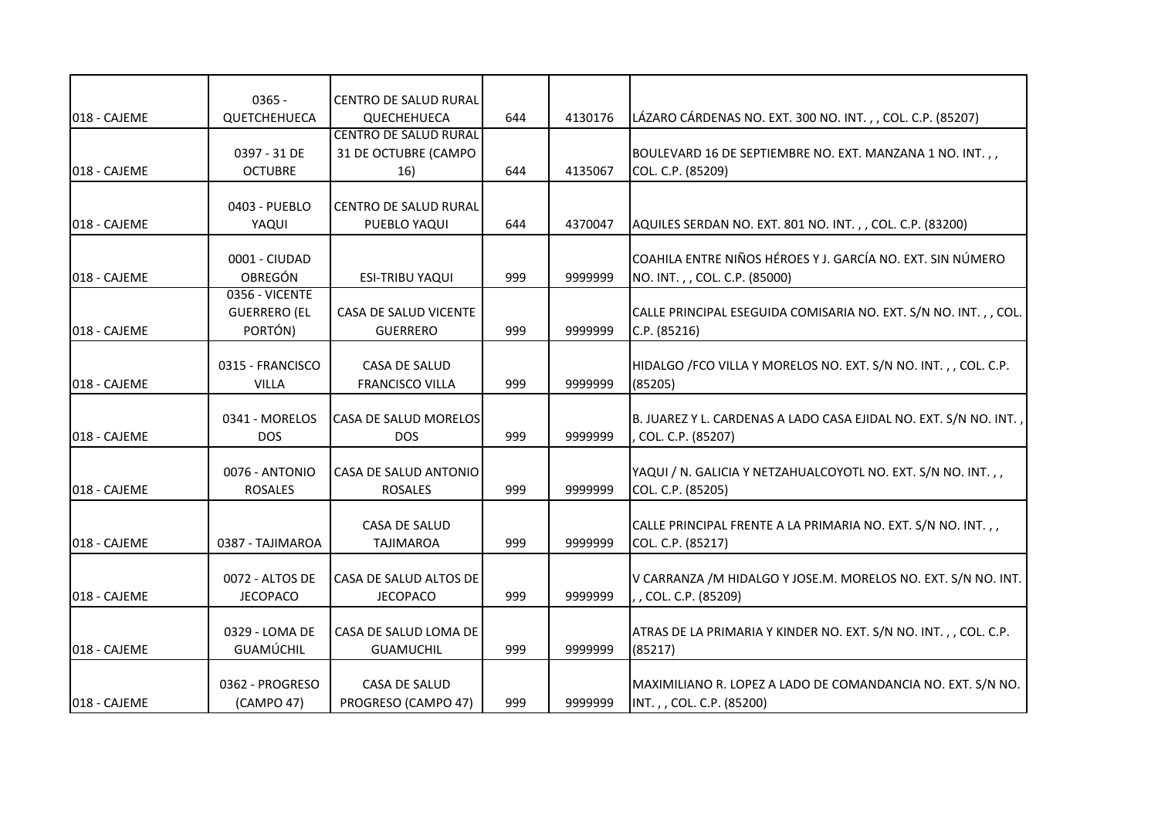| 018 - CAJEME | $0365 -$<br>QUETCHEHUECA         | CENTRO DE SALUD RURAL<br><b>QUECHEHUECA</b>    | 644 | 4130176 | LÁZARO CÁRDENAS NO. EXT. 300 NO. INT.,, COL. C.P. (85207)                  |
|--------------|----------------------------------|------------------------------------------------|-----|---------|----------------------------------------------------------------------------|
|              |                                  | <b>CENTRO DE SALUD RURAL</b>                   |     |         |                                                                            |
|              | 0397 - 31 DE                     | 31 DE OCTUBRE (CAMPO                           |     |         | BOULEVARD 16 DE SEPTIEMBRE NO. EXT. MANZANA 1 NO. INT.,,                   |
| 018 - CAJEME | <b>OCTUBRE</b>                   | 16)                                            | 644 | 4135067 | COL. C.P. (85209)                                                          |
|              |                                  |                                                |     |         |                                                                            |
|              | 0403 - PUEBLO                    | CENTRO DE SALUD RURAL                          |     |         |                                                                            |
| 018 - CAJEME | YAQUI                            | PUEBLO YAQUI                                   | 644 | 4370047 | AQUILES SERDAN NO. EXT. 801 NO. INT.,, COL. C.P. (83200)                   |
|              | 0001 - CIUDAD                    |                                                |     |         | COAHILA ENTRE NIÑOS HÉROES Y J. GARCÍA NO. EXT. SIN NÚMERO                 |
| 018 - CAJEME | <b>OBREGÓN</b>                   | <b>ESI-TRIBU YAQUI</b>                         | 999 | 9999999 | NO. INT.,, COL. C.P. (85000)                                               |
|              | 0356 - VICENTE                   |                                                |     |         |                                                                            |
|              | <b>GUERRERO (EL</b>              | CASA DE SALUD VICENTE                          |     |         | CALLE PRINCIPAL ESEGUIDA COMISARIA NO. EXT. S/N NO. INT.,, COL.            |
| 018 - CAJEME | PORTÓN)                          | <b>GUERRERO</b>                                | 999 | 9999999 | C.P. (85216)                                                               |
|              |                                  |                                                |     |         |                                                                            |
| 018 - CAJEME | 0315 - FRANCISCO<br><b>VILLA</b> | <b>CASA DE SALUD</b><br><b>FRANCISCO VILLA</b> | 999 | 9999999 | HIDALGO / FCO VILLA Y MORELOS NO. EXT. S/N NO. INT.,, COL. C.P.<br>(85205) |
|              |                                  |                                                |     |         |                                                                            |
|              | 0341 - MORELOS                   | CASA DE SALUD MORELOS                          |     |         | B. JUAREZ Y L. CARDENAS A LADO CASA EJIDAL NO. EXT. S/N NO. INT.,          |
| 018 - CAJEME | <b>DOS</b>                       | <b>DOS</b>                                     | 999 | 9999999 | COL. C.P. (85207)                                                          |
|              |                                  |                                                |     |         |                                                                            |
|              | 0076 - ANTONIO                   | CASA DE SALUD ANTONIO                          |     |         | YAQUI / N. GALICIA Y NETZAHUALCOYOTL NO. EXT. S/N NO. INT.,,               |
| 018 - CAJEME | <b>ROSALES</b>                   | <b>ROSALES</b>                                 | 999 | 9999999 | COL. C.P. (85205)                                                          |
|              |                                  | CASA DE SALUD                                  |     |         | CALLE PRINCIPAL FRENTE A LA PRIMARIA NO. EXT. S/N NO. INT.,,               |
| 018 - CAJEME | 0387 - TAJIMAROA                 | <b>TAJIMAROA</b>                               | 999 | 9999999 | COL. C.P. (85217)                                                          |
|              |                                  |                                                |     |         |                                                                            |
|              | 0072 - ALTOS DE                  | CASA DE SALUD ALTOS DE                         |     |         | V CARRANZA / M HIDALGO Y JOSE.M. MORELOS NO. EXT. S/N NO. INT.             |
| 018 - CAJEME | <b>JECOPACO</b>                  | <b>JECOPACO</b>                                | 999 | 9999999 | , , COL. C.P. (85209)                                                      |
|              | 0329 - LOMA DE                   | CASA DE SALUD LOMA DE                          |     |         |                                                                            |
| 018 - CAJEME | <b>GUAMÚCHIL</b>                 | <b>GUAMUCHIL</b>                               | 999 | 9999999 | ATRAS DE LA PRIMARIA Y KINDER NO. EXT. S/N NO. INT.,, COL. C.P.<br>(85217) |
|              |                                  |                                                |     |         |                                                                            |
|              | 0362 - PROGRESO                  | CASA DE SALUD                                  |     |         | MAXIMILIANO R. LOPEZ A LADO DE COMANDANCIA NO. EXT. S/N NO.                |
| 018 - CAJEME | (CAMPO 47)                       | PROGRESO (CAMPO 47)                            | 999 | 9999999 | INT.,, COL. C.P. (85200)                                                   |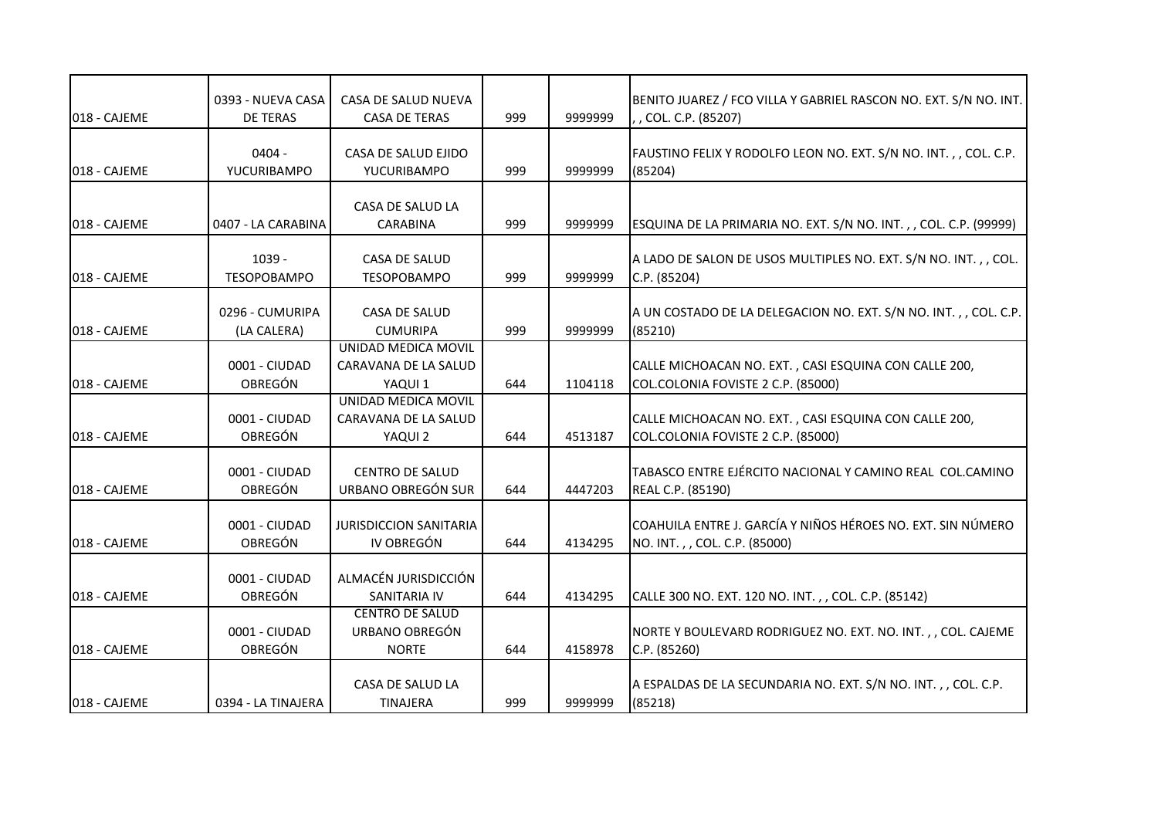| 018 - CAJEME | 0393 - NUEVA CASA<br><b>DE TERAS</b> | CASA DE SALUD NUEVA<br><b>CASA DE TERAS</b>                   | 999 | 9999999 | BENITO JUAREZ / FCO VILLA Y GABRIEL RASCON NO. EXT. S/N NO. INT.<br>, , COL. C.P. (85207)   |
|--------------|--------------------------------------|---------------------------------------------------------------|-----|---------|---------------------------------------------------------------------------------------------|
| 018 - CAJEME | $0404 -$<br>YUCURIBAMPO              | CASA DE SALUD EJIDO<br>YUCURIBAMPO                            | 999 | 9999999 | FAUSTINO FELIX Y RODOLFO LEON NO. EXT. S/N NO. INT.,, COL. C.P.<br>(85204)                  |
| 018 - CAJEME | 0407 - LA CARABINA                   | CASA DE SALUD LA<br><b>CARABINA</b>                           | 999 | 9999999 | ESQUINA DE LA PRIMARIA NO. EXT. S/N NO. INT.,, COL. C.P. (99999)                            |
| 018 - CAJEME | $1039 -$<br><b>TESOPOBAMPO</b>       | <b>CASA DE SALUD</b><br><b>TESOPOBAMPO</b>                    | 999 | 9999999 | A LADO DE SALON DE USOS MULTIPLES NO. EXT. S/N NO. INT., , COL.<br>C.P. (85204)             |
| 018 - CAJEME | 0296 - CUMURIPA<br>(LA CALERA)       | <b>CASA DE SALUD</b><br><b>CUMURIPA</b>                       | 999 | 9999999 | A UN COSTADO DE LA DELEGACION NO. EXT. S/N NO. INT.,, COL. C.P.<br>(85210)                  |
| 018 - CAJEME | 0001 - CIUDAD<br><b>OBREGÓN</b>      | UNIDAD MEDICA MOVIL<br>CARAVANA DE LA SALUD<br>YAQUI 1        | 644 | 1104118 | CALLE MICHOACAN NO. EXT., CASI ESQUINA CON CALLE 200,<br>COL.COLONIA FOVISTE 2 C.P. (85000) |
| 018 - CAJEME | 0001 - CIUDAD<br><b>OBREGÓN</b>      | <b>UNIDAD MEDICA MOVIL</b><br>CARAVANA DE LA SALUD<br>YAQUI 2 | 644 | 4513187 | CALLE MICHOACAN NO. EXT., CASI ESQUINA CON CALLE 200,<br>COL.COLONIA FOVISTE 2 C.P. (85000) |
| 018 - CAJEME | 0001 - CIUDAD<br><b>OBREGÓN</b>      | <b>CENTRO DE SALUD</b><br>URBANO OBREGÓN SUR                  | 644 | 4447203 | TABASCO ENTRE EJÉRCITO NACIONAL Y CAMINO REAL COL.CAMINO<br>REAL C.P. (85190)               |
| 018 - CAJEME | 0001 - CIUDAD<br><b>OBREGÓN</b>      | <b>JURISDICCION SANITARIA</b><br>IV OBREGÓN                   | 644 | 4134295 | COAHUILA ENTRE J. GARCÍA Y NIÑOS HÉROES NO. EXT. SIN NÚMERO<br>NO. INT.,, COL. C.P. (85000) |
| 018 - CAJEME | 0001 - CIUDAD<br><b>OBREGÓN</b>      | ALMACÉN JURISDICCIÓN<br>SANITARIA IV                          | 644 | 4134295 | CALLE 300 NO. EXT. 120 NO. INT.,, COL. C.P. (85142)                                         |
| 018 - CAJEME | 0001 - CIUDAD<br><b>OBREGÓN</b>      | <b>CENTRO DE SALUD</b><br>URBANO OBREGÓN<br><b>NORTE</b>      | 644 | 4158978 | NORTE Y BOULEVARD RODRIGUEZ NO. EXT. NO. INT.,, COL. CAJEME<br>C.P. (85260)                 |
| 018 - CAJEME | 0394 - LA TINAJERA                   | CASA DE SALUD LA<br><b>TINAJERA</b>                           | 999 | 9999999 | A ESPALDAS DE LA SECUNDARIA NO. EXT. S/N NO. INT.,, COL. C.P.<br>(85218)                    |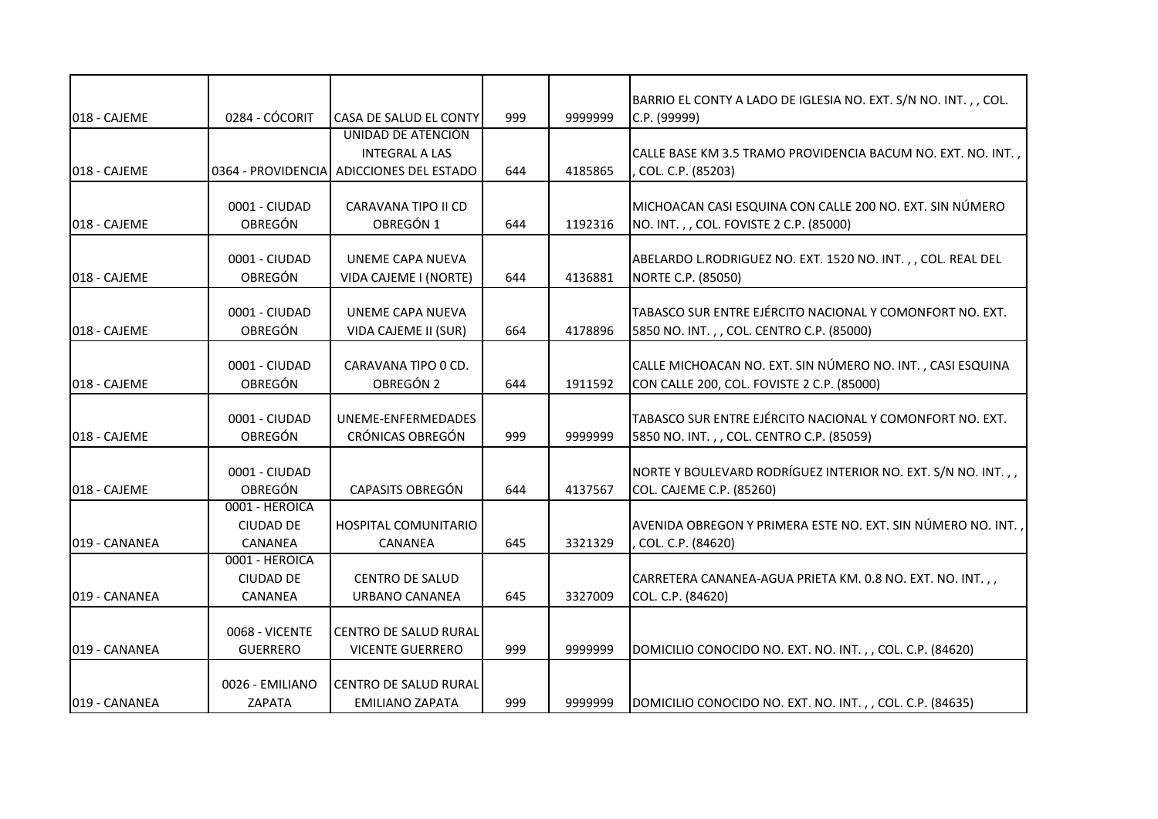| 018 - CAJEME  | 0284 - CÓCORIT                  | CASA DE SALUD EL CONTY                   | 999 | 9999999 | BARRIO EL CONTY A LADO DE IGLESIA NO. EXT. S/N NO. INT.,, COL.<br>C.P. (99999)             |
|---------------|---------------------------------|------------------------------------------|-----|---------|--------------------------------------------------------------------------------------------|
|               |                                 | UNIDAD DE ATENCIÓN                       |     |         |                                                                                            |
|               |                                 | <b>INTEGRAL A LAS</b>                    |     |         | CALLE BASE KM 3.5 TRAMO PROVIDENCIA BACUM NO. EXT. NO. INT.,                               |
| 018 - CAJEME  |                                 | 0364 - PROVIDENCIA ADICCIONES DEL ESTADO | 644 | 4185865 | COL. C.P. (85203)                                                                          |
|               |                                 |                                          |     |         |                                                                                            |
|               | 0001 - CIUDAD                   | CARAVANA TIPO II CD                      |     |         | MICHOACAN CASI ESQUINA CON CALLE 200 NO. EXT. SIN NÚMERO                                   |
| 018 - CAJEME  | <b>OBREGÓN</b>                  | OBREGÓN 1                                | 644 | 1192316 | NO. INT.,, COL. FOVISTE 2 C.P. (85000)                                                     |
|               | 0001 - CIUDAD                   | <b>UNEME CAPA NUEVA</b>                  |     |         | ABELARDO L.RODRIGUEZ NO. EXT. 1520 NO. INT. , , COL. REAL DEL                              |
| 018 - CAJEME  | <b>OBREGÓN</b>                  | VIDA CAJEME I (NORTE)                    | 644 | 4136881 | NORTE C.P. (85050)                                                                         |
|               |                                 |                                          |     |         |                                                                                            |
|               | 0001 - CIUDAD                   | <b>UNEME CAPA NUEVA</b>                  |     |         | TABASCO SUR ENTRE EJÉRCITO NACIONAL Y COMONFORT NO. EXT.                                   |
| 018 - CAJEME  | <b>OBREGÓN</b>                  | VIDA CAJEME II (SUR)                     | 664 | 4178896 | 5850 NO. INT.,, COL. CENTRO C.P. (85000)                                                   |
|               |                                 |                                          |     |         |                                                                                            |
|               | 0001 - CIUDAD                   | CARAVANA TIPO 0 CD.                      |     |         | CALLE MICHOACAN NO. EXT. SIN NÚMERO NO. INT., CASI ESQUINA                                 |
| 018 - CAJEME  | <b>OBREGÓN</b>                  | OBREGÓN 2                                | 644 | 1911592 | CON CALLE 200, COL. FOVISTE 2 C.P. (85000)                                                 |
|               |                                 |                                          |     |         |                                                                                            |
|               | 0001 - CIUDAD                   | UNEME-ENFERMEDADES                       |     |         | TABASCO SUR ENTRE EJÉRCITO NACIONAL Y COMONFORT NO. EXT.                                   |
| 018 - CAJEME  | <b>OBREGÓN</b>                  | <b>CRÓNICAS OBREGÓN</b>                  | 999 | 9999999 | 5850 NO. INT.,, COL. CENTRO C.P. (85059)                                                   |
|               |                                 |                                          |     |         |                                                                                            |
| 018 - CAJEME  | 0001 - CIUDAD<br><b>OBREGÓN</b> | <b>CAPASITS OBREGÓN</b>                  | 644 | 4137567 | NORTE Y BOULEVARD RODRÍGUEZ INTERIOR NO. EXT. S/N NO. INT. , ,<br>COL. CAJEME C.P. (85260) |
|               | 0001 - HEROICA                  |                                          |     |         |                                                                                            |
|               | <b>CIUDAD DE</b>                | <b>HOSPITAL COMUNITARIO</b>              |     |         | AVENIDA OBREGON Y PRIMERA ESTE NO. EXT. SIN NÚMERO NO. INT.,                               |
| 019 - CANANEA | CANANEA                         | CANANEA                                  | 645 | 3321329 | COL. C.P. (84620)                                                                          |
|               | 0001 - HEROICA                  |                                          |     |         |                                                                                            |
|               | <b>CIUDAD DE</b>                | <b>CENTRO DE SALUD</b>                   |     |         | CARRETERA CANANEA-AGUA PRIETA KM. 0.8 NO. EXT. NO. INT.,,                                  |
| 019 - CANANEA | CANANEA                         | URBANO CANANEA                           | 645 | 3327009 | COL. C.P. (84620)                                                                          |
|               |                                 |                                          |     |         |                                                                                            |
|               | 0068 - VICENTE                  | <b>CENTRO DE SALUD RURAL</b>             |     |         |                                                                                            |
| 019 - CANANEA | <b>GUERRERO</b>                 | <b>VICENTE GUERRERO</b>                  | 999 | 9999999 | DOMICILIO CONOCIDO NO. EXT. NO. INT.,, COL. C.P. (84620)                                   |
|               |                                 |                                          |     |         |                                                                                            |
|               | 0026 - EMILIANO                 | <b>CENTRO DE SALUD RURAL</b>             |     |         |                                                                                            |
| 019 - CANANEA | ZAPATA                          | <b>EMILIANO ZAPATA</b>                   | 999 | 9999999 | DOMICILIO CONOCIDO NO. EXT. NO. INT.,, COL. C.P. (84635)                                   |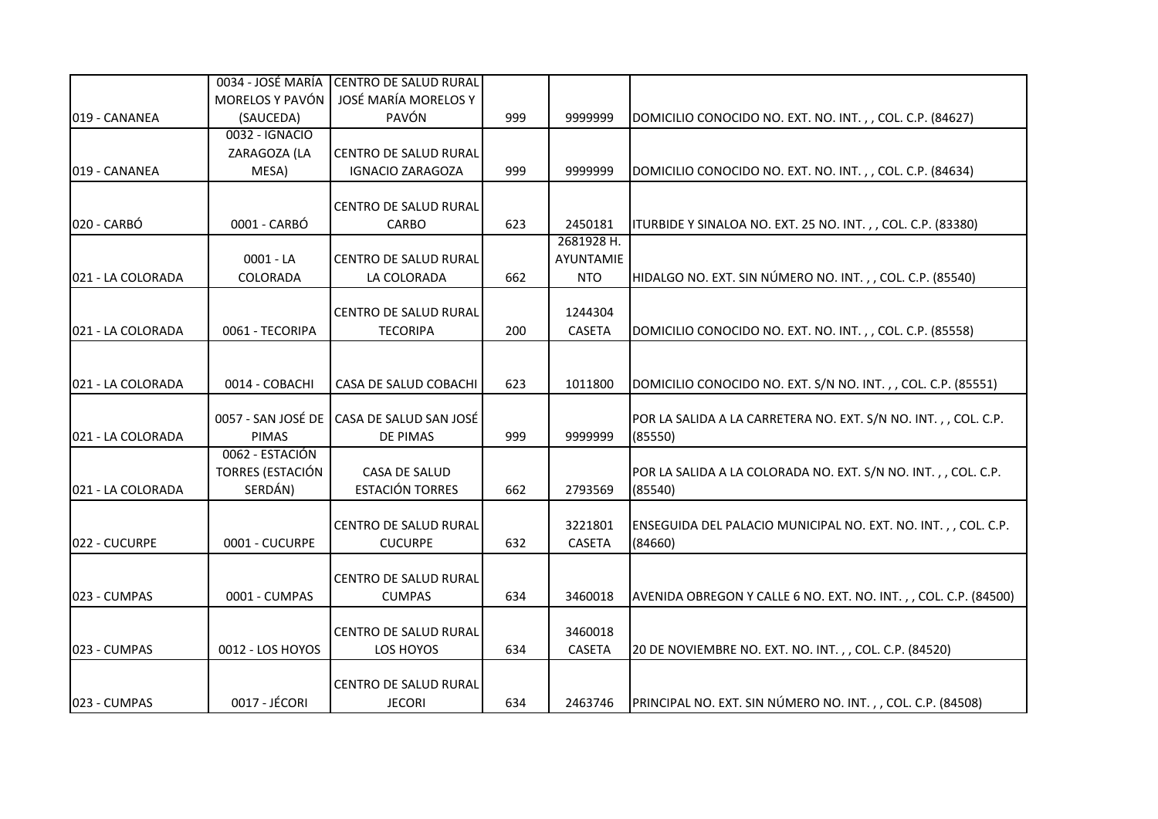|                   | 0034 - JOSÉ MARÍA  | CENTRO DE SALUD RURAL        |     |               |                                                                 |
|-------------------|--------------------|------------------------------|-----|---------------|-----------------------------------------------------------------|
|                   | MORELOS Y PAVÓN    | JOSÉ MARÍA MORELOS Y         |     |               |                                                                 |
| 019 - CANANEA     | (SAUCEDA)          | PAVÓN                        | 999 | 9999999       | DOMICILIO CONOCIDO NO. EXT. NO. INT.,, COL. C.P. (84627)        |
|                   | 0032 - IGNACIO     |                              |     |               |                                                                 |
|                   | ZARAGOZA (LA       | CENTRO DE SALUD RURAL        |     |               |                                                                 |
| 019 - CANANEA     | MESA)              | <b>IGNACIO ZARAGOZA</b>      | 999 | 9999999       | DOMICILIO CONOCIDO NO. EXT. NO. INT.,, COL. C.P. (84634)        |
|                   |                    |                              |     |               |                                                                 |
|                   |                    | CENTRO DE SALUD RURAL        |     |               |                                                                 |
| 020 - CARBÓ       | 0001 - CARBÓ       | CARBO                        | 623 | 2450181       | ITURBIDE Y SINALOA NO. EXT. 25 NO. INT.,, COL. C.P. (83380)     |
|                   |                    |                              |     | 2681928 H.    |                                                                 |
|                   | $0001 - LA$        | CENTRO DE SALUD RURAL        |     | AYUNTAMIE     |                                                                 |
| 021 - LA COLORADA | COLORADA           | LA COLORADA                  | 662 | <b>NTO</b>    | HIDALGO NO. EXT. SIN NÚMERO NO. INT.,, COL. C.P. (85540)        |
|                   |                    |                              |     |               |                                                                 |
|                   |                    | CENTRO DE SALUD RURAL        |     | 1244304       |                                                                 |
| 021 - LA COLORADA | 0061 - TECORIPA    | <b>TECORIPA</b>              | 200 | <b>CASETA</b> | DOMICILIO CONOCIDO NO. EXT. NO. INT.,, COL. C.P. (85558)        |
|                   |                    |                              |     |               |                                                                 |
| 021 - LA COLORADA | 0014 - COBACHI     | <b>CASA DE SALUD COBACHI</b> | 623 | 1011800       | DOMICILIO CONOCIDO NO. EXT. S/N NO. INT.,, COL. C.P. (85551)    |
|                   |                    |                              |     |               |                                                                 |
|                   | 0057 - SAN JOSÉ DE | CASA DE SALUD SAN JOSÉ       |     |               | POR LA SALIDA A LA CARRETERA NO. EXT. S/N NO. INT.,, COL. C.P.  |
| 021 - LA COLORADA | <b>PIMAS</b>       | DE PIMAS                     | 999 | 9999999       | (85550)                                                         |
|                   | 0062 - ESTACIÓN    |                              |     |               |                                                                 |
|                   | TORRES (ESTACIÓN   | CASA DE SALUD                |     |               | POR LA SALIDA A LA COLORADA NO. EXT. S/N NO. INT.,, COL. C.P.   |
| 021 - LA COLORADA | SERDÁN)            | <b>ESTACIÓN TORRES</b>       | 662 | 2793569       | (85540)                                                         |
|                   |                    |                              |     |               |                                                                 |
|                   |                    | CENTRO DE SALUD RURAL        |     | 3221801       | ENSEGUIDA DEL PALACIO MUNICIPAL NO. EXT. NO. INT.,, COL. C.P.   |
| 022 - CUCURPE     | 0001 - CUCURPE     | <b>CUCURPE</b>               | 632 | <b>CASETA</b> | (84660)                                                         |
|                   |                    |                              |     |               |                                                                 |
|                   |                    | <b>CENTRO DE SALUD RURAL</b> |     |               |                                                                 |
| 023 - CUMPAS      | 0001 - CUMPAS      | <b>CUMPAS</b>                | 634 | 3460018       | AVENIDA OBREGON Y CALLE 6 NO. EXT. NO. INT.,, COL. C.P. (84500) |
|                   |                    |                              |     |               |                                                                 |
|                   |                    | CENTRO DE SALUD RURAL        |     | 3460018       |                                                                 |
| 023 - CUMPAS      | 0012 - LOS HOYOS   | LOS HOYOS                    | 634 | <b>CASETA</b> | 20 DE NOVIEMBRE NO. EXT. NO. INT., COL. C.P. (84520)            |
|                   |                    | CENTRO DE SALUD RURAL        |     |               |                                                                 |
| 023 - CUMPAS      | 0017 - JÉCORI      | <b>JECORI</b>                | 634 | 2463746       | PRINCIPAL NO. EXT. SIN NÚMERO NO. INT.,, COL. C.P. (84508)      |
|                   |                    |                              |     |               |                                                                 |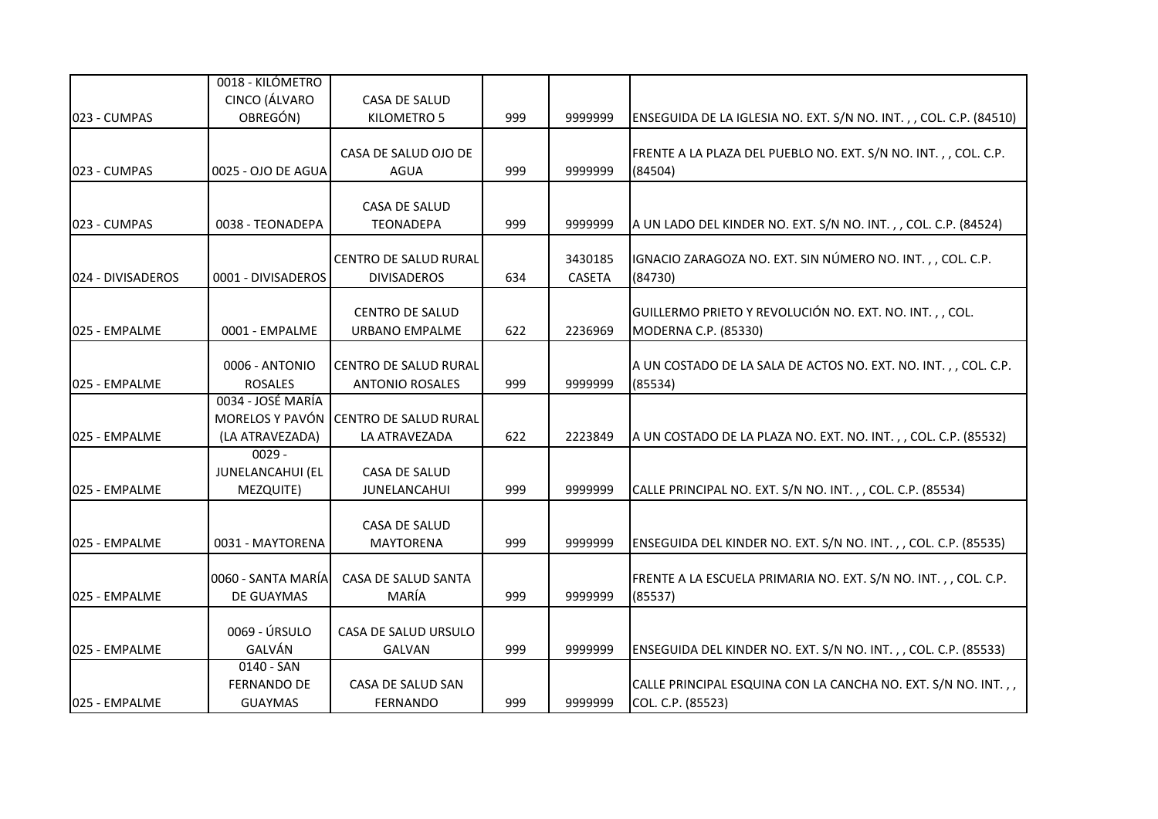|                    | 0018 - KILÓMETRO    |                              |     |               |                                                                   |
|--------------------|---------------------|------------------------------|-----|---------------|-------------------------------------------------------------------|
|                    | CINCO (ÁLVARO       | CASA DE SALUD                |     |               |                                                                   |
| 023 - CUMPAS       | OBREGÓN)            | KILOMETRO 5                  | 999 | 9999999       | ENSEGUIDA DE LA IGLESIA NO. EXT. S/N NO. INT.,, COL. C.P. (84510) |
|                    |                     |                              |     |               |                                                                   |
|                    |                     | CASA DE SALUD OJO DE         |     |               | FRENTE A LA PLAZA DEL PUEBLO NO. EXT. S/N NO. INT.,, COL. C.P.    |
| 023 - CUMPAS       | 0025 - OJO DE AGUA  | <b>AGUA</b>                  | 999 | 9999999       | (84504)                                                           |
|                    |                     |                              |     |               |                                                                   |
|                    |                     | <b>CASA DE SALUD</b>         |     |               |                                                                   |
| 023 - CUMPAS       | 0038 - TEONADEPA    | <b>TEONADEPA</b>             | 999 | 9999999       | A UN LADO DEL KINDER NO. EXT. S/N NO. INT.,, COL. C.P. (84524)    |
|                    |                     |                              |     |               |                                                                   |
|                    |                     | CENTRO DE SALUD RURAL        |     | 3430185       | IGNACIO ZARAGOZA NO. EXT. SIN NÚMERO NO. INT., , COL. C.P.        |
| 1024 - DIVISADEROS | 0001 - DIVISADEROS  | <b>DIVISADEROS</b>           | 634 | <b>CASETA</b> | (84730)                                                           |
|                    |                     | <b>CENTRO DE SALUD</b>       |     |               | GUILLERMO PRIETO Y REVOLUCIÓN NO. EXT. NO. INT.,, COL.            |
| 025 - EMPALME      | 0001 - EMPALME      | <b>URBANO EMPALME</b>        | 622 | 2236969       |                                                                   |
|                    |                     |                              |     |               | MODERNA C.P. (85330)                                              |
|                    | 0006 - ANTONIO      | CENTRO DE SALUD RURAL        |     |               | A UN COSTADO DE LA SALA DE ACTOS NO. EXT. NO. INT.,, COL. C.P.    |
| 025 - EMPALME      | <b>ROSALES</b>      | <b>ANTONIO ROSALES</b>       | 999 | 9999999       | (85534)                                                           |
|                    | 0034 - JOSÉ MARÍA   |                              |     |               |                                                                   |
|                    | MORELOS Y PAVÓN     | <b>CENTRO DE SALUD RURAL</b> |     |               |                                                                   |
| 025 - EMPALME      | (LA ATRAVEZADA)     | LA ATRAVEZADA                | 622 | 2223849       | A UN COSTADO DE LA PLAZA NO. EXT. NO. INT.,, COL. C.P. (85532)    |
|                    | $0029 -$            |                              |     |               |                                                                   |
|                    | JUNELANCAHUI (EL    | <b>CASA DE SALUD</b>         |     |               |                                                                   |
| 025 - EMPALME      | MEZQUITE)           | JUNELANCAHUI                 | 999 | 9999999       | CALLE PRINCIPAL NO. EXT. S/N NO. INT.,, COL. C.P. (85534)         |
|                    |                     |                              |     |               |                                                                   |
|                    |                     | CASA DE SALUD                |     |               |                                                                   |
| 025 - EMPALME      | 0031 - MAYTORENA    | <b>MAYTORENA</b>             | 999 | 9999999       | ENSEGUIDA DEL KINDER NO. EXT. S/N NO. INT.,, COL. C.P. (85535)    |
|                    |                     |                              |     |               |                                                                   |
|                    | 10060 - SANTA MARÍA | CASA DE SALUD SANTA          |     |               | FRENTE A LA ESCUELA PRIMARIA NO. EXT. S/N NO. INT., COL. C.P.     |
| 025 - EMPALME      | DE GUAYMAS          | MARÍA                        | 999 | 9999999       | (85537)                                                           |
|                    |                     |                              |     |               |                                                                   |
|                    | 0069 - ÚRSULO       | CASA DE SALUD URSULO         |     |               |                                                                   |
| 025 - EMPALME      | GALVÁN              | <b>GALVAN</b>                | 999 | 9999999       | ENSEGUIDA DEL KINDER NO. EXT. S/N NO. INT.,, COL. C.P. (85533)    |
|                    | $0140 - SAN$        |                              |     |               |                                                                   |
|                    | <b>FERNANDO DE</b>  | CASA DE SALUD SAN            |     |               | CALLE PRINCIPAL ESQUINA CON LA CANCHA NO. EXT. S/N NO. INT.,,     |
| 025 - EMPALME      | <b>GUAYMAS</b>      | <b>FERNANDO</b>              | 999 | 9999999       | COL. C.P. (85523)                                                 |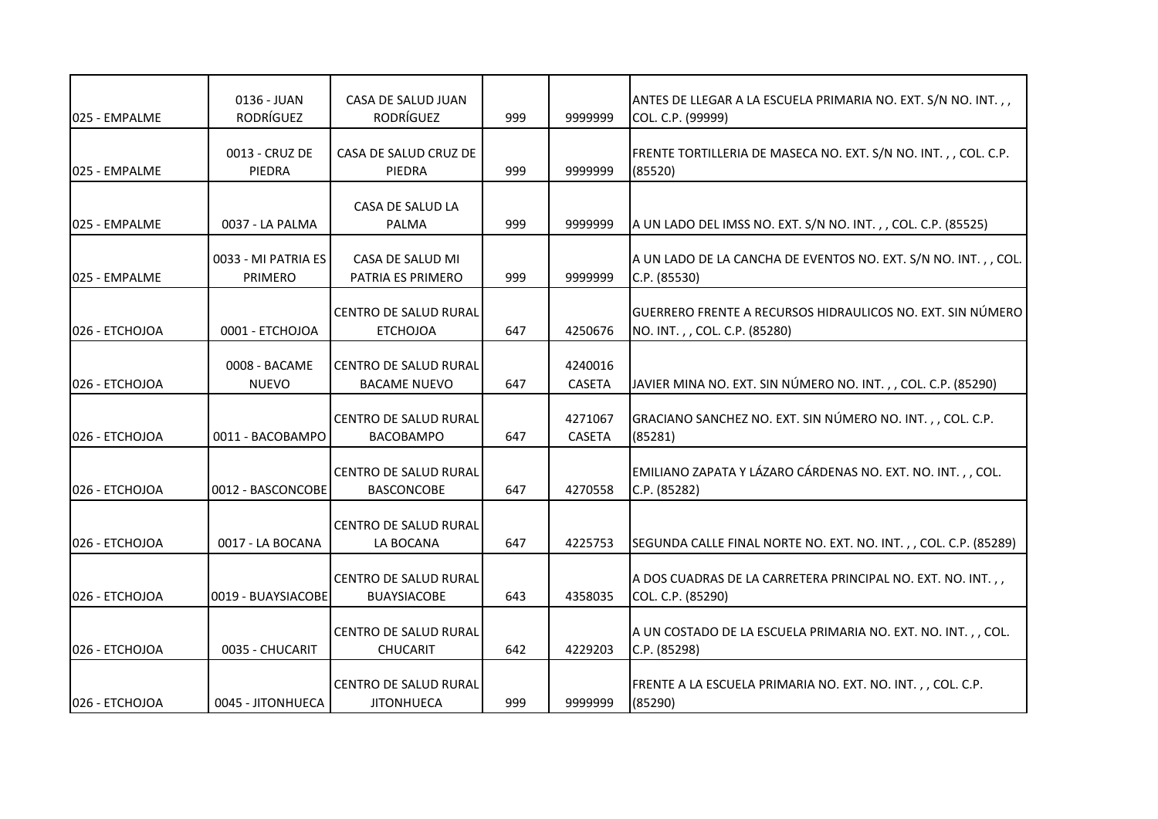| 025 - EMPALME   | 0136 - JUAN<br>RODRÍGUEZ       | CASA DE SALUD JUAN<br>RODRÍGUEZ                  | 999 | 9999999                  | ANTES DE LLEGAR A LA ESCUELA PRIMARIA NO. EXT. S/N NO. INT.,,<br>COL. C.P. (99999)          |
|-----------------|--------------------------------|--------------------------------------------------|-----|--------------------------|---------------------------------------------------------------------------------------------|
| 025 - EMPALME   | 0013 - CRUZ DE<br>PIEDRA       | CASA DE SALUD CRUZ DE<br>PIEDRA                  | 999 | 9999999                  | FRENTE TORTILLERIA DE MASECA NO. EXT. S/N NO. INT.,, COL. C.P.<br>(85520)                   |
| 025 - EMPALME   | 0037 - LA PALMA                | CASA DE SALUD LA<br>PALMA                        | 999 | 9999999                  | A UN LADO DEL IMSS NO. EXT. S/N NO. INT.,, COL. C.P. (85525)                                |
| 025 - EMPALME   | 0033 - MI PATRIA ES<br>PRIMERO | CASA DE SALUD MI<br>PATRIA ES PRIMERO            | 999 | 9999999                  | A UN LADO DE LA CANCHA DE EVENTOS NO. EXT. S/N NO. INT.,, COL.<br>C.P. (85530)              |
| 026 - ETCHOJOA  | 0001 - ETCHOJOA                | CENTRO DE SALUD RURAL<br><b>ETCHOJOA</b>         | 647 | 4250676                  | IGUERRERO FRENTE A RECURSOS HIDRAULICOS NO. EXT. SIN NUMERO<br>NO. INT.,, COL. C.P. (85280) |
| 1026 - ETCHOJOA | 0008 - BACAME<br><b>NUEVO</b>  | CENTRO DE SALUD RURAL<br><b>BACAME NUEVO</b>     | 647 | 4240016<br><b>CASETA</b> | JAVIER MINA NO. EXT. SIN NÚMERO NO. INT.,, COL. C.P. (85290)                                |
| 026 - ETCHOJOA  | 0011 - BACOBAMPO               | <b>CENTRO DE SALUD RURAL</b><br><b>BACOBAMPO</b> | 647 | 4271067<br><b>CASETA</b> | GRACIANO SANCHEZ NO. EXT. SIN NÚMERO NO. INT., , COL. C.P.<br>(85281)                       |
| 026 - ETCHOJOA  | 0012 - BASCONCOBE              | CENTRO DE SALUD RURAL<br><b>BASCONCOBE</b>       | 647 | 4270558                  | EMILIANO ZAPATA Y LÁZARO CÁRDENAS NO. EXT. NO. INT.,, COL.<br>C.P. (85282)                  |
| 1026 - ETCHOJOA | 0017 - LA BOCANA               | CENTRO DE SALUD RURAL<br>LA BOCANA               | 647 | 4225753                  | SEGUNDA CALLE FINAL NORTE NO. EXT. NO. INT.,, COL. C.P. (85289)                             |
| 026 - ETCHOJOA  | 0019 - BUAYSIACOBE             | CENTRO DE SALUD RURAL<br><b>BUAYSIACOBE</b>      | 643 | 4358035                  | A DOS CUADRAS DE LA CARRETERA PRINCIPAL NO. EXT. NO. INT.,,<br>COL. C.P. (85290)            |
| 026 - ETCHOJOA  | 0035 - CHUCARIT                | CENTRO DE SALUD RURAL<br><b>CHUCARIT</b>         | 642 | 4229203                  | A UN COSTADO DE LA ESCUELA PRIMARIA NO. EXT. NO. INT.,, COL.<br>C.P. (85298)                |
| 026 - ETCHOJOA  | 0045 - JITONHUECA              | CENTRO DE SALUD RURAL<br><b>JITONHUECA</b>       | 999 | 9999999                  | FRENTE A LA ESCUELA PRIMARIA NO. EXT. NO. INT.,, COL. C.P.<br>(85290)                       |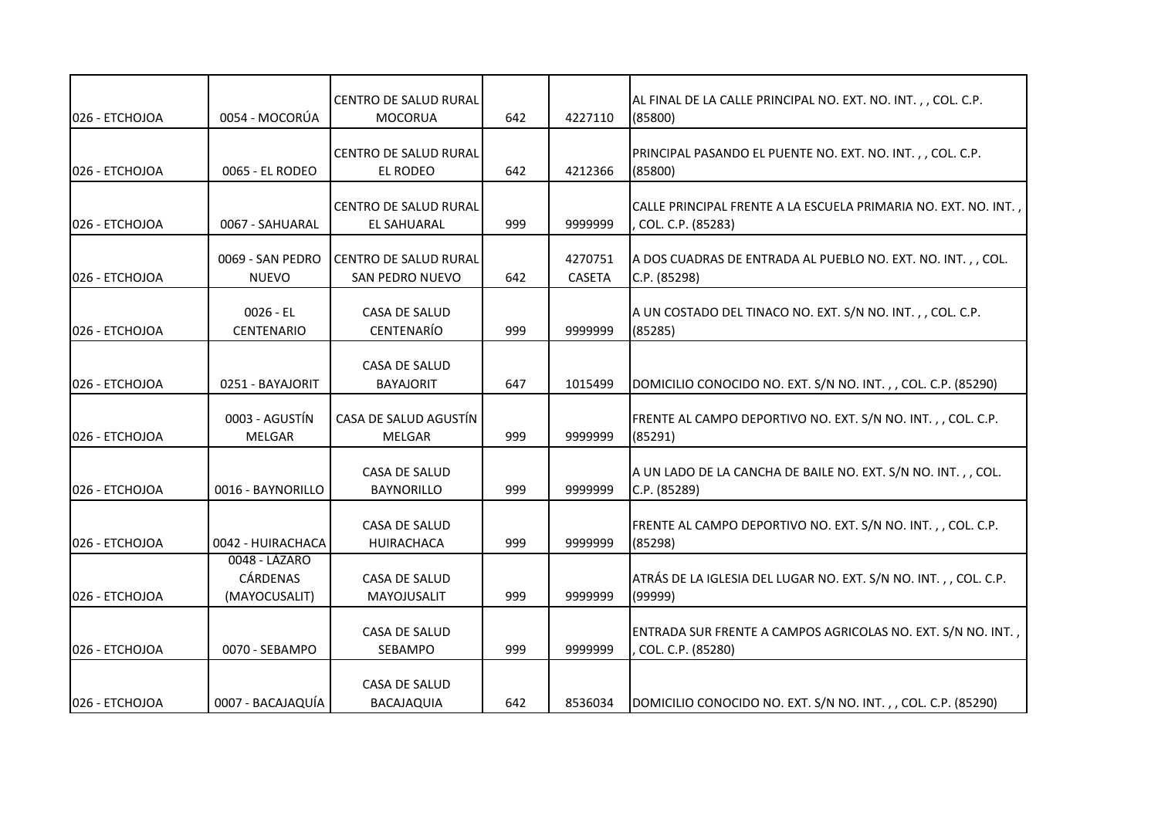| 026 - ETCHOJOA  | 0054 - MOCORÚA                                    | CENTRO DE SALUD RURAL<br><b>MOCORUA</b>            | 642 | 4227110                  | AL FINAL DE LA CALLE PRINCIPAL NO. EXT. NO. INT.,, COL. C.P.<br>(85800)              |
|-----------------|---------------------------------------------------|----------------------------------------------------|-----|--------------------------|--------------------------------------------------------------------------------------|
| 026 - ETCHOJOA  | 0065 - EL RODEO                                   | CENTRO DE SALUD RURAL<br><b>EL RODEO</b>           | 642 | 4212366                  | PRINCIPAL PASANDO EL PUENTE NO. EXT. NO. INT.,, COL. C.P.<br>(85800)                 |
| 026 - ETCHOJOA  | 0067 - SAHUARAL                                   | <b>CENTRO DE SALUD RURAL</b><br><b>EL SAHUARAL</b> | 999 | 9999999                  | CALLE PRINCIPAL FRENTE A LA ESCUELA PRIMARIA NO. EXT. NO. INT.,<br>COL. C.P. (85283) |
| 1026 - ETCHOJOA | 0069 - SAN PEDRO<br><b>NUEVO</b>                  | CENTRO DE SALUD RURAL<br>SAN PEDRO NUEVO           | 642 | 4270751<br><b>CASETA</b> | A DOS CUADRAS DE ENTRADA AL PUEBLO NO. EXT. NO. INT.,, COL.<br>C.P. (85298)          |
| 026 - ETCHOJOA  | $0026 - EL$<br><b>CENTENARIO</b>                  | CASA DE SALUD<br><b>CENTENARÍO</b>                 | 999 | 9999999                  | A UN COSTADO DEL TINACO NO. EXT. S/N NO. INT.,, COL. C.P.<br>(85285)                 |
| 026 - ETCHOJOA  | 0251 - BAYAJORIT                                  | <b>CASA DE SALUD</b><br><b>BAYAJORIT</b>           | 647 | 1015499                  | DOMICILIO CONOCIDO NO. EXT. S/N NO. INT. , , COL. C.P. (85290)                       |
| 026 - ETCHOJOA  | 0003 - AGUSTÍN<br>MELGAR                          | CASA DE SALUD AGUSTÍN<br>MELGAR                    | 999 | 9999999                  | FRENTE AL CAMPO DEPORTIVO NO. EXT. S/N NO. INT. , , COL. C.P.<br>(85291)             |
| 026 - ETCHOJOA  | 0016 - BAYNORILLO                                 | CASA DE SALUD<br><b>BAYNORILLO</b>                 | 999 | 9999999                  | A UN LADO DE LA CANCHA DE BAILE NO. EXT. S/N NO. INT.,, COL.<br>C.P. (85289)         |
| l026 - ETCHOJOA | 0042 - HUIRACHACA                                 | CASA DE SALUD<br><b>HUIRACHACA</b>                 | 999 | 9999999                  | [FRENTE AL CAMPO DEPORTIVO NO. EXT. S/N NO. INT. , , COL. C.P.<br>(85298)            |
| 026 - ETCHOJOA  | 0048 - LÁZARO<br><b>CÁRDENAS</b><br>(MAYOCUSALIT) | <b>CASA DE SALUD</b><br>MAYOJUSALIT                | 999 | 9999999                  | ATRÁS DE LA IGLESIA DEL LUGAR NO. EXT. S/N NO. INT.,, COL. C.P.<br>(99999)           |
| 1026 - ETCHOJOA | 0070 - SEBAMPO                                    | CASA DE SALUD<br>SEBAMPO                           | 999 | 9999999                  | ENTRADA SUR FRENTE A CAMPOS AGRICOLAS NO. EXT. S/N NO. INT.,<br>COL. C.P. (85280)    |
| 026 - ETCHOJOA  | 0007 - BACAJAQUÍA                                 | CASA DE SALUD<br><b>BACAJAQUIA</b>                 | 642 | 8536034                  | DOMICILIO CONOCIDO NO. EXT. S/N NO. INT., COL. C.P. (85290)                          |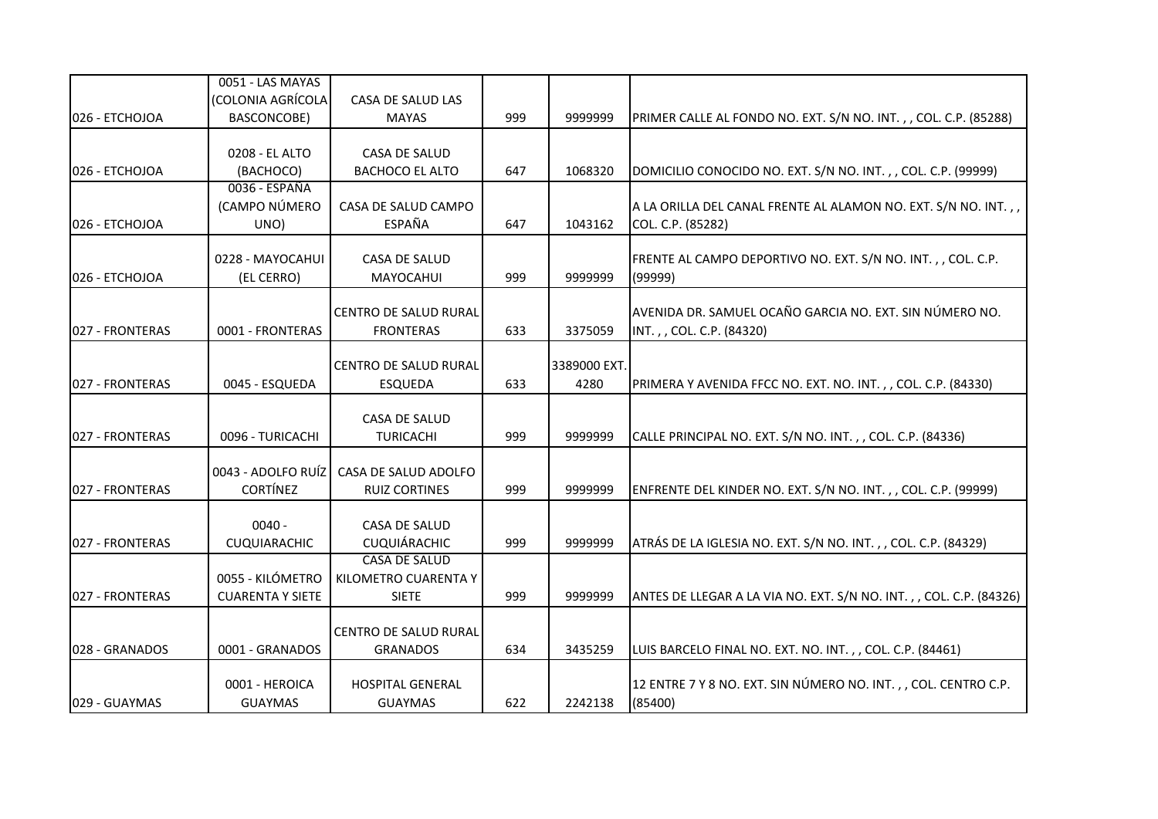|                  | 0051 - LAS MAYAS                      |                                      |     |              |                                                                    |
|------------------|---------------------------------------|--------------------------------------|-----|--------------|--------------------------------------------------------------------|
|                  | (COLONIA AGRÍCOLA                     | CASA DE SALUD LAS                    |     |              |                                                                    |
| 026 - ETCHOJOA   | <b>BASCONCOBE)</b>                    | <b>MAYAS</b>                         | 999 | 9999999      | PRIMER CALLE AL FONDO NO. EXT. S/N NO. INT.,, COL. C.P. (85288)    |
|                  |                                       |                                      |     |              |                                                                    |
|                  | 0208 - EL ALTO                        | CASA DE SALUD                        |     |              |                                                                    |
| 026 - ETCHOJOA   | (BACHOCO)                             | <b>BACHOCO EL ALTO</b>               | 647 | 1068320      | DOMICILIO CONOCIDO NO. EXT. S/N NO. INT.,, COL. C.P. (99999)       |
|                  | 0036 - ESPAÑA                         |                                      |     |              |                                                                    |
|                  | (CAMPO NÚMERO                         | CASA DE SALUD CAMPO                  |     |              | A LA ORILLA DEL CANAL FRENTE AL ALAMON NO. EXT. S/N NO. INT.,,     |
| 026 - ETCHOJOA   | UNO)                                  | ESPAÑA                               | 647 | 1043162      | COL. C.P. (85282)                                                  |
|                  |                                       |                                      |     |              |                                                                    |
|                  | 0228 - MAYOCAHUI                      | <b>CASA DE SALUD</b>                 |     |              | FRENTE AL CAMPO DEPORTIVO NO. EXT. S/N NO. INT.,, COL. C.P.        |
| 026 - ETCHOJOA   | (EL CERRO)                            | <b>MAYOCAHUI</b>                     | 999 | 9999999      | (99999)                                                            |
|                  |                                       |                                      |     |              |                                                                    |
|                  |                                       | CENTRO DE SALUD RURAL                |     |              | AVENIDA DR. SAMUEL OCAÑO GARCIA NO. EXT. SIN NÚMERO NO.            |
| 027 - FRONTERAS  | 0001 - FRONTERAS                      | <b>FRONTERAS</b>                     | 633 | 3375059      | INT.,, COL. C.P. (84320)                                           |
|                  |                                       |                                      |     |              |                                                                    |
|                  |                                       | CENTRO DE SALUD RURAL                |     | 3389000 EXT. |                                                                    |
| 027 - FRONTERAS  | 0045 - ESQUEDA                        | <b>ESQUEDA</b>                       | 633 | 4280         | PRIMERA Y AVENIDA FFCC NO. EXT. NO. INT.,, COL. C.P. (84330)       |
|                  |                                       |                                      |     |              |                                                                    |
|                  |                                       | <b>CASA DE SALUD</b>                 |     |              |                                                                    |
| 027 - FRONTERAS  | 0096 - TURICACHI                      | TURICACHI                            | 999 | 9999999      | CALLE PRINCIPAL NO. EXT. S/N NO. INT.,, COL. C.P. (84336)          |
|                  |                                       |                                      |     |              |                                                                    |
| 027 - FRONTERAS  | 0043 - ADOLFO RUÍZ<br><b>CORTÍNEZ</b> | CASA DE SALUD ADOLFO                 |     |              |                                                                    |
|                  |                                       | <b>RUIZ CORTINES</b>                 | 999 | 9999999      | ENFRENTE DEL KINDER NO. EXT. S/N NO. INT.,, COL. C.P. (99999)      |
|                  | $0040 -$                              |                                      |     |              |                                                                    |
| 027 - FRONTERAS  | CUQUIARACHIC                          | CASA DE SALUD<br><b>CUQUIÁRACHIC</b> | 999 | 9999999      | ATRÁS DE LA IGLESIA NO. EXT. S/N NO. INT.,, COL. C.P. (84329)      |
|                  |                                       | <b>CASA DE SALUD</b>                 |     |              |                                                                    |
|                  | 0055 - KILÓMETRO                      | KILOMETRO CUARENTA Y                 |     |              |                                                                    |
|                  |                                       |                                      |     | 9999999      |                                                                    |
| 1027 - FRONTERAS | <b>CUARENTA Y SIETE</b>               | <b>SIETE</b>                         | 999 |              | ANTES DE LLEGAR A LA VIA NO. EXT. S/N NO. INT.,, COL. C.P. (84326) |
|                  |                                       | CENTRO DE SALUD RURAL                |     |              |                                                                    |
|                  |                                       |                                      |     |              |                                                                    |
| 028 - GRANADOS   | 0001 - GRANADOS                       | <b>GRANADOS</b>                      | 634 | 3435259      | LUIS BARCELO FINAL NO. EXT. NO. INT.,, COL. C.P. (84461)           |
|                  | 0001 - HEROICA                        | <b>HOSPITAL GENERAL</b>              |     |              | 12 ENTRE 7 Y 8 NO. EXT. SIN NÚMERO NO. INT., , COL. CENTRO C.P.    |
| 029 - GUAYMAS    | <b>GUAYMAS</b>                        | <b>GUAYMAS</b>                       | 622 | 2242138      | (85400)                                                            |
|                  |                                       |                                      |     |              |                                                                    |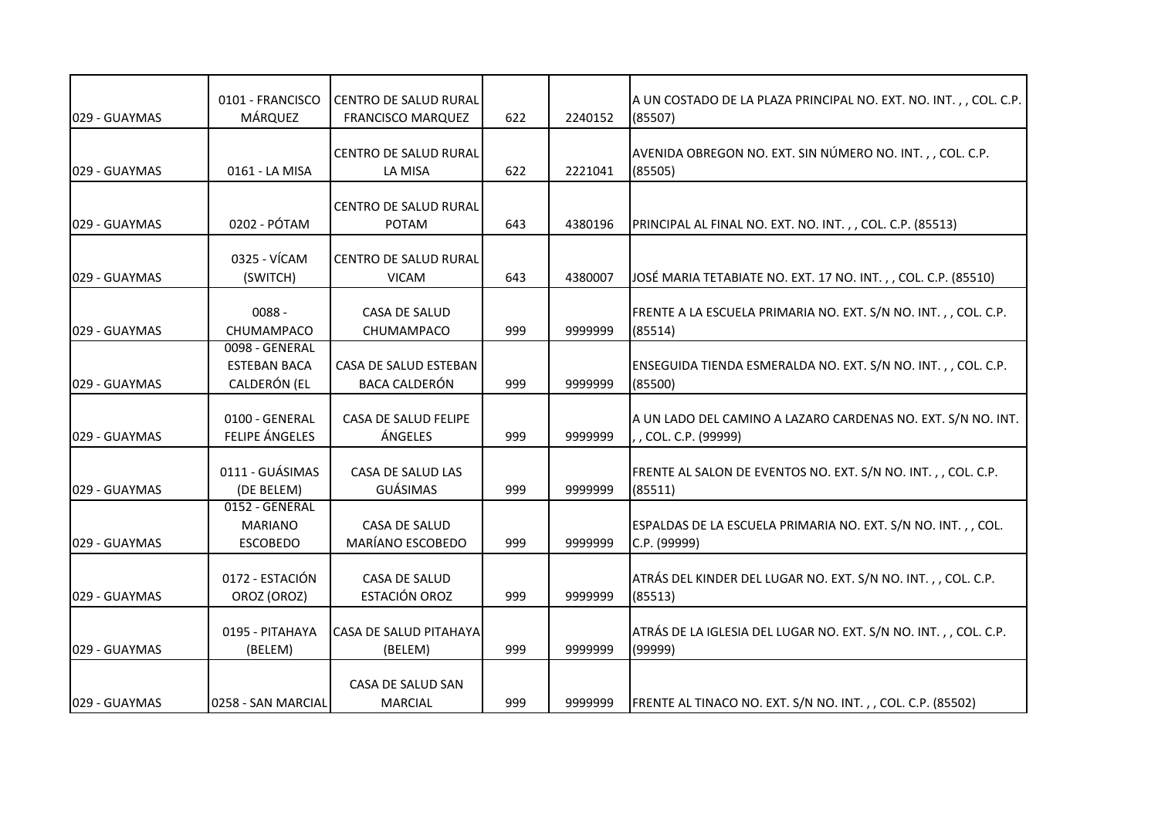| 029 - GUAYMAS | 0101 - FRANCISCO<br>MÁRQUEZ                           | <b>CENTRO DE SALUD RURAL</b><br><b>FRANCISCO MARQUEZ</b> | 622 | 2240152 | A UN COSTADO DE LA PLAZA PRINCIPAL NO. EXT. NO. INT., , COL. C.P.<br>(85507)        |
|---------------|-------------------------------------------------------|----------------------------------------------------------|-----|---------|-------------------------------------------------------------------------------------|
| 029 - GUAYMAS | 0161 - LA MISA                                        | <b>CENTRO DE SALUD RURAL</b><br>LA MISA                  | 622 | 2221041 | AVENIDA OBREGON NO. EXT. SIN NÚMERO NO. INT.,, COL. C.P.<br>(85505)                 |
| 029 - GUAYMAS | 0202 - PÓTAM                                          | <b>CENTRO DE SALUD RURAL</b><br>POTAM                    | 643 | 4380196 | PRINCIPAL AL FINAL NO. EXT. NO. INT.,, COL. C.P. (85513)                            |
| 029 - GUAYMAS | 0325 - VÍCAM<br>(SWITCH)                              | CENTRO DE SALUD RURAL<br><b>VICAM</b>                    | 643 | 4380007 | JOSÉ MARIA TETABIATE NO. EXT. 17 NO. INT.,, COL. C.P. (85510)                       |
| 029 - GUAYMAS | $0088 -$<br>CHUMAMPACO                                | CASA DE SALUD<br>CHUMAMPACO                              | 999 | 9999999 | FRENTE A LA ESCUELA PRIMARIA NO. EXT. S/N NO. INT., , COL. C.P.<br>(85514)          |
| 029 - GUAYMAS | 0098 - GENERAL<br><b>ESTEBAN BACA</b><br>CALDERÓN (EL | CASA DE SALUD ESTEBAN<br><b>BACA CALDERÓN</b>            | 999 | 9999999 | ENSEGUIDA TIENDA ESMERALDA NO. EXT. S/N NO. INT.,, COL. C.P.<br>(85500)             |
| 029 - GUAYMAS | 0100 - GENERAL<br>FELIPE ÁNGELES                      | CASA DE SALUD FELIPE<br>ÁNGELES                          | 999 | 9999999 | A UN LADO DEL CAMINO A LAZARO CARDENAS NO. EXT. S/N NO. INT.<br>, COL. C.P. (99999) |
| 029 - GUAYMAS | 0111 - GUÁSIMAS<br>(DE BELEM)                         | CASA DE SALUD LAS<br><b>GUÁSIMAS</b>                     | 999 | 9999999 | FRENTE AL SALON DE EVENTOS NO. EXT. S/N NO. INT.,, COL. C.P.<br>(85511)             |
| 029 - GUAYMAS | 0152 - GENERAL<br><b>MARIANO</b><br><b>ESCOBEDO</b>   | <b>CASA DE SALUD</b><br>MARÍANO ESCOBEDO                 | 999 | 9999999 | ESPALDAS DE LA ESCUELA PRIMARIA NO. EXT. S/N NO. INT., COL.<br>C.P. (99999)         |
| 029 - GUAYMAS | 0172 - ESTACIÓN<br>OROZ (OROZ)                        | CASA DE SALUD<br>ESTACIÓN OROZ                           | 999 | 9999999 | ATRÁS DEL KINDER DEL LUGAR NO. EXT. S/N NO. INT. , , COL. C.P.<br>(85513)           |
| 029 - GUAYMAS | 0195 - PITAHAYA<br>(BELEM)                            | <b>CASA DE SALUD PITAHAYA</b><br>(BELEM)                 | 999 | 9999999 | ATRÁS DE LA IGLESIA DEL LUGAR NO. EXT. S/N NO. INT.,, COL. C.P.<br>(99999)          |
| 029 - GUAYMAS | 10258 - SAN MARCIAL                                   | CASA DE SALUD SAN<br><b>MARCIAL</b>                      | 999 | 9999999 | FRENTE AL TINACO NO. EXT. S/N NO. INT.,, COL. C.P. (85502)                          |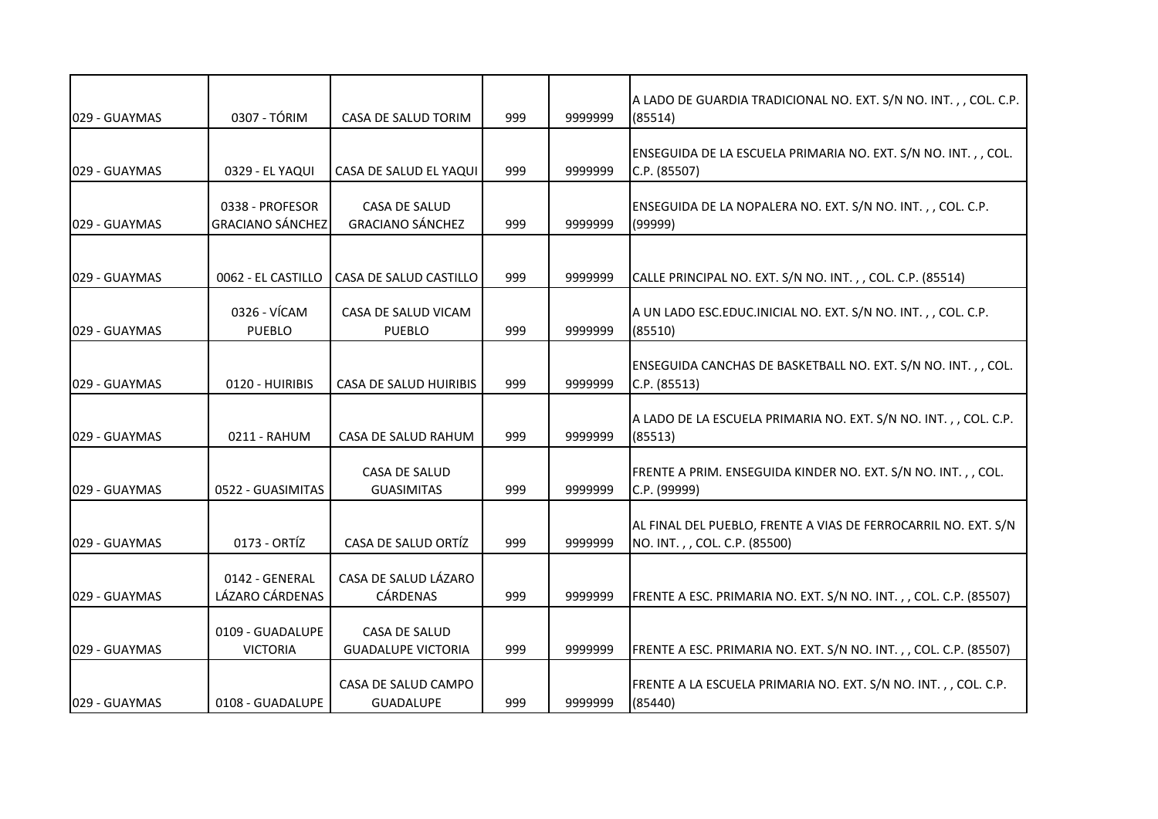| 029 - GUAYMAS  | 0307 - TÓRIM                               | CASA DE SALUD TORIM                        | 999 | 9999999 | A LADO DE GUARDIA TRADICIONAL NO. EXT. S/N NO. INT.,, COL. C.P.<br>(85514)                     |
|----------------|--------------------------------------------|--------------------------------------------|-----|---------|------------------------------------------------------------------------------------------------|
| 029 - GUAYMAS  | 0329 - EL YAQUI                            | CASA DE SALUD EL YAQUI                     | 999 | 9999999 | ENSEGUIDA DE LA ESCUELA PRIMARIA NO. EXT. S/N NO. INT. , , COL.<br>C.P. (85507)                |
| 029 - GUAYMAS  | 0338 - PROFESOR<br><b>GRACIANO SÁNCHEZ</b> | CASA DE SALUD<br><b>GRACIANO SÁNCHEZ</b>   | 999 | 9999999 | ENSEGUIDA DE LA NOPALERA NO. EXT. S/N NO. INT.,, COL. C.P.<br>(99999)                          |
| 029 - GUAYMAS  | 0062 - EL CASTILLO                         | CASA DE SALUD CASTILLO                     | 999 | 9999999 | CALLE PRINCIPAL NO. EXT. S/N NO. INT.,, COL. C.P. (85514)                                      |
| 029 - GUAYMAS  | 0326 - VÍCAM<br><b>PUEBLO</b>              | CASA DE SALUD VICAM<br><b>PUEBLO</b>       | 999 | 9999999 | A UN LADO ESC.EDUC.INICIAL NO. EXT. S/N NO. INT.,, COL. C.P.<br>(85510)                        |
| 029 - GUAYMAS  | 0120 - HUIRIBIS                            | <b>CASA DE SALUD HUIRIBIS</b>              | 999 | 9999999 | ENSEGUIDA CANCHAS DE BASKETBALL NO. EXT. S/N NO. INT.,, COL.<br>C.P. (85513)                   |
| 029 - GUAYMAS  | 0211 - RAHUM                               | CASA DE SALUD RAHUM                        | 999 | 9999999 | A LADO DE LA ESCUELA PRIMARIA NO. EXT. S/N NO. INT. , , COL. C.P.<br>(85513)                   |
| 029 - GUAYMAS  | 0522 - GUASIMITAS                          | CASA DE SALUD<br><b>GUASIMITAS</b>         | 999 | 9999999 | FRENTE A PRIM. ENSEGUIDA KINDER NO. EXT. S/N NO. INT.,, COL.<br>C.P. (99999)                   |
| l029 - GUAYMAS | 0173 - ORTÍZ                               | CASA DE SALUD ORTÍZ                        | 999 | 9999999 | AL FINAL DEL PUEBLO, FRENTE A VIAS DE FERROCARRIL NO. EXT. S/N<br>NO. INT.,, COL. C.P. (85500) |
| 029 - GUAYMAS  | 0142 - GENERAL<br>LÁZARO CÁRDENAS          | CASA DE SALUD LÁZARO<br><b>CÁRDENAS</b>    | 999 | 9999999 | FRENTE A ESC. PRIMARIA NO. EXT. S/N NO. INT.,, COL. C.P. (85507)                               |
| 029 - GUAYMAS  | 0109 - GUADALUPE<br><b>VICTORIA</b>        | CASA DE SALUD<br><b>GUADALUPE VICTORIA</b> | 999 | 9999999 | FRENTE A ESC. PRIMARIA NO. EXT. S/N NO. INT.,, COL. C.P. (85507)                               |
| 029 - GUAYMAS  | 0108 - GUADALUPE                           | CASA DE SALUD CAMPO<br><b>GUADALUPE</b>    | 999 | 9999999 | FRENTE A LA ESCUELA PRIMARIA NO. EXT. S/N NO. INT., , COL. C.P.<br>(85440)                     |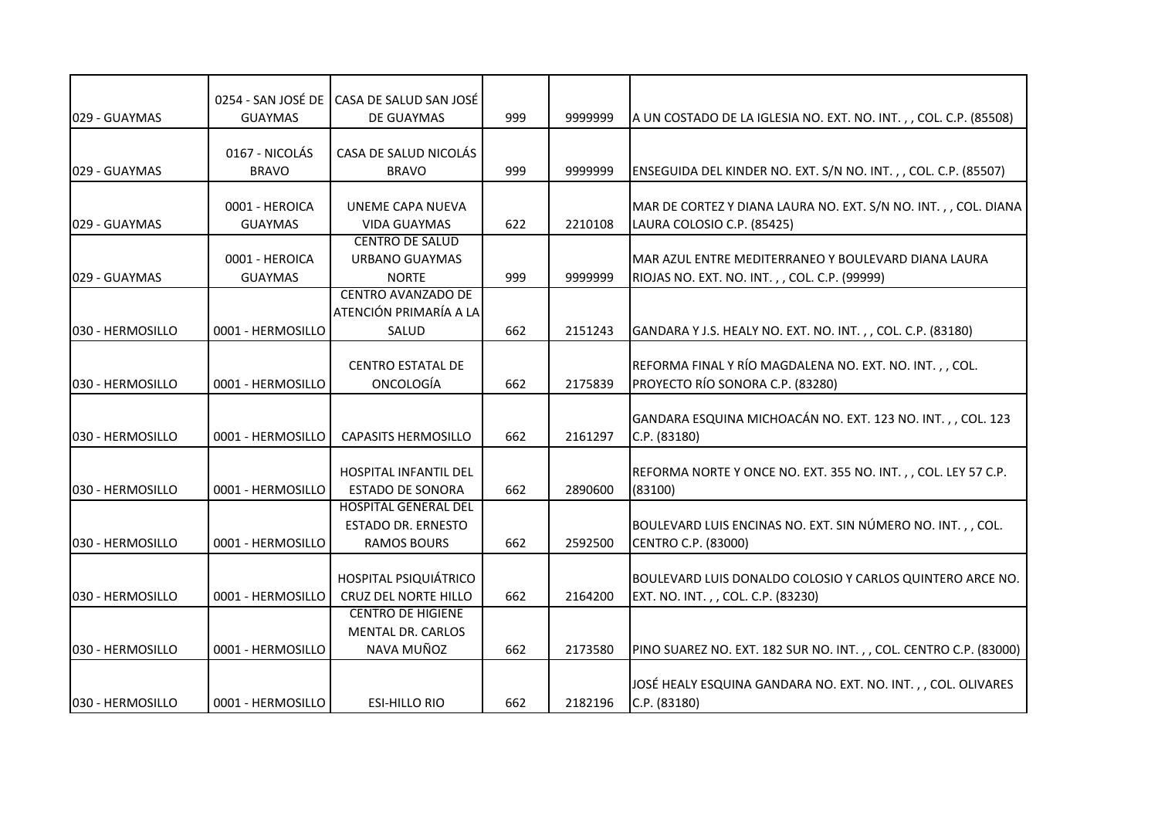| 029 - GUAYMAS    | 0254 - SAN JOSÉ DE<br><b>GUAYMAS</b> | CASA DE SALUD SAN JOSÉ<br>DE GUAYMAS                                           | 999 | 9999999 | A UN COSTADO DE LA IGLESIA NO. EXT. NO. INT.,, COL. C.P. (85508)                                    |
|------------------|--------------------------------------|--------------------------------------------------------------------------------|-----|---------|-----------------------------------------------------------------------------------------------------|
|                  | 0167 - NICOLÁS                       |                                                                                |     |         |                                                                                                     |
| 029 - GUAYMAS    | <b>BRAVO</b>                         | CASA DE SALUD NICOLÁS<br><b>BRAVO</b>                                          | 999 | 9999999 | ENSEGUIDA DEL KINDER NO. EXT. S/N NO. INT.,, COL. C.P. (85507)                                      |
|                  | 0001 - HEROICA                       | UNEME CAPA NUEVA                                                               |     |         | MAR DE CORTEZ Y DIANA LAURA NO. EXT. S/N NO. INT.,, COL. DIANA                                      |
| 029 - GUAYMAS    | <b>GUAYMAS</b>                       | <b>VIDA GUAYMAS</b>                                                            | 622 | 2210108 | LAURA COLOSIO C.P. (85425)                                                                          |
| 029 - GUAYMAS    | 0001 - HEROICA<br><b>GUAYMAS</b>     | <b>CENTRO DE SALUD</b><br><b>URBANO GUAYMAS</b><br><b>NORTE</b>                | 999 | 9999999 | MAR AZUL ENTRE MEDITERRANEO Y BOULEVARD DIANA LAURA<br>RIOJAS NO. EXT. NO. INT.,, COL. C.P. (99999) |
|                  |                                      | <b>CENTRO AVANZADO DE</b>                                                      |     |         |                                                                                                     |
| 030 - HERMOSILLO | 0001 - HERMOSILLO                    | ATENCIÓN PRIMARÍA A LA<br>SALUD                                                | 662 | 2151243 | GANDARA Y J.S. HEALY NO. EXT. NO. INT.,, COL. C.P. (83180)                                          |
| 030 - HERMOSILLO | 0001 - HERMOSILLO                    | <b>CENTRO ESTATAL DE</b><br><b>ONCOLOGÍA</b>                                   | 662 | 2175839 | REFORMA FINAL Y RÍO MAGDALENA NO. EXT. NO. INT.,, COL.<br>PROYECTO RÍO SONORA C.P. (83280)          |
| 030 - HERMOSILLO | 0001 - HERMOSILLO                    | <b>CAPASITS HERMOSILLO</b>                                                     | 662 | 2161297 | GANDARA ESQUINA MICHOACÁN NO. EXT. 123 NO. INT.,, COL. 123<br>C.P. (83180)                          |
| 030 - HERMOSILLO | 0001 - HERMOSILLO                    | HOSPITAL INFANTIL DEL<br><b>ESTADO DE SONORA</b>                               | 662 | 2890600 | REFORMA NORTE Y ONCE NO. EXT. 355 NO. INT.,, COL. LEY 57 C.P.<br>(83100)                            |
| 030 - HERMOSILLO | 0001 - HERMOSILLO                    | <b>HOSPITAL GENERAL DEL</b><br><b>ESTADO DR. ERNESTO</b><br><b>RAMOS BOURS</b> | 662 | 2592500 | BOULEVARD LUIS ENCINAS NO. EXT. SIN NÚMERO NO. INT.,, COL.<br>CENTRO C.P. (83000)                   |
| 030 - HERMOSILLO | 0001 - HERMOSILLO                    | <b>HOSPITAL PSIQUIÁTRICO</b><br>CRUZ DEL NORTE HILLO                           | 662 | 2164200 | BOULEVARD LUIS DONALDO COLOSIO Y CARLOS QUINTERO ARCE NO.<br>EXT. NO. INT.,, COL. C.P. (83230)      |
|                  |                                      | <b>CENTRO DE HIGIENE</b><br><b>MENTAL DR. CARLOS</b>                           |     |         |                                                                                                     |
| 030 - HERMOSILLO | 0001 - HERMOSILLO                    | NAVA MUÑOZ                                                                     | 662 | 2173580 | PINO SUAREZ NO. EXT. 182 SUR NO. INT.,, COL. CENTRO C.P. (83000)                                    |
| 030 - HERMOSILLO | 0001 - HERMOSILLO                    | <b>ESI-HILLO RIO</b>                                                           | 662 | 2182196 | JOSÉ HEALY ESQUINA GANDARA NO. EXT. NO. INT. , , COL. OLIVARES<br>C.P. (83180)                      |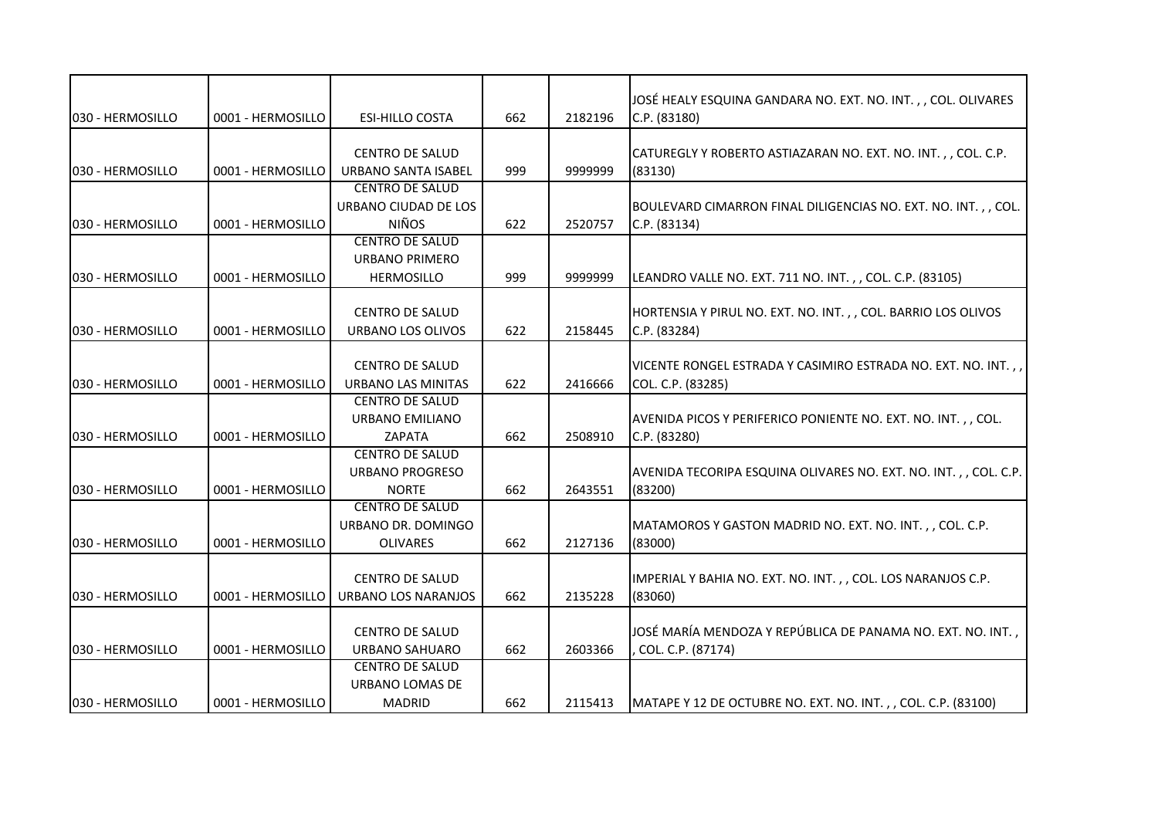| 030 - HERMOSILLO  | 0001 - HERMOSILLO | <b>ESI-HILLO COSTA</b>                                           | 662 | 2182196 | JOSÉ HEALY ESQUINA GANDARA NO. EXT. NO. INT. , , COL. OLIVARES<br>C.P. (83180)    |
|-------------------|-------------------|------------------------------------------------------------------|-----|---------|-----------------------------------------------------------------------------------|
|                   |                   | <b>CENTRO DE SALUD</b>                                           |     |         | CATUREGLY Y ROBERTO ASTIAZARAN NO. EXT. NO. INT.,, COL. C.P.                      |
| 030 - HERMOSILLO  | 0001 - HERMOSILLO | <b>URBANO SANTA ISABEL</b>                                       | 999 | 9999999 | (83130)                                                                           |
| 030 - HERMOSILLO  | 0001 - HERMOSILLO | <b>CENTRO DE SALUD</b><br>URBANO CIUDAD DE LOS<br><b>NIÑOS</b>   | 622 | 2520757 | BOULEVARD CIMARRON FINAL DILIGENCIAS NO. EXT. NO. INT., , COL.<br>C.P. (83134)    |
|                   |                   | <b>CENTRO DE SALUD</b><br><b>URBANO PRIMERO</b>                  |     |         |                                                                                   |
| 030 - HERMOSILLO  | 0001 - HERMOSILLO | <b>HERMOSILLO</b>                                                | 999 | 9999999 | LEANDRO VALLE NO. EXT. 711 NO. INT.,, COL. C.P. (83105)                           |
| 030 - HERMOSILLO  | 0001 - HERMOSILLO | <b>CENTRO DE SALUD</b><br>URBANO LOS OLIVOS                      | 622 | 2158445 | HORTENSIA Y PIRUL NO. EXT. NO. INT.,, COL. BARRIO LOS OLIVOS<br>C.P. (83284)      |
| 030 - HERMOSILLO  | 0001 - HERMOSILLO | <b>CENTRO DE SALUD</b><br><b>URBANO LAS MINITAS</b>              | 622 | 2416666 | VICENTE RONGEL ESTRADA Y CASIMIRO ESTRADA NO. EXT. NO. INT.,<br>COL. C.P. (83285) |
| 030 - HERMOSILLO  | 0001 - HERMOSILLO | <b>CENTRO DE SALUD</b><br>URBANO EMILIANO<br>ZAPATA              | 662 | 2508910 | AVENIDA PICOS Y PERIFERICO PONIENTE NO. EXT. NO. INT.,, COL.<br>C.P. (83280)      |
| 030 - HERMOSILLO  | 0001 - HERMOSILLO | <b>CENTRO DE SALUD</b><br><b>URBANO PROGRESO</b><br><b>NORTE</b> | 662 | 2643551 | AVENIDA TECORIPA ESQUINA OLIVARES NO. EXT. NO. INT., , COL. C.P.<br>(83200)       |
| 030 - HERMOSILLO  | 0001 - HERMOSILLO | <b>CENTRO DE SALUD</b><br>URBANO DR. DOMINGO<br><b>OLIVARES</b>  | 662 | 2127136 | MATAMOROS Y GASTON MADRID NO. EXT. NO. INT.,, COL. C.P.<br>(83000)                |
| 1030 - HERMOSILLO | 0001 - HERMOSILLO | <b>CENTRO DE SALUD</b><br><b>URBANO LOS NARANJOS</b>             | 662 | 2135228 | IMPERIAL Y BAHIA NO. EXT. NO. INT.,, COL. LOS NARANJOS C.P.<br>(83060)            |
| 030 - HERMOSILLO  | 0001 - HERMOSILLO | <b>CENTRO DE SALUD</b><br><b>URBANO SAHUARO</b>                  | 662 | 2603366 | JOSÉ MARÍA MENDOZA Y REPÚBLICA DE PANAMA NO. EXT. NO. INT.,<br>COL. C.P. (87174)  |
| 1030 - HERMOSILLO | 0001 - HERMOSILLO | <b>CENTRO DE SALUD</b><br>URBANO LOMAS DE<br><b>MADRID</b>       | 662 | 2115413 | MATAPE Y 12 DE OCTUBRE NO. EXT. NO. INT.,, COL. C.P. (83100)                      |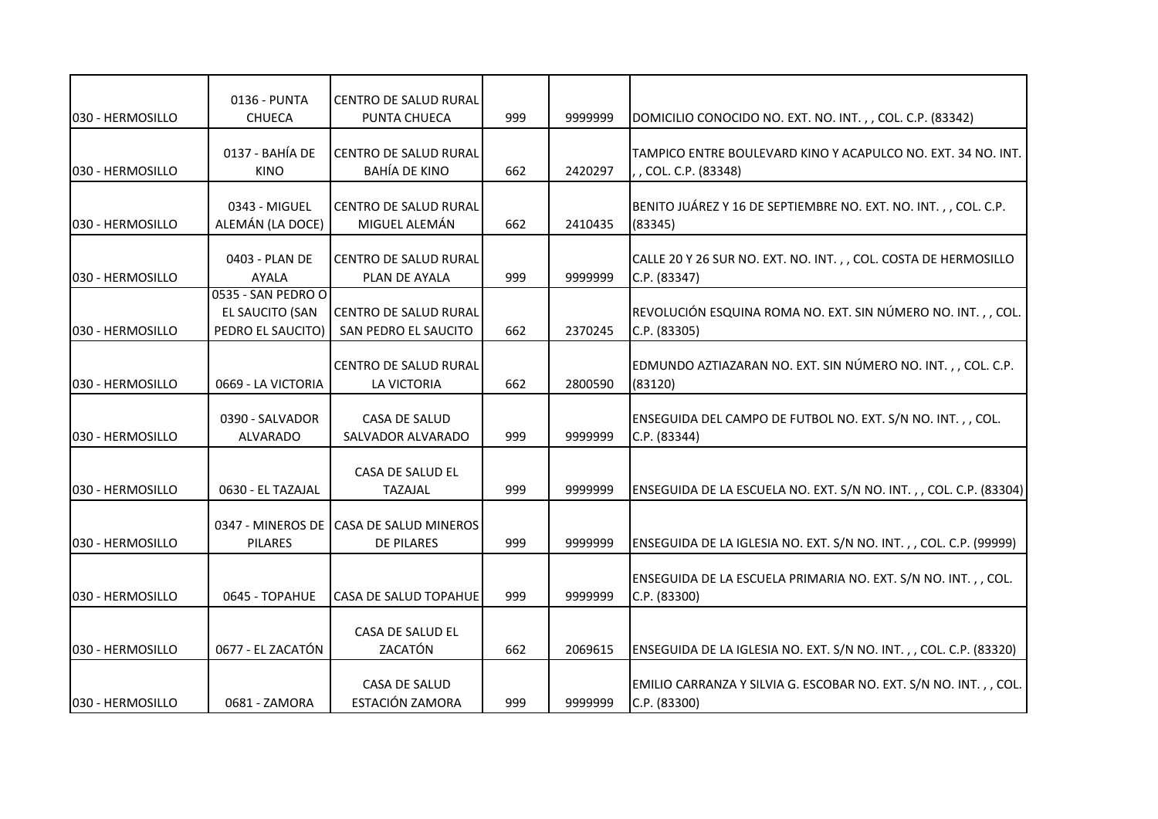|                  | 0136 - PUNTA                                               | CENTRO DE SALUD RURAL                                |     |         |                                                                                       |
|------------------|------------------------------------------------------------|------------------------------------------------------|-----|---------|---------------------------------------------------------------------------------------|
| 030 - HERMOSILLO | <b>CHUECA</b>                                              | PUNTA CHUECA                                         | 999 | 9999999 | DOMICILIO CONOCIDO NO. EXT. NO. INT.,, COL. C.P. (83342)                              |
| 030 - HERMOSILLO | 0137 - BAHÍA DE<br><b>KINO</b>                             | <b>CENTRO DE SALUD RURAL</b><br><b>BAHÍA DE KINO</b> | 662 | 2420297 | TAMPICO ENTRE BOULEVARD KINO Y ACAPULCO NO. EXT. 34 NO. INT.<br>, , COL. C.P. (83348) |
| 030 - HERMOSILLO | 0343 - MIGUEL<br>ALEMÁN (LA DOCE)                          | CENTRO DE SALUD RURAL<br>MIGUEL ALEMÁN               | 662 | 2410435 | BENITO JUÁREZ Y 16 DE SEPTIEMBRE NO. EXT. NO. INT., COL. C.P.<br>(83345)              |
| 030 - HERMOSILLO | 0403 - PLAN DE<br>AYALA                                    | <b>CENTRO DE SALUD RURAL</b><br>PLAN DE AYALA        | 999 | 9999999 | CALLE 20 Y 26 SUR NO. EXT. NO. INT.,, COL. COSTA DE HERMOSILLO<br>C.P. (83347)        |
| 030 - HERMOSILLO | 0535 - SAN PEDRO O<br>EL SAUCITO (SAN<br>PEDRO EL SAUCITO) | CENTRO DE SALUD RURAL<br>SAN PEDRO EL SAUCITO        | 662 | 2370245 | REVOLUCIÓN ESQUINA ROMA NO. EXT. SIN NÚMERO NO. INT.,, COL.<br>C.P. (83305)           |
| 030 - HERMOSILLO | 0669 - LA VICTORIA                                         | CENTRO DE SALUD RURAL<br><b>LA VICTORIA</b>          | 662 | 2800590 | EDMUNDO AZTIAZARAN NO. EXT. SIN NÚMERO NO. INT.,, COL. C.P.<br>(83120)                |
| 030 - HERMOSILLO | 0390 - SALVADOR<br><b>ALVARADO</b>                         | <b>CASA DE SALUD</b><br>SALVADOR ALVARADO            | 999 | 9999999 | ENSEGUIDA DEL CAMPO DE FUTBOL NO. EXT. S/N NO. INT.,, COL.<br>C.P. (83344)            |
| 030 - HERMOSILLO | 0630 - EL TAZAJAL                                          | CASA DE SALUD EL<br><b>TAZAJAL</b>                   | 999 | 9999999 | ENSEGUIDA DE LA ESCUELA NO. EXT. S/N NO. INT.,, COL. C.P. (83304)                     |
| 030 - HERMOSILLO | 0347 - MINEROS DE<br><b>PILARES</b>                        | <b>CASA DE SALUD MINEROS</b><br><b>DE PILARES</b>    | 999 | 9999999 | ENSEGUIDA DE LA IGLESIA NO. EXT. S/N NO. INT. , , COL. C.P. (99999)                   |
| 030 - HERMOSILLO | 0645 - TOPAHUE                                             | CASA DE SALUD TOPAHUE                                | 999 | 9999999 | ENSEGUIDA DE LA ESCUELA PRIMARIA NO. EXT. S/N NO. INT.,, COL.<br>C.P. (83300)         |
| 030 - HERMOSILLO | 0677 - EL ZACATÓN                                          | CASA DE SALUD EL<br>ZACATÓN                          | 662 | 2069615 | ENSEGUIDA DE LA IGLESIA NO. EXT. S/N NO. INT.,, COL. C.P. (83320)                     |
| 030 - HERMOSILLO | 0681 - ZAMORA                                              | CASA DE SALUD<br>ESTACIÓN ZAMORA                     | 999 | 9999999 | EMILIO CARRANZA Y SILVIA G. ESCOBAR NO. EXT. S/N NO. INT.,, COL.<br>C.P. (83300)      |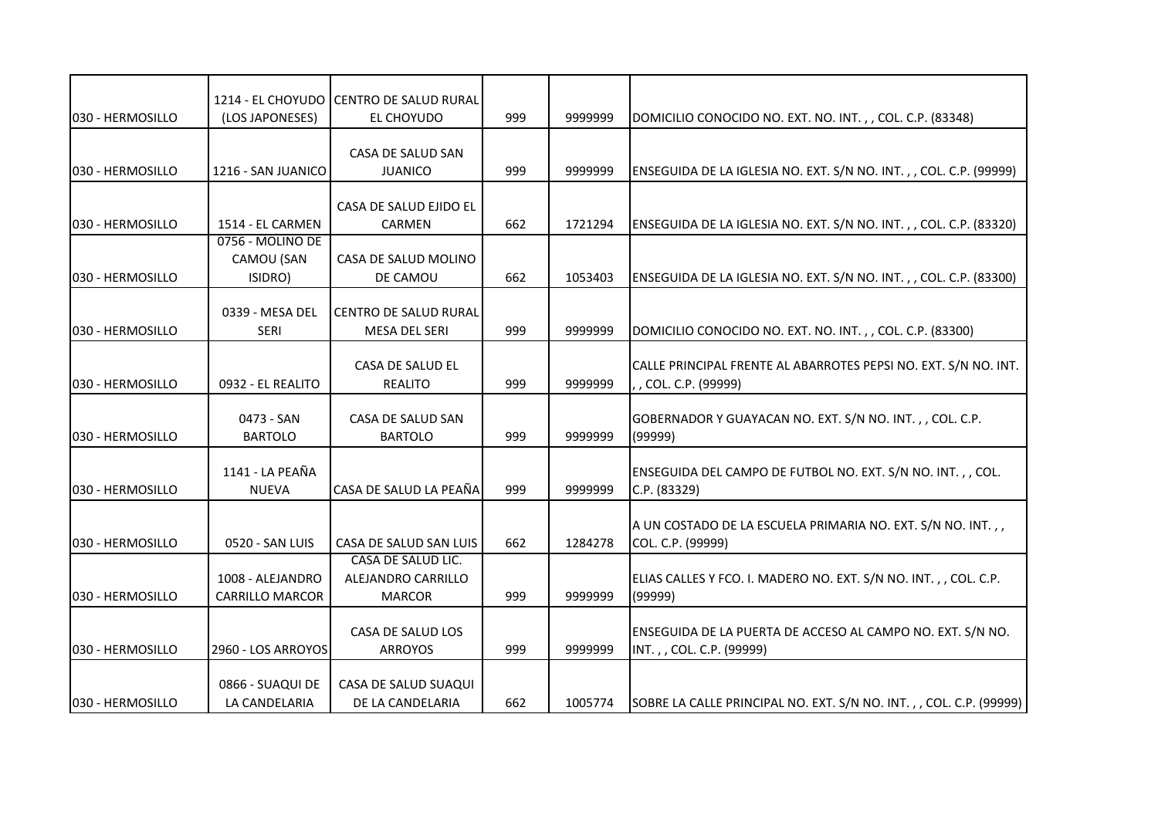|                   | 1214 - EL CHOYUDO                          | CENTRO DE SALUD RURAL                                     |     |         |                                                                                          |
|-------------------|--------------------------------------------|-----------------------------------------------------------|-----|---------|------------------------------------------------------------------------------------------|
| 030 - HERMOSILLO  | (LOS JAPONESES)                            | EL CHOYUDO                                                | 999 | 9999999 | DOMICILIO CONOCIDO NO. EXT. NO. INT.,, COL. C.P. (83348)                                 |
|                   |                                            | CASA DE SALUD SAN                                         |     |         |                                                                                          |
| 030 - HERMOSILLO  | 1216 - SAN JUANICO                         | <b>JUANICO</b>                                            | 999 | 9999999 | ENSEGUIDA DE LA IGLESIA NO. EXT. S/N NO. INT.,, COL. C.P. (99999)                        |
|                   |                                            | CASA DE SALUD EJIDO EL                                    |     |         |                                                                                          |
| l030 - HERMOSILLO | 1514 - EL CARMEN<br>0756 - MOLINO DE       | CARMEN                                                    | 662 | 1721294 | ENSEGUIDA DE LA IGLESIA NO. EXT. S/N NO. INT.,, COL. C.P. (83320)                        |
|                   | CAMOU (SAN                                 | CASA DE SALUD MOLINO                                      |     |         |                                                                                          |
| 030 - HERMOSILLO  | ISIDRO)                                    | DE CAMOU                                                  | 662 | 1053403 | ENSEGUIDA DE LA IGLESIA NO. EXT. S/N NO. INT.,, COL. C.P. (83300)                        |
| 030 - HERMOSILLO  | 0339 - MESA DEL<br><b>SERI</b>             | <b>CENTRO DE SALUD RURAL</b><br>MESA DEL SERI             | 999 | 9999999 | DOMICILIO CONOCIDO NO. EXT. NO. INT.,, COL. C.P. (83300)                                 |
|                   |                                            |                                                           |     |         |                                                                                          |
| 030 - HERMOSILLO  | 0932 - EL REALITO                          | CASA DE SALUD EL<br><b>REALITO</b>                        | 999 | 9999999 | CALLE PRINCIPAL FRENTE AL ABARROTES PEPSI NO. EXT. S/N NO. INT.<br>, , COL. C.P. (99999) |
| 030 - HERMOSILLO  | 0473 - SAN<br><b>BARTOLO</b>               | CASA DE SALUD SAN<br><b>BARTOLO</b>                       | 999 | 9999999 | GOBERNADOR Y GUAYACAN NO. EXT. S/N NO. INT.,, COL. C.P.<br>(99999)                       |
| 030 - HERMOSILLO  | 1141 - LA PEAÑA<br><b>NUEVA</b>            | CASA DE SALUD LA PEAÑA                                    | 999 | 9999999 | ENSEGUIDA DEL CAMPO DE FUTBOL NO. EXT. S/N NO. INT.,, COL.<br>C.P. (83329)               |
| 030 - HERMOSILLO  | 0520 - SAN LUIS                            | CASA DE SALUD SAN LUIS                                    | 662 | 1284278 | A UN COSTADO DE LA ESCUELA PRIMARIA NO. EXT. S/N NO. INT.,,<br>COL. C.P. (99999)         |
| 030 - HERMOSILLO  | 1008 - ALEJANDRO<br><b>CARRILLO MARCOR</b> | CASA DE SALUD LIC.<br>ALEJANDRO CARRILLO<br><b>MARCOR</b> | 999 | 9999999 | ELIAS CALLES Y FCO. I. MADERO NO. EXT. S/N NO. INT.,, COL. C.P.<br>(99999)               |
|                   |                                            |                                                           |     |         |                                                                                          |
| 030 - HERMOSILLO  | 2960 - LOS ARROYOS                         | CASA DE SALUD LOS<br><b>ARROYOS</b>                       | 999 | 9999999 | ENSEGUIDA DE LA PUERTA DE ACCESO AL CAMPO NO. EXT. S/N NO.<br>INT.,, COL. C.P. (99999)   |
|                   | 0866 - SUAQUI DE                           | CASA DE SALUD SUAQUI                                      |     |         |                                                                                          |
| 1030 - HERMOSILLO | LA CANDELARIA                              | DE LA CANDELARIA                                          | 662 | 1005774 | SOBRE LA CALLE PRINCIPAL NO. EXT. S/N NO. INT.,, COL. C.P. (99999)                       |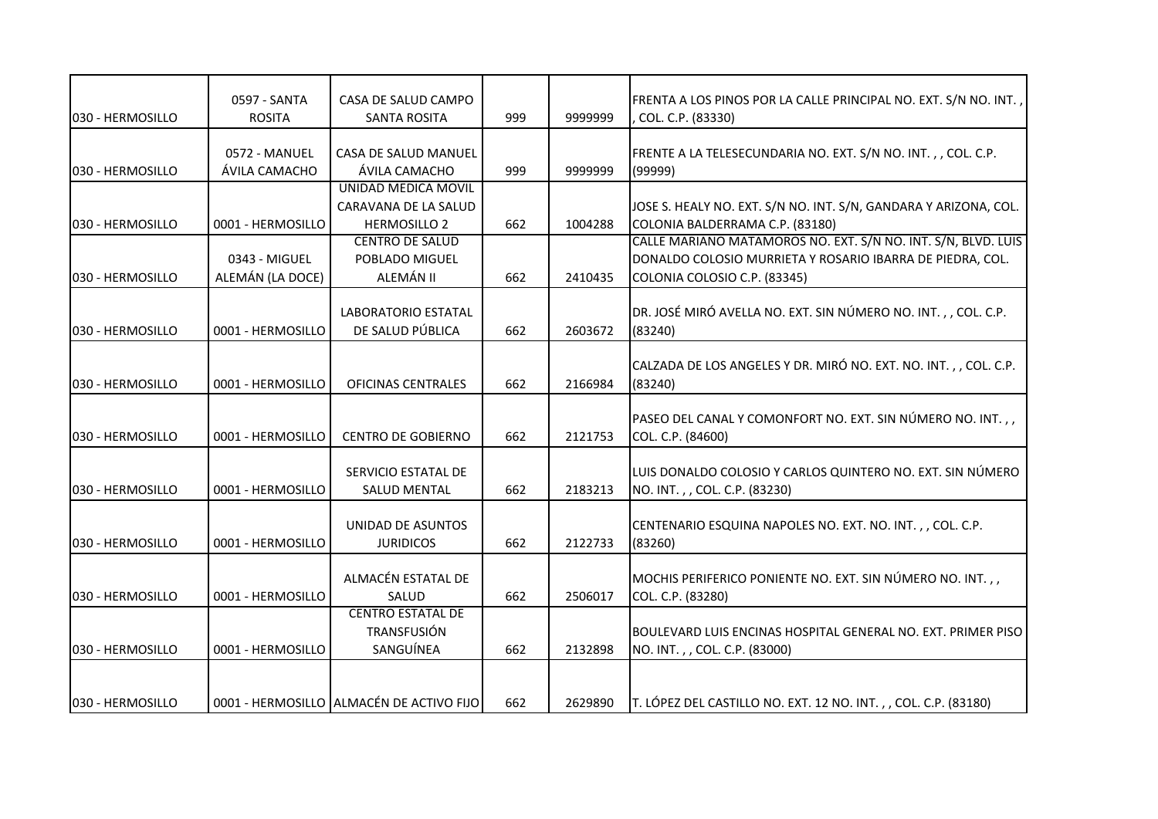| 030 - HERMOSILLO  | 0597 - SANTA<br><b>ROSITA</b> | CASA DE SALUD CAMPO<br><b>SANTA ROSITA</b>                         | 999 | 9999999 | FRENTA A LOS PINOS POR LA CALLE PRINCIPAL NO. EXT. S/N NO. INT.,<br>COL. C.P. (83330)                                      |
|-------------------|-------------------------------|--------------------------------------------------------------------|-----|---------|----------------------------------------------------------------------------------------------------------------------------|
|                   | 0572 - MANUEL                 | <b>CASA DE SALUD MANUEL</b>                                        |     |         | FRENTE A LA TELESECUNDARIA NO. EXT. S/N NO. INT. , , COL. C.P.                                                             |
| 030 - HERMOSILLO  | ÁVILA CAMACHO                 | ÁVILA CAMACHO                                                      | 999 | 9999999 | (99999)                                                                                                                    |
| 1030 - HERMOSILLO | 0001 - HERMOSILLO             | UNIDAD MEDICA MOVIL<br>CARAVANA DE LA SALUD<br><b>HERMOSILLO 2</b> | 662 | 1004288 | JOSE S. HEALY NO. EXT. S/N NO. INT. S/N, GANDARA Y ARIZONA, COL.<br>COLONIA BALDERRAMA C.P. (83180)                        |
|                   | 0343 - MIGUEL                 | <b>CENTRO DE SALUD</b><br>POBLADO MIGUEL                           |     |         | CALLE MARIANO MATAMOROS NO. EXT. S/N NO. INT. S/N, BLVD. LUIS<br>DONALDO COLOSIO MURRIETA Y ROSARIO IBARRA DE PIEDRA, COL. |
| 030 - HERMOSILLO  | ALEMÁN (LA DOCE)              | ALEMÁN II                                                          | 662 | 2410435 | COLONIA COLOSIO C.P. (83345)                                                                                               |
| 030 - HERMOSILLO  | 0001 - HERMOSILLO             | LABORATORIO ESTATAL<br>DE SALUD PÚBLICA                            | 662 | 2603672 | DR. JOSÉ MIRÓ AVELLA NO. EXT. SIN NÚMERO NO. INT.,, COL. C.P.<br>(83240)                                                   |
| 030 - HERMOSILLO  | 0001 - HERMOSILLO             | <b>OFICINAS CENTRALES</b>                                          | 662 | 2166984 | CALZADA DE LOS ANGELES Y DR. MIRÓ NO. EXT. NO. INT.,, COL. C.P.<br>(83240)                                                 |
| 030 - HERMOSILLO  | 0001 - HERMOSILLO             | <b>CENTRO DE GOBIERNO</b>                                          | 662 | 2121753 | PASEO DEL CANAL Y COMONFORT NO. EXT. SIN NÚMERO NO. INT.,,<br>COL. C.P. (84600)                                            |
| 030 - HERMOSILLO  | 0001 - HERMOSILLO             | SERVICIO ESTATAL DE<br><b>SALUD MENTAL</b>                         | 662 | 2183213 | LUIS DONALDO COLOSIO Y CARLOS QUINTERO NO. EXT. SIN NÚMERO<br>NO. INT.,, COL. C.P. (83230)                                 |
| 030 - HERMOSILLO  | 0001 - HERMOSILLO             | UNIDAD DE ASUNTOS<br><b>JURIDICOS</b>                              | 662 | 2122733 | CENTENARIO ESQUINA NAPOLES NO. EXT. NO. INT.,, COL. C.P.<br>(83260)                                                        |
| 1030 - HERMOSILLO | 0001 - HERMOSILLO             | ALMACÉN ESTATAL DE<br>SALUD                                        | 662 | 2506017 | MOCHIS PERIFERICO PONIENTE NO. EXT. SIN NÚMERO NO. INT.,,<br>COL. C.P. (83280)                                             |
| 030 - HERMOSILLO  | 0001 - HERMOSILLO             | <b>CENTRO ESTATAL DE</b><br><b>TRANSFUSIÓN</b><br>SANGUÍNEA        | 662 | 2132898 | BOULEVARD LUIS ENCINAS HOSPITAL GENERAL NO. EXT. PRIMER PISO<br>NO. INT.,, COL. C.P. (83000)                               |
|                   |                               |                                                                    |     |         |                                                                                                                            |
| 1030 - HERMOSILLO |                               | 0001 - HERMOSILLO ALMACÉN DE ACTIVO FIJO                           | 662 | 2629890 | T. LÓPEZ DEL CASTILLO NO. EXT. 12 NO. INT.,, COL. C.P. (83180)                                                             |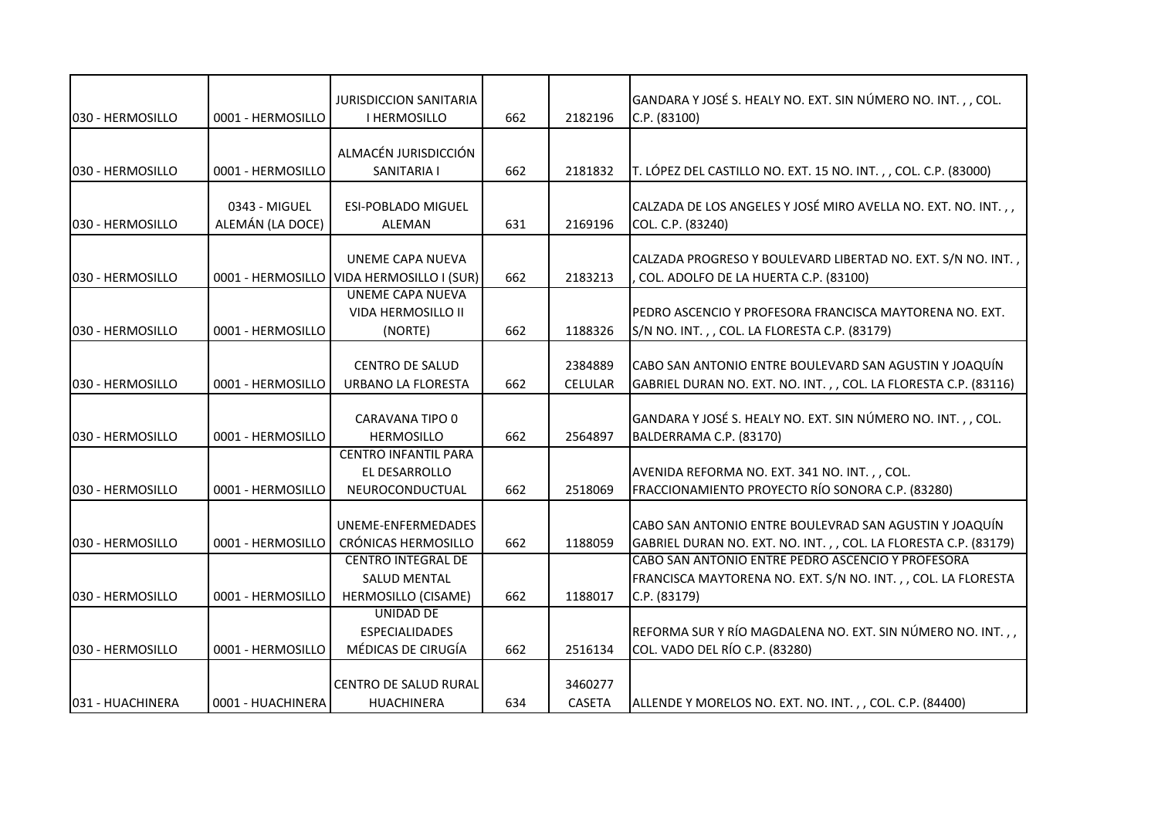| 030 - HERMOSILLO  | 0001 - HERMOSILLO                 | <b>JURISDICCION SANITARIA</b><br><b>I HERMOSILLO</b>                    | 662 | 2182196                   | GANDARA Y JOSÉ S. HEALY NO. EXT. SIN NÚMERO NO. INT.,, COL.<br>C.P. (83100)                                                        |
|-------------------|-----------------------------------|-------------------------------------------------------------------------|-----|---------------------------|------------------------------------------------------------------------------------------------------------------------------------|
| 030 - HERMOSILLO  | 0001 - HERMOSILLO                 | ALMACÉN JURISDICCIÓN<br>SANITARIA I                                     | 662 | 2181832                   | T. LÓPEZ DEL CASTILLO NO. EXT. 15 NO. INT.,, COL. C.P. (83000)                                                                     |
| 030 - HERMOSILLO  | 0343 - MIGUEL<br>ALEMÁN (LA DOCE) | <b>ESI-POBLADO MIGUEL</b><br>ALEMAN                                     | 631 | 2169196                   | CALZADA DE LOS ANGELES Y JOSÉ MIRO AVELLA NO. EXT. NO. INT.,,<br>COL. C.P. (83240)                                                 |
| 030 - HERMOSILLO  |                                   | UNEME CAPA NUEVA<br>0001 - HERMOSILLO VIDA HERMOSILLO I (SUR)           | 662 | 2183213                   | CALZADA PROGRESO Y BOULEVARD LIBERTAD NO. EXT. S/N NO. INT.,<br>, COL. ADOLFO DE LA HUERTA C.P. (83100)                            |
| 030 - HERMOSILLO  | 0001 - HERMOSILLO                 | <b>UNEME CAPA NUEVA</b><br>VIDA HERMOSILLO II<br>(NORTE)                | 662 | 1188326                   | IPEDRO ASCENCIO Y PROFESORA FRANCISCA MAYTORENA NO. EXT.<br>S/N NO. INT.,, COL. LA FLORESTA C.P. (83179)                           |
| 030 - HERMOSILLO  | 0001 - HERMOSILLO                 | <b>CENTRO DE SALUD</b><br><b>URBANO LA FLORESTA</b>                     | 662 | 2384889<br><b>CELULAR</b> | <b>I</b> CABO SAN ANTONIO ENTRE BOULEVARD SAN AGUSTIN Y JOAQUÍN<br>GABRIEL DURAN NO. EXT. NO. INT.,, COL. LA FLORESTA C.P. (83116) |
| 030 - HERMOSILLO  | 0001 - HERMOSILLO                 | <b>CARAVANA TIPO 0</b><br><b>HERMOSILLO</b>                             | 662 | 2564897                   | GANDARA Y JOSÉ S. HEALY NO. EXT. SIN NÚMERO NO. INT.,, COL.<br>BALDERRAMA C.P. (83170)                                             |
| 030 - HERMOSILLO  | 0001 - HERMOSILLO                 | <b>CENTRO INFANTIL PARA</b><br>EL DESARROLLO<br>NEUROCONDUCTUAL         | 662 | 2518069                   | AVENIDA REFORMA NO. EXT. 341 NO. INT.,, COL.<br>FRACCIONAMIENTO PROYECTO RÍO SONORA C.P. (83280)                                   |
| 030 - HERMOSILLO  | 0001 - HERMOSILLO                 | UNEME-ENFERMEDADES<br>CRÓNICAS HERMOSILLO                               | 662 | 1188059                   | CABO SAN ANTONIO ENTRE BOULEVRAD SAN AGUSTIN Y JOAQUÍN<br>GABRIEL DURAN NO. EXT. NO. INT.,, COL. LA FLORESTA C.P. (83179)          |
| 030 - HERMOSILLO  | 0001 - HERMOSILLO                 | <b>CENTRO INTEGRAL DE</b><br><b>SALUD MENTAL</b><br>HERMOSILLO (CISAME) | 662 | 1188017                   | CABO SAN ANTONIO ENTRE PEDRO ASCENCIO Y PROFESORA<br>FRANCISCA MAYTORENA NO. EXT. S/N NO. INT.,, COL. LA FLORESTA<br>C.P. (83179)  |
| 1030 - HERMOSILLO | 0001 - HERMOSILLO                 | UNIDAD DE<br><b>ESPECIALIDADES</b><br>MÉDICAS DE CIRUGÍA                | 662 | 2516134                   | REFORMA SUR Y RÍO MAGDALENA NO. EXT. SIN NÚMERO NO. INT.,,<br>COL. VADO DEL RÍO C.P. (83280)                                       |
| 1031 - HUACHINERA | 0001 - HUACHINERA                 | <b>CENTRO DE SALUD RURAL</b><br><b>HUACHINERA</b>                       | 634 | 3460277<br><b>CASETA</b>  | ALLENDE Y MORELOS NO. EXT. NO. INT.,, COL. C.P. (84400)                                                                            |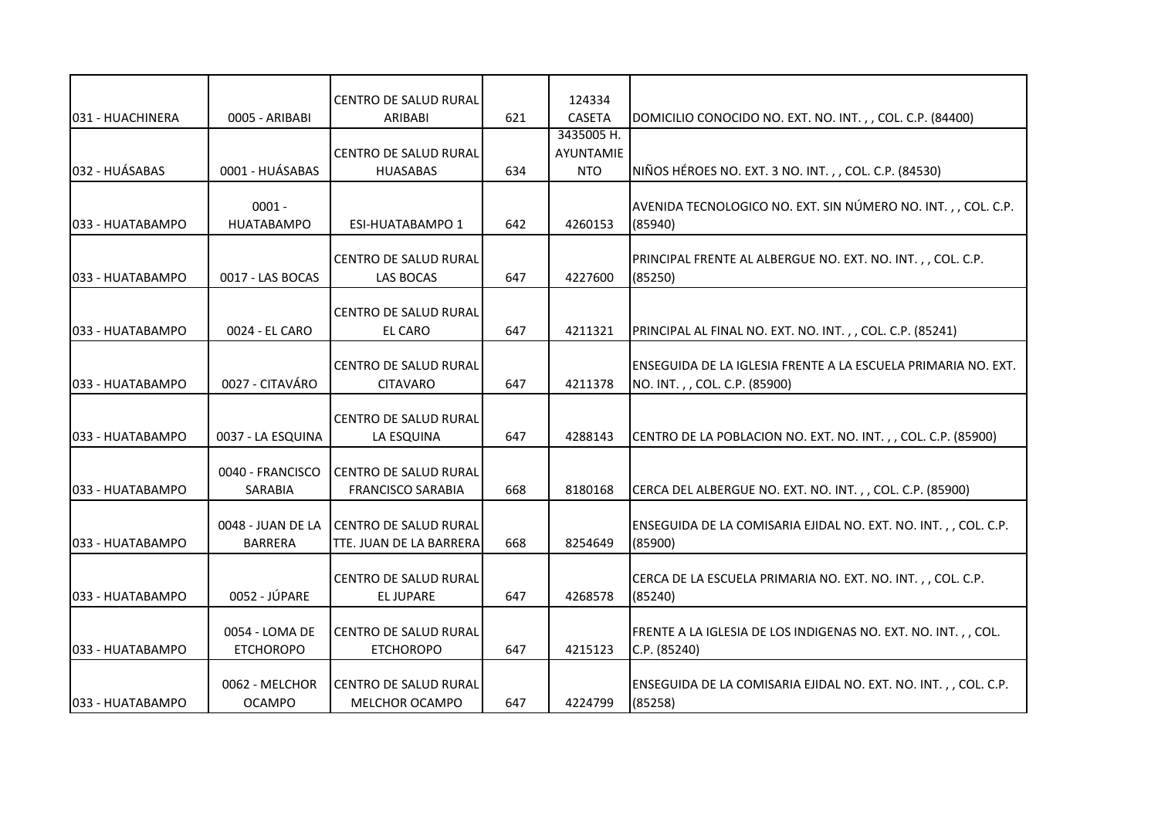| 031 - HUACHINERA  | 0005 - ARIBABI                      | CENTRO DE SALUD RURAL<br>ARIBABI                         | 621 | 124334<br><b>CASETA</b>               | DOMICILIO CONOCIDO NO. EXT. NO. INT., , COL. C.P. (84400)                                      |
|-------------------|-------------------------------------|----------------------------------------------------------|-----|---------------------------------------|------------------------------------------------------------------------------------------------|
| 032 - HUÁSABAS    | 0001 - HUÁSABAS                     | CENTRO DE SALUD RURAL<br><b>HUASABAS</b>                 | 634 | 3435005 H.<br>AYUNTAMIE<br><b>NTO</b> | NIÑOS HÉROES NO. EXT. 3 NO. INT. , , COL. C.P. (84530)                                         |
| 033 - HUATABAMPO  | $0001 -$<br><b>HUATABAMPO</b>       | ESI-HUATABAMPO 1                                         | 642 | 4260153                               | AVENIDA TECNOLOGICO NO. EXT. SIN NÚMERO NO. INT.,, COL. C.P.<br>(85940)                        |
| 033 - HUATABAMPO  | 0017 - LAS BOCAS                    | CENTRO DE SALUD RURAL<br><b>LAS BOCAS</b>                | 647 | 4227600                               | PRINCIPAL FRENTE AL ALBERGUE NO. EXT. NO. INT.,, COL. C.P.<br>(85250)                          |
| 033 - HUATABAMPO  | 0024 - EL CARO                      | CENTRO DE SALUD RURAL<br>EL CARO                         | 647 | 4211321                               | PRINCIPAL AL FINAL NO. EXT. NO. INT.,, COL. C.P. (85241)                                       |
| 1033 - HUATABAMPO | 0027 - CITAVÁRO                     | <b>CENTRO DE SALUD RURAL</b><br><b>CITAVARO</b>          | 647 | 4211378                               | IENSEGUIDA DE LA IGLESIA FRENTE A LA ESCUELA PRIMARIA NO. EXT.<br>NO. INT.,, COL. C.P. (85900) |
| 033 - HUATABAMPO  | 0037 - LA ESQUINA                   | CENTRO DE SALUD RURAL<br>LA ESQUINA                      | 647 | 4288143                               | CENTRO DE LA POBLACION NO. EXT. NO. INT.,, COL. C.P. (85900)                                   |
| 033 - HUATABAMPO  | 0040 - FRANCISCO<br>SARABIA         | <b>CENTRO DE SALUD RURAL</b><br><b>FRANCISCO SARABIA</b> | 668 | 8180168                               | CERCA DEL ALBERGUE NO. EXT. NO. INT.,, COL. C.P. (85900)                                       |
| 033 - HUATABAMPO  | 0048 - JUAN DE LA<br><b>BARRERA</b> | <b>CENTRO DE SALUD RURAL</b><br>TTE. JUAN DE LA BARRERA  | 668 | 8254649                               | ENSEGUIDA DE LA COMISARIA EJIDAL NO. EXT. NO. INT.,, COL. C.P.<br>(85900)                      |
| 033 - HUATABAMPO  | 0052 - JÚPARE                       | <b>CENTRO DE SALUD RURAL</b><br>EL JUPARE                | 647 | 4268578                               | CERCA DE LA ESCUELA PRIMARIA NO. EXT. NO. INT.,, COL. C.P.<br>(85240)                          |
| 033 - HUATABAMPO  | 0054 - LOMA DE<br><b>ETCHOROPO</b>  | CENTRO DE SALUD RURAL<br><b>ETCHOROPO</b>                | 647 | 4215123                               | FRENTE A LA IGLESIA DE LOS INDIGENAS NO. EXT. NO. INT., , COL.<br>C.P. (85240)                 |
| 033 - HUATABAMPO  | 0062 - MELCHOR<br><b>OCAMPO</b>     | <b>CENTRO DE SALUD RURAL</b><br><b>MELCHOR OCAMPO</b>    | 647 | 4224799                               | ENSEGUIDA DE LA COMISARIA EJIDAL NO. EXT. NO. INT.,, COL. C.P.<br>(85258)                      |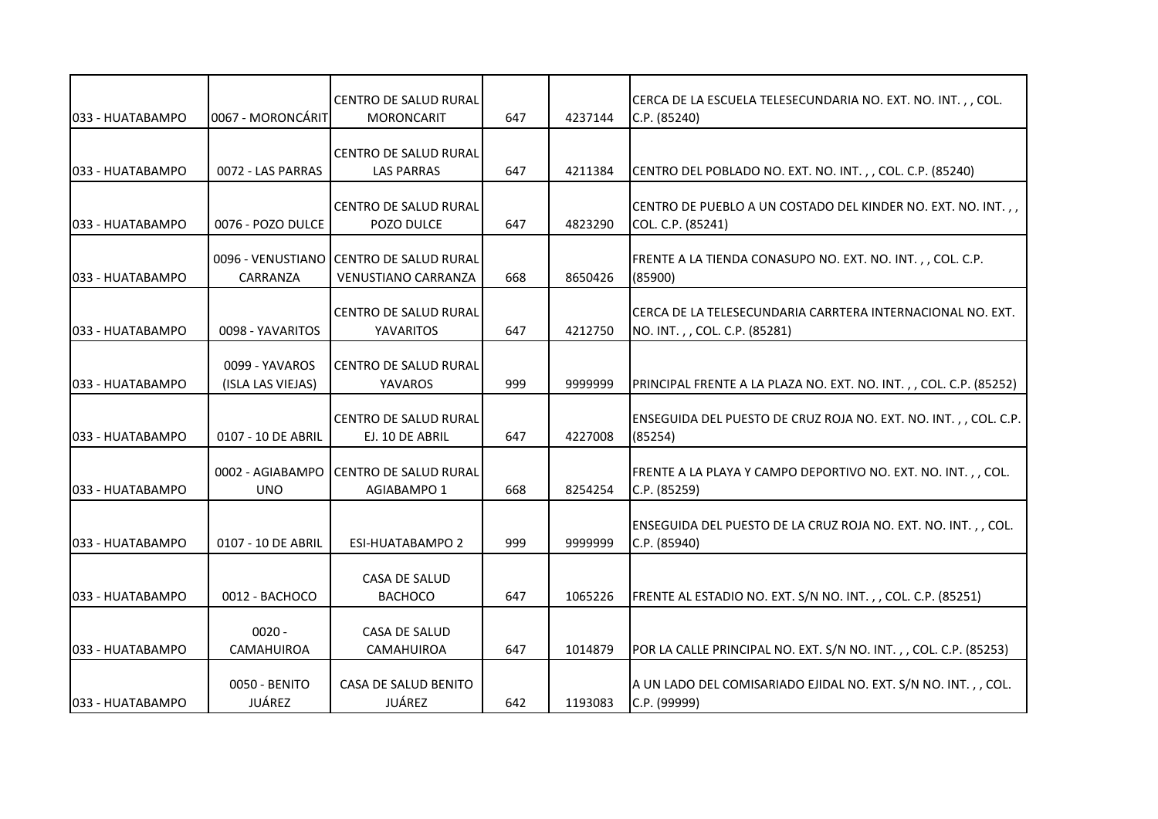| 033 - HUATABAMPO  | 0067 - MORONCÁRIT                   | <b>CENTRO DE SALUD RURAL</b><br><b>MORONCARIT</b>   | 647 | 4237144 | CERCA DE LA ESCUELA TELESECUNDARIA NO. EXT. NO. INT.,, COL.<br>C.P. (85240)                |
|-------------------|-------------------------------------|-----------------------------------------------------|-----|---------|--------------------------------------------------------------------------------------------|
| 033 - HUATABAMPO  | 0072 - LAS PARRAS                   | CENTRO DE SALUD RURAL<br><b>LAS PARRAS</b>          | 647 | 4211384 | CENTRO DEL POBLADO NO. EXT. NO. INT.,, COL. C.P. (85240)                                   |
| 033 - HUATABAMPO  | 0076 - POZO DULCE                   | <b>CENTRO DE SALUD RURAL</b><br>POZO DULCE          | 647 | 4823290 | CENTRO DE PUEBLO A UN COSTADO DEL KINDER NO. EXT. NO. INT. , ,<br>COL. C.P. (85241)        |
| 033 - HUATABAMPO  | 0096 - VENUSTIANO<br>CARRANZA       | CENTRO DE SALUD RURAL<br><b>VENUSTIANO CARRANZA</b> | 668 | 8650426 | FRENTE A LA TIENDA CONASUPO NO. EXT. NO. INT.,, COL. C.P.<br>(85900)                       |
| 1033 - HUATABAMPO | 0098 - YAVARITOS                    | CENTRO DE SALUD RURAL<br>YAVARITOS                  | 647 | 4212750 | CERCA DE LA TELESECUNDARIA CARRTERA INTERNACIONAL NO. EXT.<br>NO. INT.,, COL. C.P. (85281) |
| 033 - HUATABAMPO  | 0099 - YAVAROS<br>(ISLA LAS VIEJAS) | CENTRO DE SALUD RURAL<br><b>YAVAROS</b>             | 999 | 9999999 | PRINCIPAL FRENTE A LA PLAZA NO. EXT. NO. INT.,, COL. C.P. (85252)                          |
| 033 - HUATABAMPO  | 0107 - 10 DE ABRIL                  | <b>CENTRO DE SALUD RURAL</b><br>EJ. 10 DE ABRIL     | 647 | 4227008 | ENSEGUIDA DEL PUESTO DE CRUZ ROJA NO. EXT. NO. INT.,, COL. C.P.<br>(85254)                 |
| 033 - HUATABAMPO  | 0002 - AGIABAMPO<br><b>UNO</b>      | <b>CENTRO DE SALUD RURAL</b><br><b>AGIABAMPO 1</b>  | 668 | 8254254 | FRENTE A LA PLAYA Y CAMPO DEPORTIVO NO. EXT. NO. INT.,, COL.<br>C.P. (85259)               |
| 1033 - HUATABAMPO | 0107 - 10 DE ABRIL                  | <b>ESI-HUATABAMPO 2</b>                             | 999 | 9999999 | ENSEGUIDA DEL PUESTO DE LA CRUZ ROJA NO. EXT. NO. INT. , , COL.<br>C.P. (85940)            |
| 1033 - HUATABAMPO | 0012 - BACHOCO                      | CASA DE SALUD<br><b>BACHOCO</b>                     | 647 | 1065226 | FRENTE AL ESTADIO NO. EXT. S/N NO. INT. , , COL. C.P. (85251)                              |
| 033 - HUATABAMPO  | $0020 -$<br>CAMAHUIROA              | CASA DE SALUD<br>CAMAHUIROA                         | 647 | 1014879 | POR LA CALLE PRINCIPAL NO. EXT. S/N NO. INT.,, COL. C.P. (85253)                           |
| 1033 - HUATABAMPO | 0050 - BENITO<br>JUÁREZ             | CASA DE SALUD BENITO<br>JUÁREZ                      | 642 | 1193083 | A UN LADO DEL COMISARIADO EJIDAL NO. EXT. S/N NO. INT.,, COL.<br>C.P. (99999)              |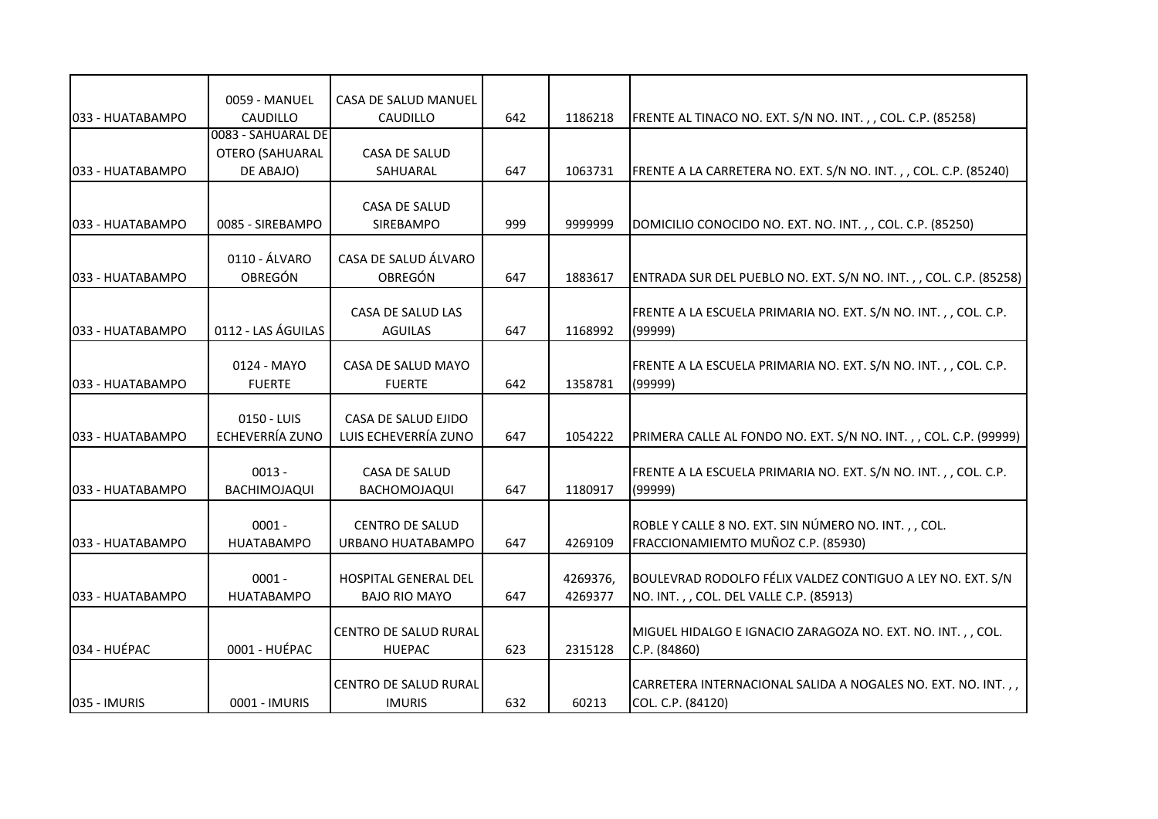|                  | 0059 - MANUEL                                             | CASA DE SALUD MANUEL                          |     |                     |                                                                                                      |
|------------------|-----------------------------------------------------------|-----------------------------------------------|-----|---------------------|------------------------------------------------------------------------------------------------------|
| 033 - HUATABAMPO | CAUDILLO                                                  | <b>CAUDILLO</b>                               | 642 | 1186218             | FRENTE AL TINACO NO. EXT. S/N NO. INT.,, COL. C.P. (85258)                                           |
| 033 - HUATABAMPO | 0083 - SAHUARAL DE<br><b>OTERO (SAHUARAL</b><br>DE ABAJO) | CASA DE SALUD<br>SAHUARAL                     | 647 | 1063731             | FRENTE A LA CARRETERA NO. EXT. S/N NO. INT.,, COL. C.P. (85240)                                      |
| 033 - HUATABAMPO | 0085 - SIREBAMPO                                          | CASA DE SALUD<br>SIREBAMPO                    | 999 | 9999999             | DOMICILIO CONOCIDO NO. EXT. NO. INT.,, COL. C.P. (85250)                                             |
| 033 - HUATABAMPO | 0110 - ÁLVARO<br><b>OBREGÓN</b>                           | CASA DE SALUD ÁLVARO<br><b>OBREGÓN</b>        | 647 | 1883617             | ENTRADA SUR DEL PUEBLO NO. EXT. S/N NO. INT.,, COL. C.P. (85258)                                     |
| 033 - HUATABAMPO | 0112 - LAS ÁGUILAS                                        | CASA DE SALUD LAS<br><b>AGUILAS</b>           | 647 | 1168992             | FRENTE A LA ESCUELA PRIMARIA NO. EXT. S/N NO. INT.,, COL. C.P.<br>(99999)                            |
| 033 - HUATABAMPO | 0124 - MAYO<br><b>FUERTE</b>                              | CASA DE SALUD MAYO<br><b>FUERTE</b>           | 642 | 1358781             | FRENTE A LA ESCUELA PRIMARIA NO. EXT. S/N NO. INT.,, COL. C.P.<br>(99999)                            |
| 033 - HUATABAMPO | 0150 - LUIS<br>ECHEVERRÍA ZUNO                            | CASA DE SALUD EJIDO<br>LUIS ECHEVERRÍA ZUNO   | 647 | 1054222             | PRIMERA CALLE AL FONDO NO. EXT. S/N NO. INT.,, COL. C.P. (99999)                                     |
| 033 - HUATABAMPO | $0013 -$<br>BACHIMOJAQUI                                  | CASA DE SALUD<br>BACHOMOJAQUI                 | 647 | 1180917             | FRENTE A LA ESCUELA PRIMARIA NO. EXT. S/N NO. INT.,, COL. C.P.<br>(99999)                            |
| 033 - HUATABAMPO | $0001 -$<br><b>HUATABAMPO</b>                             | <b>CENTRO DE SALUD</b><br>URBANO HUATABAMPO   | 647 | 4269109             | ROBLE Y CALLE 8 NO. EXT. SIN NÚMERO NO. INT., COL.<br>FRACCIONAMIEMTO MUÑOZ C.P. (85930)             |
| 033 - HUATABAMPO | $0001 -$<br><b>HUATABAMPO</b>                             | HOSPITAL GENERAL DEL<br><b>BAJO RIO MAYO</b>  | 647 | 4269376,<br>4269377 | BOULEVRAD RODOLFO FÉLIX VALDEZ CONTIGUO A LEY NO. EXT. S/N<br>NO. INT.,, COL. DEL VALLE C.P. (85913) |
| 034 - HUÉPAC     | 0001 - HUÉPAC                                             | <b>CENTRO DE SALUD RURAL</b><br><b>HUEPAC</b> | 623 | 2315128             | MIGUEL HIDALGO E IGNACIO ZARAGOZA NO. EXT. NO. INT.,, COL.<br>C.P. (84860)                           |
| 035 - IMURIS     | 0001 - IMURIS                                             | CENTRO DE SALUD RURAL<br><b>IMURIS</b>        | 632 | 60213               | CARRETERA INTERNACIONAL SALIDA A NOGALES NO. EXT. NO. INT.,,<br>COL. C.P. (84120)                    |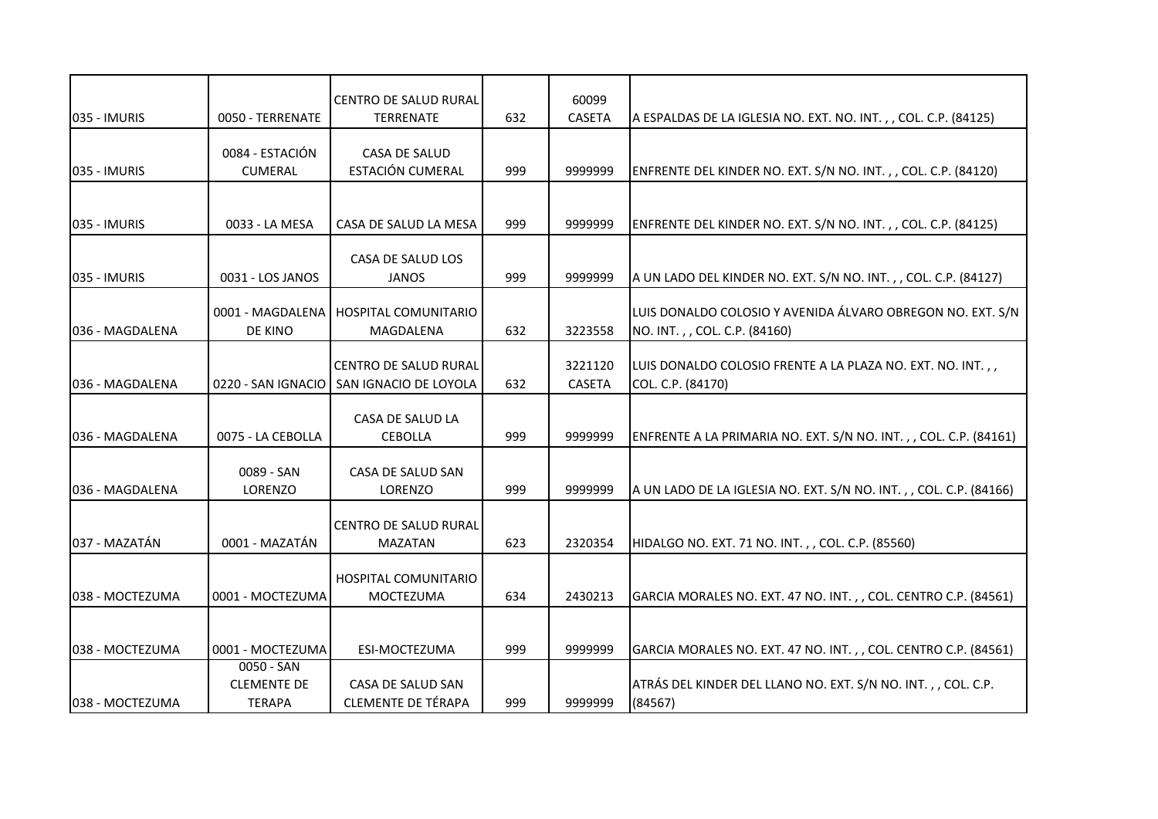| 035 - IMURIS     | 0050 - TERRENATE                                  | CENTRO DE SALUD RURAL<br><b>TERRENATE</b>       | 632 | 60099<br><b>CASETA</b>   | A ESPALDAS DE LA IGLESIA NO. EXT. NO. INT.,, COL. C.P. (84125)                             |
|------------------|---------------------------------------------------|-------------------------------------------------|-----|--------------------------|--------------------------------------------------------------------------------------------|
| 035 - IMURIS     | 0084 - ESTACIÓN<br><b>CUMERAL</b>                 | CASA DE SALUD<br>ESTACIÓN CUMERAL               | 999 | 9999999                  | ENFRENTE DEL KINDER NO. EXT. S/N NO. INT.,, COL. C.P. (84120)                              |
|                  |                                                   |                                                 |     |                          |                                                                                            |
| 035 - IMURIS     | 0033 - LA MESA                                    | CASA DE SALUD LA MESA                           | 999 | 9999999                  | ENFRENTE DEL KINDER NO. EXT. S/N NO. INT.,, COL. C.P. (84125)                              |
| 035 - IMURIS     | 0031 - LOS JANOS                                  | CASA DE SALUD LOS<br><b>JANOS</b>               | 999 | 9999999                  | A UN LADO DEL KINDER NO. EXT. S/N NO. INT.,, COL. C.P. (84127)                             |
| 036 - MAGDALENA  | 0001 - MAGDALENA<br>DE KINO                       | <b>HOSPITAL COMUNITARIO</b><br>MAGDALENA        | 632 | 3223558                  | LUIS DONALDO COLOSIO Y AVENIDA ÁLVARO OBREGON NO. EXT. S/N<br>NO. INT.,, COL. C.P. (84160) |
| 036 - MAGDALENA  | 0220 - SAN IGNACIO                                | CENTRO DE SALUD RURAL<br>SAN IGNACIO DE LOYOLA  | 632 | 3221120<br><b>CASETA</b> | LUIS DONALDO COLOSIO FRENTE A LA PLAZA NO. EXT. NO. INT.,,<br>COL. C.P. (84170)            |
| 036 - MAGDALENA  | 0075 - LA CEBOLLA                                 | CASA DE SALUD LA<br><b>CEBOLLA</b>              | 999 | 9999999                  | ENFRENTE A LA PRIMARIA NO. EXT. S/N NO. INT.,, COL. C.P. (84161)                           |
| 036 - MAGDALENA  | 0089 - SAN<br>LORENZO                             | CASA DE SALUD SAN<br>LORENZO                    | 999 | 9999999                  | A UN LADO DE LA IGLESIA NO. EXT. S/N NO. INT.,, COL. C.P. (84166)                          |
| 037 - MAZATÁN    | 0001 - MAZATÁN                                    | <b>CENTRO DE SALUD RURAL</b><br><b>MAZATAN</b>  | 623 | 2320354                  | HIDALGO NO. EXT. 71 NO. INT.,, COL. C.P. (85560)                                           |
| 038 - MOCTEZUMA  | 0001 - MOCTEZUMA                                  | <b>HOSPITAL COMUNITARIO</b><br><b>MOCTEZUMA</b> | 634 | 2430213                  | GARCIA MORALES NO. EXT. 47 NO. INT.,, COL. CENTRO C.P. (84561)                             |
|                  |                                                   |                                                 |     |                          |                                                                                            |
| 038 - MOCTEZUMA  | 0001 - MOCTEZUMA                                  | ESI-MOCTEZUMA                                   | 999 | 9999999                  | GARCIA MORALES NO. EXT. 47 NO. INT.,, COL. CENTRO C.P. (84561)                             |
| 1038 - MOCTEZUMA | 0050 - SAN<br><b>CLEMENTE DE</b><br><b>TERAPA</b> | CASA DE SALUD SAN<br><b>CLEMENTE DE TÉRAPA</b>  | 999 | 9999999                  | ATRÁS DEL KINDER DEL LLANO NO. EXT. S/N NO. INT.,, COL. C.P.<br>(84567)                    |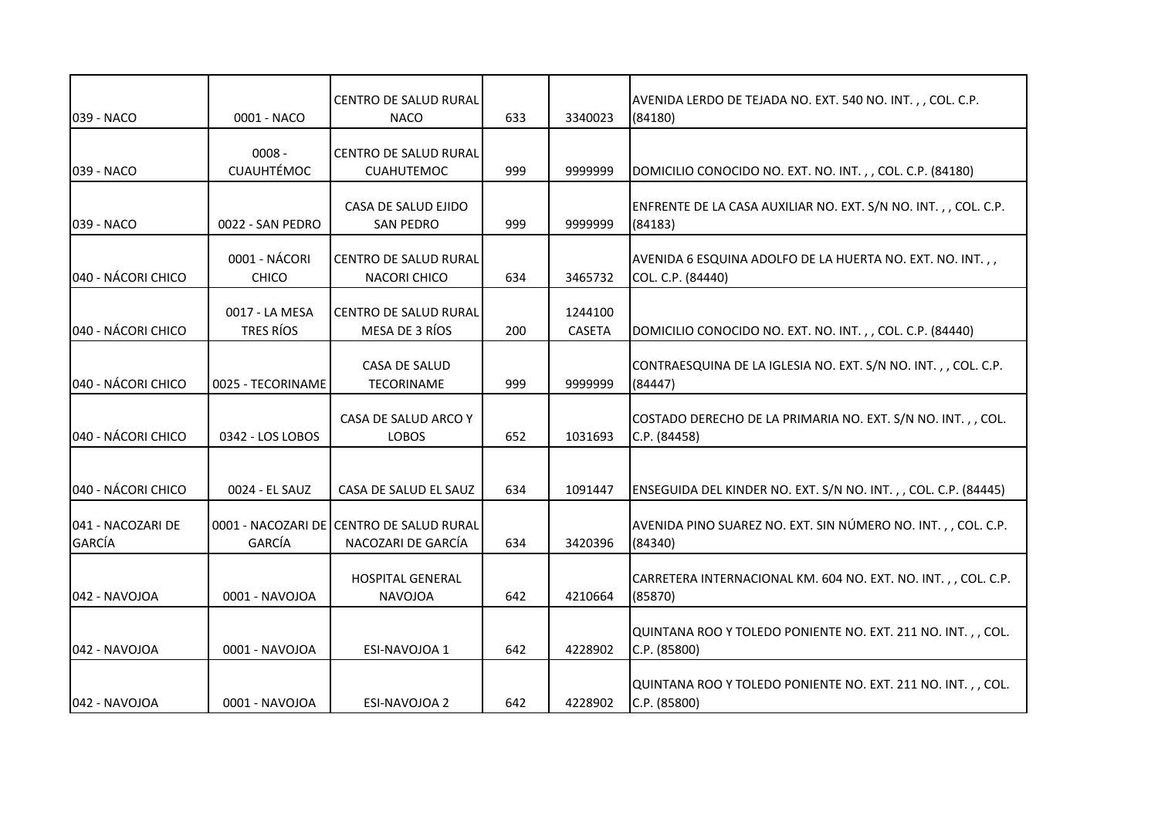| 039 - NACO                         | 0001 - NACO                        | CENTRO DE SALUD RURAL<br><b>NACO</b>                           | 633 | 3340023                  | AVENIDA LERDO DE TEJADA NO. EXT. 540 NO. INT.,, COL. C.P.<br>(84180)             |
|------------------------------------|------------------------------------|----------------------------------------------------------------|-----|--------------------------|----------------------------------------------------------------------------------|
| 039 - NACO                         | $0008 -$<br><b>CUAUHTÉMOC</b>      | <b>CENTRO DE SALUD RURAL</b><br><b>CUAHUTEMOC</b>              | 999 | 9999999                  | DOMICILIO CONOCIDO NO. EXT. NO. INT.,, COL. C.P. (84180)                         |
| <b>039 - NACO</b>                  | 0022 - SAN PEDRO                   | CASA DE SALUD EJIDO<br><b>SAN PEDRO</b>                        | 999 | 9999999                  | ENFRENTE DE LA CASA AUXILIAR NO. EXT. S/N NO. INT.,, COL. C.P.<br>(84183)        |
| 040 - NÁCORI CHICO                 | 0001 - NÁCORI<br><b>CHICO</b>      | <b>CENTRO DE SALUD RURAL</b><br><b>NACORI CHICO</b>            | 634 | 3465732                  | AVENIDA 6 ESQUINA ADOLFO DE LA HUERTA NO. EXT. NO. INT. , ,<br>COL. C.P. (84440) |
| 040 - NÁCORI CHICO                 | 0017 - LA MESA<br><b>TRES RÍOS</b> | CENTRO DE SALUD RURAL<br>MESA DE 3 RÍOS                        | 200 | 1244100<br><b>CASETA</b> | DOMICILIO CONOCIDO NO. EXT. NO. INT.,, COL. C.P. (84440)                         |
| 040 - NÁCORI CHICO                 | 0025 - TECORINAME                  | <b>CASA DE SALUD</b><br><b>TECORINAME</b>                      | 999 | 9999999                  | CONTRAESQUINA DE LA IGLESIA NO. EXT. S/N NO. INT.,, COL. C.P.<br>(84447)         |
| 040 - NÁCORI CHICO                 | 0342 - LOS LOBOS                   | CASA DE SALUD ARCO Y<br><b>LOBOS</b>                           | 652 | 1031693                  | COSTADO DERECHO DE LA PRIMARIA NO. EXT. S/N NO. INT.,, COL.<br>C.P. (84458)      |
| 040 - NÁCORI CHICO                 | 0024 - EL SAUZ                     | CASA DE SALUD EL SAUZ                                          | 634 | 1091447                  | ENSEGUIDA DEL KINDER NO. EXT. S/N NO. INT.,, COL. C.P. (84445)                   |
| 041 - NACOZARI DE<br><b>GARCÍA</b> | GARCÍA                             | 0001 - NACOZARI DE CENTRO DE SALUD RURAL<br>NACOZARI DE GARCÍA | 634 | 3420396                  | AVENIDA PINO SUAREZ NO. EXT. SIN NÚMERO NO. INT.,, COL. C.P.<br>(84340)          |
| 042 - NAVOJOA                      | 0001 - NAVOJOA                     | <b>HOSPITAL GENERAL</b><br><b>NAVOJOA</b>                      | 642 | 4210664                  | CARRETERA INTERNACIONAL KM. 604 NO. EXT. NO. INT.,, COL. C.P.<br>(85870)         |
| 042 - NAVOJOA                      | 0001 - NAVOJOA                     | ESI-NAVOJOA 1                                                  | 642 | 4228902                  | QUINTANA ROO Y TOLEDO PONIENTE NO. EXT. 211 NO. INT. , , COL.<br>C.P. (85800)    |
| 042 - NAVOJOA                      | 0001 - NAVOJOA                     | ESI-NAVOJOA 2                                                  | 642 | 4228902                  | QUINTANA ROO Y TOLEDO PONIENTE NO. EXT. 211 NO. INT.,, COL.<br>C.P. (85800)      |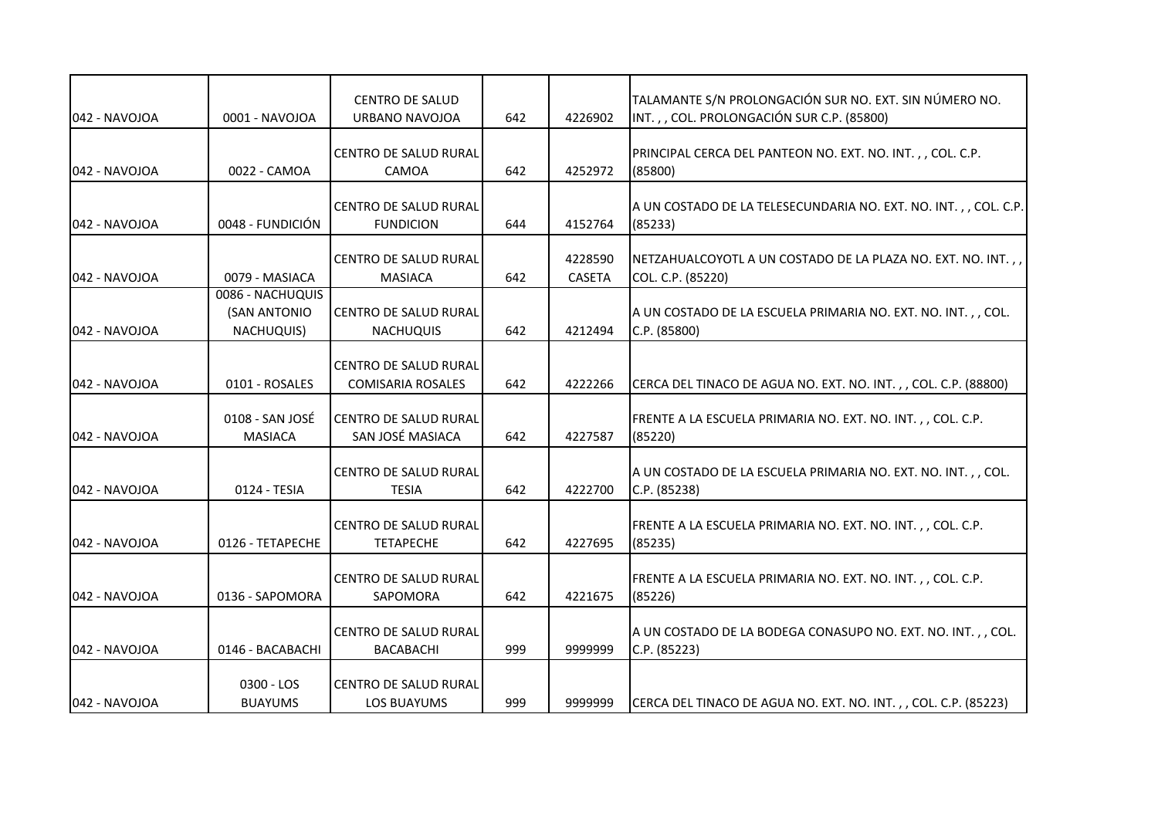| 042 - NAVOJOA | 0001 - NAVOJOA                                 | <b>CENTRO DE SALUD</b><br>URBANO NAVOJOA           | 642 | 4226902                  | TALAMANTE S/N PROLONGACIÓN SUR NO. EXT. SIN NÚMERO NO.<br>INT.,, COL. PROLONGACIÓN SUR C.P. (85800) |
|---------------|------------------------------------------------|----------------------------------------------------|-----|--------------------------|-----------------------------------------------------------------------------------------------------|
| 042 - NAVOJOA | 0022 - CAMOA                                   | CENTRO DE SALUD RURAL<br>CAMOA                     | 642 | 4252972                  | PRINCIPAL CERCA DEL PANTEON NO. EXT. NO. INT.,, COL. C.P.<br>(85800)                                |
| 042 - NAVOJOA | 0048 - FUNDICIÓN                               | CENTRO DE SALUD RURAL<br><b>FUNDICION</b>          | 644 | 4152764                  | A UN COSTADO DE LA TELESECUNDARIA NO. EXT. NO. INT.,, COL. C.P.<br>(85233)                          |
| 042 - NAVOJOA | 0079 - MASIACA                                 | CENTRO DE SALUD RURAL<br><b>MASIACA</b>            | 642 | 4228590<br><b>CASETA</b> | NETZAHUALCOYOTL A UN COSTADO DE LA PLAZA NO. EXT. NO. INT.,,<br>COL. C.P. (85220)                   |
| 042 - NAVOJOA | 0086 - NACHUQUIS<br>(SAN ANTONIO<br>NACHUQUIS) | <b>CENTRO DE SALUD RURAL</b><br><b>NACHUQUIS</b>   | 642 | 4212494                  | A UN COSTADO DE LA ESCUELA PRIMARIA NO. EXT. NO. INT.,, COL.<br>C.P. (85800)                        |
| 042 - NAVOJOA | 0101 - ROSALES                                 | CENTRO DE SALUD RURAL<br><b>COMISARIA ROSALES</b>  | 642 | 4222266                  | CERCA DEL TINACO DE AGUA NO. EXT. NO. INT.,, COL. C.P. (88800)                                      |
| 042 - NAVOJOA | 0108 - SAN JOSÉ<br><b>MASIACA</b>              | <b>CENTRO DE SALUD RURAL</b><br>SAN JOSÉ MASIACA   | 642 | 4227587                  | FRENTE A LA ESCUELA PRIMARIA NO. EXT. NO. INT.,, COL. C.P.<br>(85220)                               |
| 042 - NAVOJOA | 0124 - TESIA                                   | CENTRO DE SALUD RURAL<br><b>TESIA</b>              | 642 | 4222700                  | A UN COSTADO DE LA ESCUELA PRIMARIA NO. EXT. NO. INT.,, COL.<br>C.P. (85238)                        |
| 042 - NAVOJOA | 0126 - TETAPECHE                               | CENTRO DE SALUD RURAL<br><b>TETAPECHE</b>          | 642 | 4227695                  | FRENTE A LA ESCUELA PRIMARIA NO. EXT. NO. INT.,, COL. C.P.<br>(85235)                               |
| 042 - NAVOJOA | 0136 - SAPOMORA                                | CENTRO DE SALUD RURAL<br>SAPOMORA                  | 642 | 4221675                  | FRENTE A LA ESCUELA PRIMARIA NO. EXT. NO. INT.,, COL. C.P.<br>(85226)                               |
| 042 - NAVOJOA | 0146 - BACABACHI                               | CENTRO DE SALUD RURAL<br><b>BACABACHI</b>          | 999 | 9999999                  | A UN COSTADO DE LA BODEGA CONASUPO NO. EXT. NO. INT.,, COL.<br>C.P. (85223)                         |
| 042 - NAVOJOA | 0300 - LOS<br><b>BUAYUMS</b>                   | <b>CENTRO DE SALUD RURAL</b><br><b>LOS BUAYUMS</b> | 999 | 9999999                  | CERCA DEL TINACO DE AGUA NO. EXT. NO. INT.,, COL. C.P. (85223)                                      |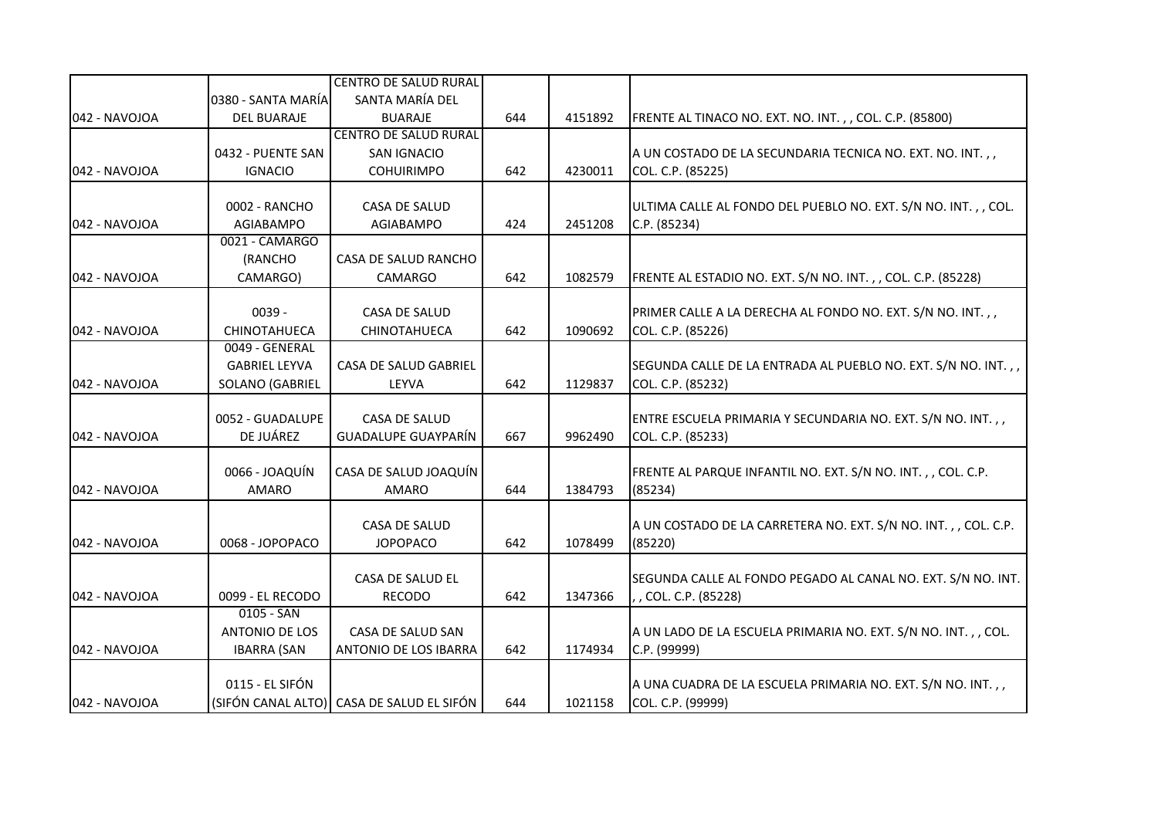|               |                       | <b>CENTRO DE SALUD RURAL</b>              |     |         |                                                                 |
|---------------|-----------------------|-------------------------------------------|-----|---------|-----------------------------------------------------------------|
|               | 0380 - SANTA MARÍA    | SANTA MARÍA DEL                           |     |         |                                                                 |
| 042 - NAVOJOA | <b>DEL BUARAJE</b>    | <b>BUARAJE</b>                            | 644 | 4151892 | FRENTE AL TINACO NO. EXT. NO. INT.,, COL. C.P. (85800)          |
|               |                       | <b>CENTRO DE SALUD RURAL</b>              |     |         |                                                                 |
|               | 0432 - PUENTE SAN     | SAN IGNACIO                               |     |         | A UN COSTADO DE LA SECUNDARIA TECNICA NO. EXT. NO. INT.,,       |
| 042 - NAVOJOA | <b>IGNACIO</b>        | <b>COHUIRIMPO</b>                         | 642 | 4230011 | COL. C.P. (85225)                                               |
|               |                       |                                           |     |         |                                                                 |
|               | 0002 - RANCHO         | CASA DE SALUD                             |     |         | ULTIMA CALLE AL FONDO DEL PUEBLO NO. EXT. S/N NO. INT.,, COL.   |
| 042 - NAVOJOA | <b>AGIABAMPO</b>      | AGIABAMPO                                 | 424 | 2451208 | C.P. (85234)                                                    |
|               | 0021 - CAMARGO        |                                           |     |         |                                                                 |
|               | (RANCHO               | CASA DE SALUD RANCHO                      |     |         |                                                                 |
| 042 - NAVOJOA | CAMARGO)              | CAMARGO                                   | 642 | 1082579 | FRENTE AL ESTADIO NO. EXT. S/N NO. INT.,, COL. C.P. (85228)     |
|               | $0039 -$              |                                           |     |         |                                                                 |
| 042 - NAVOJOA | <b>CHINOTAHUECA</b>   | CASA DE SALUD<br><b>CHINOTAHUECA</b>      | 642 | 1090692 | PRIMER CALLE A LA DERECHA AL FONDO NO. EXT. S/N NO. INT.,,      |
|               | 0049 - GENERAL        |                                           |     |         | COL. C.P. (85226)                                               |
|               | <b>GABRIEL LEYVA</b>  | <b>CASA DE SALUD GABRIEL</b>              |     |         | SEGUNDA CALLE DE LA ENTRADA AL PUEBLO NO. EXT. S/N NO. INT. , , |
| 042 - NAVOJOA | SOLANO (GABRIEL       | LEYVA                                     | 642 | 1129837 | COL. C.P. (85232)                                               |
|               |                       |                                           |     |         |                                                                 |
|               | 0052 - GUADALUPE      | CASA DE SALUD                             |     |         | ENTRE ESCUELA PRIMARIA Y SECUNDARIA NO. EXT. S/N NO. INT.,,     |
| 042 - NAVOJOA | DE JUÁREZ             | <b>GUADALUPE GUAYPARÍN</b>                | 667 | 9962490 | COL. C.P. (85233)                                               |
|               |                       |                                           |     |         |                                                                 |
|               | 0066 - JOAQUÍN        | CASA DE SALUD JOAQUÍN                     |     |         | FRENTE AL PARQUE INFANTIL NO. EXT. S/N NO. INT.,, COL. C.P.     |
| 042 - NAVOJOA | <b>AMARO</b>          | <b>AMARO</b>                              | 644 | 1384793 | (85234)                                                         |
|               |                       |                                           |     |         |                                                                 |
|               |                       | <b>CASA DE SALUD</b>                      |     |         | A UN COSTADO DE LA CARRETERA NO. EXT. S/N NO. INT.,, COL. C.P.  |
| 042 - NAVOJOA | 0068 - JOPOPACO       | <b>JOPOPACO</b>                           | 642 | 1078499 | (85220)                                                         |
|               |                       |                                           |     |         |                                                                 |
|               |                       | CASA DE SALUD EL                          |     |         | SEGUNDA CALLE AL FONDO PEGADO AL CANAL NO. EXT. S/N NO. INT.    |
| 042 - NAVOJOA | 0099 - EL RECODO      | <b>RECODO</b>                             | 642 | 1347366 | ,, COL. C.P. (85228)                                            |
|               | $0105 - SAN$          |                                           |     |         |                                                                 |
|               | <b>ANTONIO DE LOS</b> | CASA DE SALUD SAN                         |     |         | A UN LADO DE LA ESCUELA PRIMARIA NO. EXT. S/N NO. INT.,, COL.   |
| 042 - NAVOJOA | <b>IBARRA (SAN</b>    | ANTONIO DE LOS IBARRA                     | 642 | 1174934 | C.P. (99999)                                                    |
|               |                       |                                           |     |         |                                                                 |
|               | 0115 - EL SIFÓN       |                                           |     |         | A UNA CUADRA DE LA ESCUELA PRIMARIA NO. EXT. S/N NO. INT.,,     |
| 042 - NAVOJOA |                       | (SIFÓN CANAL ALTO) CASA DE SALUD EL SIFÓN | 644 | 1021158 | COL. C.P. (99999)                                               |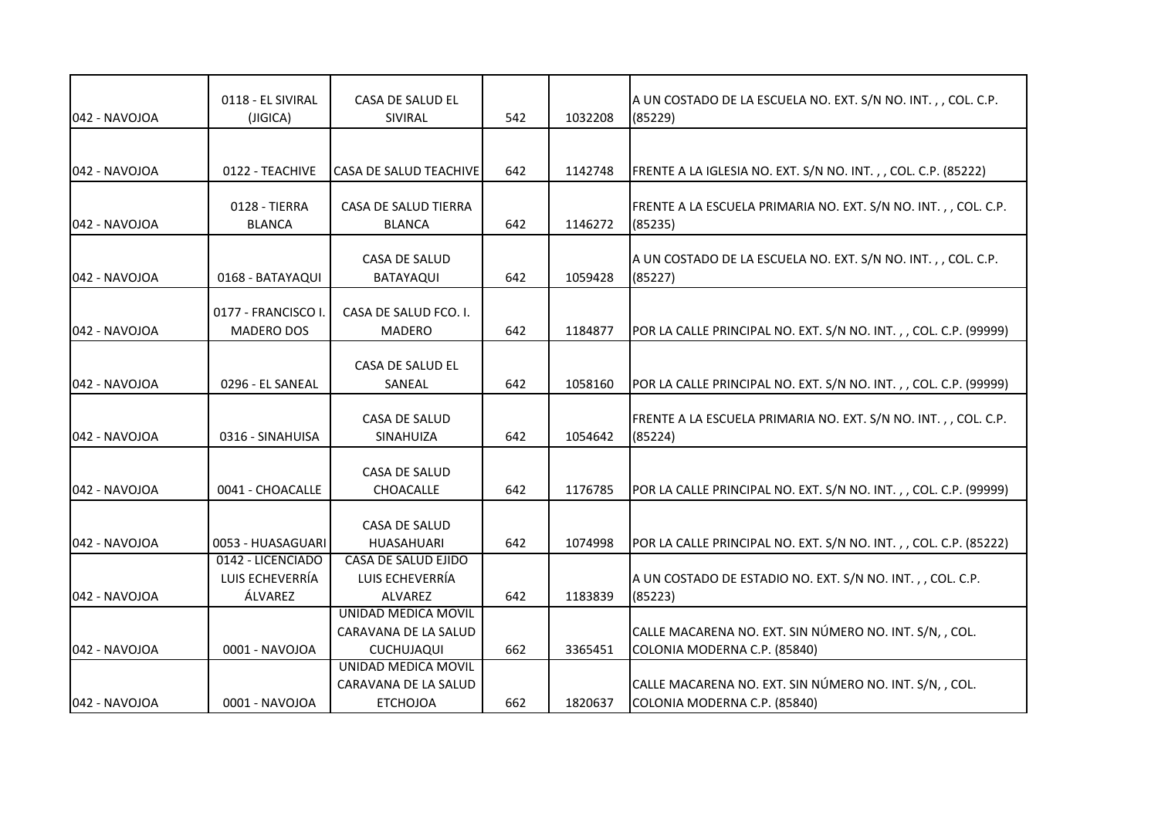| 042 - NAVOJOA  | 0118 - EL SIVIRAL<br>(JIGICA)                   | CASA DE SALUD EL<br>SIVIRAL                                      | 542 | 1032208 | A UN COSTADO DE LA ESCUELA NO. EXT. S/N NO. INT.,, COL. C.P.<br>(85229)                 |
|----------------|-------------------------------------------------|------------------------------------------------------------------|-----|---------|-----------------------------------------------------------------------------------------|
|                |                                                 |                                                                  |     |         |                                                                                         |
| 1042 - NAVOJOA | 0122 - TEACHIVE                                 | CASA DE SALUD TEACHIVE                                           | 642 | 1142748 | FRENTE A LA IGLESIA NO. EXT. S/N NO. INT.,, COL. C.P. (85222)                           |
| 1042 - NAVOJOA | 0128 - TIERRA<br><b>BLANCA</b>                  | CASA DE SALUD TIERRA<br><b>BLANCA</b>                            | 642 | 1146272 | FRENTE A LA ESCUELA PRIMARIA NO. EXT. S/N NO. INT. , , COL. C.P.<br>(85235)             |
| 042 - NAVOJOA  | 0168 - BATAYAQUI                                | CASA DE SALUD<br><b>BATAYAQUI</b>                                | 642 | 1059428 | A UN COSTADO DE LA ESCUELA NO. EXT. S/N NO. INT.,, COL. C.P.<br>(85227)                 |
| 042 - NAVOJOA  | 0177 - FRANCISCO I.<br>MADERO DOS               | CASA DE SALUD FCO. I.<br><b>MADERO</b>                           | 642 | 1184877 | POR LA CALLE PRINCIPAL NO. EXT. S/N NO. INT.,, COL. C.P. (99999)                        |
| 042 - NAVOJOA  | 0296 - EL SANEAL                                | CASA DE SALUD EL<br>SANEAL                                       | 642 | 1058160 | POR LA CALLE PRINCIPAL NO. EXT. S/N NO. INT.,, COL. C.P. (99999)                        |
| 042 - NAVOJOA  | 0316 - SINAHUISA                                | CASA DE SALUD<br>SINAHUIZA                                       | 642 | 1054642 | FRENTE A LA ESCUELA PRIMARIA NO. EXT. S/N NO. INT., , COL. C.P.<br>(85224)              |
| 042 - NAVOJOA  | 0041 - CHOACALLE                                | <b>CASA DE SALUD</b><br>CHOACALLE                                | 642 | 1176785 | POR LA CALLE PRINCIPAL NO. EXT. S/N NO. INT.,, COL. C.P. (99999)                        |
| 1042 - NAVOJOA | 0053 - HUASAGUARI                               | CASA DE SALUD<br><b>HUASAHUARI</b>                               | 642 | 1074998 | POR LA CALLE PRINCIPAL NO. EXT. S/N NO. INT.,, COL. C.P. (85222)                        |
| 042 - NAVOJOA  | 0142 - LICENCIADO<br>LUIS ECHEVERRÍA<br>ÁLVAREZ | CASA DE SALUD EJIDO<br>LUIS ECHEVERRÍA<br><b>ALVAREZ</b>         | 642 | 1183839 | A UN COSTADO DE ESTADIO NO. EXT. S/N NO. INT.,, COL. C.P.<br>(85223)                    |
| 1042 - NAVOJOA | 0001 - NAVOJOA                                  | UNIDAD MEDICA MOVIL<br>CARAVANA DE LA SALUD<br><b>CUCHUJAQUI</b> | 662 | 3365451 | CALLE MACARENA NO. EXT. SIN NÚMERO NO. INT. S/N, , COL.<br>COLONIA MODERNA C.P. (85840) |
| 1042 - NAVOJOA | 0001 - NAVOJOA                                  | UNIDAD MEDICA MOVIL<br>CARAVANA DE LA SALUD<br><b>ETCHOJOA</b>   | 662 | 1820637 | CALLE MACARENA NO. EXT. SIN NÚMERO NO. INT. S/N, , COL.<br>COLONIA MODERNA C.P. (85840) |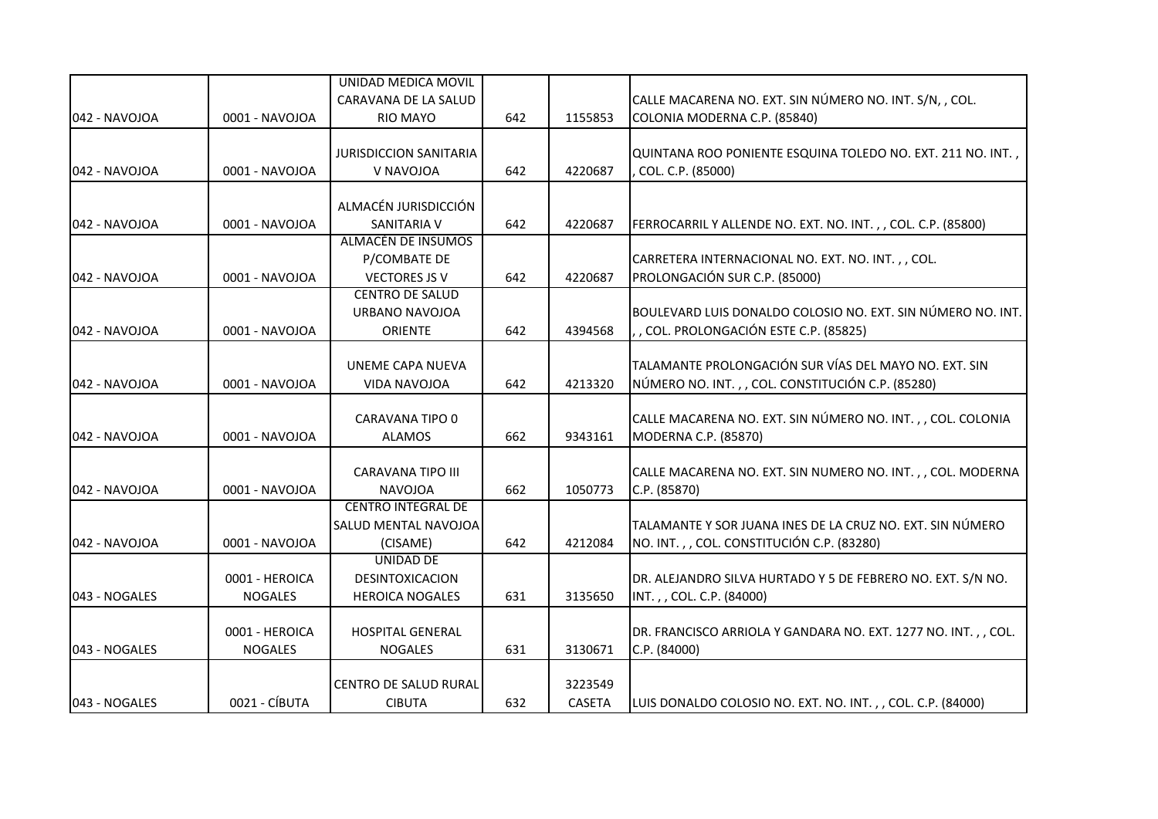|                |                | UNIDAD MEDICA MOVIL           |     |               |                                                               |
|----------------|----------------|-------------------------------|-----|---------------|---------------------------------------------------------------|
|                |                | CARAVANA DE LA SALUD          |     |               | CALLE MACARENA NO. EXT. SIN NÚMERO NO. INT. S/N, , COL.       |
| 042 - NAVOJOA  | 0001 - NAVOJOA | RIO MAYO                      | 642 | 1155853       | COLONIA MODERNA C.P. (85840)                                  |
|                |                |                               |     |               |                                                               |
|                |                | <b>JURISDICCION SANITARIA</b> |     |               | QUINTANA ROO PONIENTE ESQUINA TOLEDO NO. EXT. 211 NO. INT.,   |
| 1042 - NAVOJOA | 0001 - NAVOJOA | V NAVOJOA                     | 642 | 4220687       | COL. C.P. (85000)                                             |
|                |                | ALMACÉN JURISDICCIÓN          |     |               |                                                               |
| 042 - NAVOJOA  | 0001 - NAVOJOA | <b>SANITARIA V</b>            | 642 | 4220687       | FERROCARRIL Y ALLENDE NO. EXT. NO. INT.,, COL. C.P. (85800)   |
|                |                | <b>ALMACÉN DE INSUMOS</b>     |     |               |                                                               |
|                |                | P/COMBATE DE                  |     |               | CARRETERA INTERNACIONAL NO. EXT. NO. INT.,, COL.              |
| 1042 - NAVOJOA | 0001 - NAVOJOA | <b>VECTORES JS V</b>          | 642 | 4220687       | PROLONGACIÓN SUR C.P. (85000)                                 |
|                |                | <b>CENTRO DE SALUD</b>        |     |               |                                                               |
|                |                | <b>URBANO NAVOJOA</b>         |     |               | BOULEVARD LUIS DONALDO COLOSIO NO. EXT. SIN NÚMERO NO. INT.   |
| 042 - NAVOJOA  | 0001 - NAVOJOA | ORIENTE                       | 642 | 4394568       | , COL. PROLONGACIÓN ESTE C.P. (85825)                         |
|                |                |                               |     |               |                                                               |
|                |                | UNEME CAPA NUEVA              |     |               | TALAMANTE PROLONGACIÓN SUR VÍAS DEL MAYO NO. EXT. SIN         |
| 042 - NAVOJOA  | 0001 - NAVOJOA | <b>VIDA NAVOJOA</b>           | 642 | 4213320       | NÚMERO NO. INT.,, COL. CONSTITUCIÓN C.P. (85280)              |
|                |                |                               |     |               |                                                               |
|                |                | <b>CARAVANA TIPO 0</b>        |     |               | CALLE MACARENA NO. EXT. SIN NÚMERO NO. INT.,, COL. COLONIA    |
| 042 - NAVOJOA  | 0001 - NAVOJOA | <b>ALAMOS</b>                 | 662 | 9343161       | MODERNA C.P. (85870)                                          |
|                |                | CARAVANA TIPO III             |     |               | CALLE MACARENA NO. EXT. SIN NUMERO NO. INT.,, COL. MODERNA    |
| 042 - NAVOJOA  | 0001 - NAVOJOA | NAVOJOA                       | 662 | 1050773       | C.P. (85870)                                                  |
|                |                | <b>CENTRO INTEGRAL DE</b>     |     |               |                                                               |
|                |                | SALUD MENTAL NAVOJOA          |     |               | TALAMANTE Y SOR JUANA INES DE LA CRUZ NO. EXT. SIN NÚMERO     |
| 042 - NAVOJOA  | 0001 - NAVOJOA | (CISAME)                      | 642 | 4212084       | NO. INT.,, COL. CONSTITUCIÓN C.P. (83280)                     |
|                |                | UNIDAD DE                     |     |               |                                                               |
|                | 0001 - HEROICA | <b>DESINTOXICACION</b>        |     |               | DR. ALEJANDRO SILVA HURTADO Y 5 DE FEBRERO NO. EXT. S/N NO.   |
| 043 - NOGALES  | <b>NOGALES</b> | <b>HEROICA NOGALES</b>        | 631 | 3135650       | INT.,, COL. C.P. (84000)                                      |
|                |                |                               |     |               |                                                               |
|                | 0001 - HEROICA | <b>HOSPITAL GENERAL</b>       |     |               | DR. FRANCISCO ARRIOLA Y GANDARA NO. EXT. 1277 NO. INT.,, COL. |
| 043 - NOGALES  | <b>NOGALES</b> | <b>NOGALES</b>                | 631 | 3130671       | C.P. (84000)                                                  |
|                |                | <b>CENTRO DE SALUD RURAL</b>  |     | 3223549       |                                                               |
| 043 - NOGALES  | 0021 - CÍBUTA  | <b>CIBUTA</b>                 | 632 | <b>CASETA</b> | LUIS DONALDO COLOSIO NO. EXT. NO. INT.,, COL. C.P. (84000)    |
|                |                |                               |     |               |                                                               |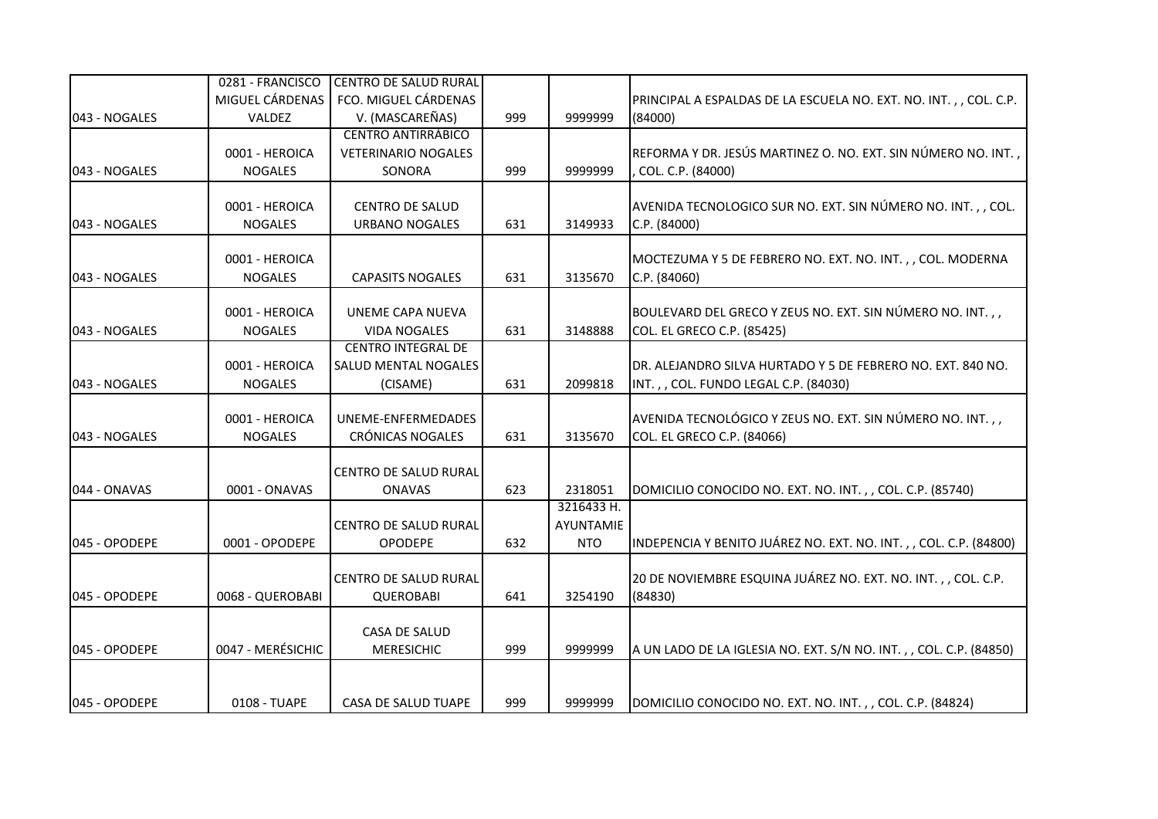|               | 0281 - FRANCISCO  | <b>CENTRO DE SALUD RURAL</b> |     |            |                                                                    |
|---------------|-------------------|------------------------------|-----|------------|--------------------------------------------------------------------|
|               | MIGUEL CÁRDENAS   | FCO. MIGUEL CÁRDENAS         |     |            | PRINCIPAL A ESPALDAS DE LA ESCUELA NO. EXT. NO. INT. , , COL. C.P. |
| 043 - NOGALES | VALDEZ            | V. (MASCAREÑAS)              | 999 | 9999999    | (84000)                                                            |
|               |                   | <b>CENTRO ANTIRRÁBICO</b>    |     |            |                                                                    |
|               | 0001 - HEROICA    | <b>VETERINARIO NOGALES</b>   |     |            | REFORMA Y DR. JESÚS MARTINEZ O. NO. EXT. SIN NÚMERO NO. INT. ,     |
| 043 - NOGALES | <b>NOGALES</b>    | SONORA                       | 999 | 9999999    | , COL. C.P. (84000)                                                |
|               |                   |                              |     |            |                                                                    |
|               | 0001 - HEROICA    | <b>CENTRO DE SALUD</b>       |     |            | AVENIDA TECNOLOGICO SUR NO. EXT. SIN NÚMERO NO. INT.,, COL.        |
| 043 - NOGALES | <b>NOGALES</b>    | <b>URBANO NOGALES</b>        | 631 | 3149933    | C.P. (84000)                                                       |
|               | 0001 - HEROICA    |                              |     |            | MOCTEZUMA Y 5 DE FEBRERO NO. EXT. NO. INT.,, COL. MODERNA          |
| 043 - NOGALES | <b>NOGALES</b>    | <b>CAPASITS NOGALES</b>      | 631 | 3135670    | C.P. (84060)                                                       |
|               |                   |                              |     |            |                                                                    |
|               | 0001 - HEROICA    | UNEME CAPA NUEVA             |     |            | BOULEVARD DEL GRECO Y ZEUS NO. EXT. SIN NÚMERO NO. INT.,,          |
| 043 - NOGALES | <b>NOGALES</b>    | <b>VIDA NOGALES</b>          | 631 | 3148888    | COL. EL GRECO C.P. (85425)                                         |
|               |                   | <b>CENTRO INTEGRAL DE</b>    |     |            |                                                                    |
|               | 0001 - HEROICA    | SALUD MENTAL NOGALES         |     |            | IDR. ALEJANDRO SILVA HURTADO Y 5 DE FEBRERO NO. EXT. 840 NO.       |
| 043 - NOGALES | <b>NOGALES</b>    | (CISAME)                     | 631 | 2099818    | INT.,, COL. FUNDO LEGAL C.P. (84030)                               |
|               |                   |                              |     |            |                                                                    |
|               | 0001 - HEROICA    | UNEME-ENFERMEDADES           |     |            | AVENIDA TECNOLÓGICO Y ZEUS NO. EXT. SIN NÚMERO NO. INT.,,          |
| 043 - NOGALES | <b>NOGALES</b>    | <b>CRÓNICAS NOGALES</b>      | 631 | 3135670    | COL. EL GRECO C.P. (84066)                                         |
|               |                   |                              |     |            |                                                                    |
| 044 - ONAVAS  | 0001 - ONAVAS     | CENTRO DE SALUD RURAL        | 623 | 2318051    |                                                                    |
|               |                   | <b>ONAVAS</b>                |     | 3216433 H. | DOMICILIO CONOCIDO NO. EXT. NO. INT.,, COL. C.P. (85740)           |
|               |                   | <b>CENTRO DE SALUD RURAL</b> |     | AYUNTAMIE  |                                                                    |
| 045 - OPODEPE | 0001 - OPODEPE    | <b>OPODEPE</b>               | 632 | <b>NTO</b> | INDEPENCIA Y BENITO JUÁREZ NO. EXT. NO. INT.,, COL. C.P. (84800)   |
|               |                   |                              |     |            |                                                                    |
|               |                   | CENTRO DE SALUD RURAL        |     |            | 20 DE NOVIEMBRE ESQUINA JUÁREZ NO. EXT. NO. INT.,, COL. C.P.       |
| 045 - OPODEPE | 0068 - QUEROBABI  | <b>QUEROBABI</b>             | 641 | 3254190    | (84830)                                                            |
|               |                   |                              |     |            |                                                                    |
|               |                   | <b>CASA DE SALUD</b>         |     |            |                                                                    |
| 045 - OPODEPE | 0047 - MERÉSICHIC | <b>MERESICHIC</b>            | 999 | 9999999    | A UN LADO DE LA IGLESIA NO. EXT. S/N NO. INT.,, COL. C.P. (84850)  |
|               |                   |                              |     |            |                                                                    |
|               |                   |                              |     |            |                                                                    |
| 045 - OPODEPE | 0108 - TUAPE      | <b>CASA DE SALUD TUAPE</b>   | 999 | 9999999    | DOMICILIO CONOCIDO NO. EXT. NO. INT.,, COL. C.P. (84824)           |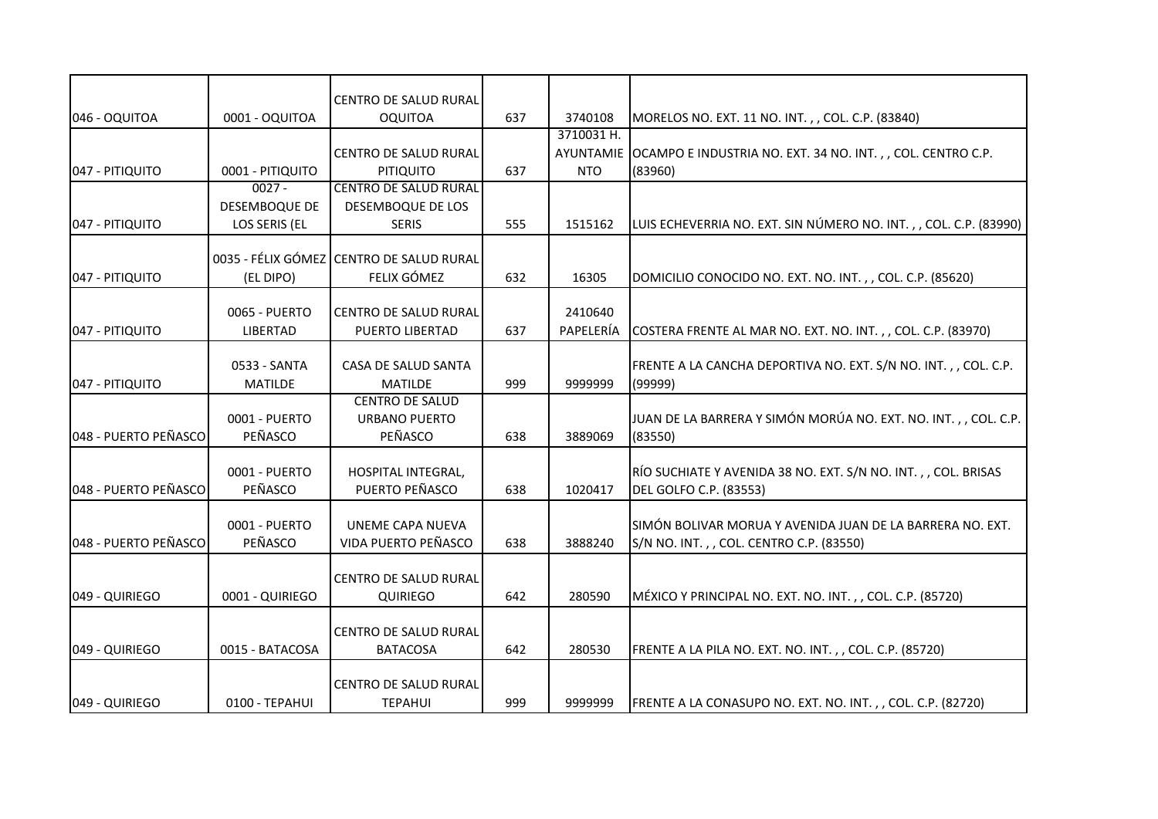|                      |                  | <b>CENTRO DE SALUD RURAL</b>             |     |            |                                                                     |
|----------------------|------------------|------------------------------------------|-----|------------|---------------------------------------------------------------------|
| 046 - OQUITOA        | 0001 - OQUITOA   | <b>OQUITOA</b>                           | 637 | 3740108    | MORELOS NO. EXT. 11 NO. INT.,, COL. C.P. (83840)                    |
|                      |                  |                                          |     | 3710031 H. |                                                                     |
|                      |                  | CENTRO DE SALUD RURAL                    |     |            | AYUNTAMIE OCAMPO E INDUSTRIA NO. EXT. 34 NO. INT., COL. CENTRO C.P. |
| 047 - PITIQUITO      | 0001 - PITIQUITO | PITIQUITO                                | 637 | <b>NTO</b> | (83960)                                                             |
|                      | $0027 -$         | <b>CENTRO DE SALUD RURAL</b>             |     |            |                                                                     |
|                      | DESEMBOQUE DE    | DESEMBOQUE DE LOS                        |     |            |                                                                     |
| 047 - PITIQUITO      | LOS SERIS (EL    | <b>SERIS</b>                             | 555 | 1515162    | LUIS ECHEVERRIA NO. EXT. SIN NÚMERO NO. INT.,, COL. C.P. (83990)    |
|                      |                  |                                          |     |            |                                                                     |
|                      |                  | 0035 - FÉLIX GÓMEZ CENTRO DE SALUD RURAL |     |            |                                                                     |
| 047 - PITIQUITO      | (EL DIPO)        | FELIX GÓMEZ                              | 632 | 16305      | DOMICILIO CONOCIDO NO. EXT. NO. INT.,, COL. C.P. (85620)            |
|                      |                  |                                          |     |            |                                                                     |
|                      | 0065 - PUERTO    | CENTRO DE SALUD RURAL                    |     | 2410640    |                                                                     |
| 047 - PITIQUITO      | <b>LIBERTAD</b>  | <b>PUERTO LIBERTAD</b>                   | 637 | PAPELERÍA  | COSTERA FRENTE AL MAR NO. EXT. NO. INT.,, COL. C.P. (83970)         |
|                      | 0533 - SANTA     | CASA DE SALUD SANTA                      |     |            | FRENTE A LA CANCHA DEPORTIVA NO. EXT. S/N NO. INT.,, COL. C.P.      |
| 047 - PITIQUITO      | <b>MATILDE</b>   | <b>MATILDE</b>                           | 999 | 9999999    | (99999)                                                             |
|                      |                  | <b>CENTRO DE SALUD</b>                   |     |            |                                                                     |
|                      | 0001 - PUERTO    | <b>URBANO PUERTO</b>                     |     |            | JUAN DE LA BARRERA Y SIMÓN MORÚA NO. EXT. NO. INT.,, COL. C.P.      |
| 048 - PUERTO PEÑASCO | PEÑASCO          | PEÑASCO                                  | 638 | 3889069    | (83550)                                                             |
|                      |                  |                                          |     |            |                                                                     |
|                      | 0001 - PUERTO    | HOSPITAL INTEGRAL,                       |     |            | RÍO SUCHIATE Y AVENIDA 38 NO. EXT. S/N NO. INT. , , COL. BRISAS     |
| 048 - PUERTO PEÑASCO | PEÑASCO          | PUERTO PEÑASCO                           | 638 | 1020417    | DEL GOLFO C.P. (83553)                                              |
|                      |                  |                                          |     |            |                                                                     |
|                      | 0001 - PUERTO    | <b>UNEME CAPA NUEVA</b>                  |     |            | SIMÓN BOLIVAR MORUA Y AVENIDA JUAN DE LA BARRERA NO. EXT.           |
| 048 - PUERTO PEÑASCO | PEÑASCO          | VIDA PUERTO PEÑASCO                      | 638 | 3888240    | S/N NO. INT.,, COL. CENTRO C.P. (83550)                             |
|                      |                  |                                          |     |            |                                                                     |
|                      |                  | <b>CENTRO DE SALUD RURAL</b>             |     |            |                                                                     |
| 049 - QUIRIEGO       | 0001 - QUIRIEGO  | <b>QUIRIEGO</b>                          | 642 | 280590     | MÉXICO Y PRINCIPAL NO. EXT. NO. INT.,, COL. C.P. (85720)            |
|                      |                  |                                          |     |            |                                                                     |
|                      |                  | CENTRO DE SALUD RURAL                    |     |            |                                                                     |
| 049 - QUIRIEGO       | 0015 - BATACOSA  | <b>BATACOSA</b>                          | 642 | 280530     | FRENTE A LA PILA NO. EXT. NO. INT.,, COL. C.P. (85720)              |
|                      |                  |                                          |     |            |                                                                     |
|                      |                  | CENTRO DE SALUD RURAL                    |     |            |                                                                     |
| 049 - QUIRIEGO       | 0100 - TEPAHUI   | <b>TEPAHUI</b>                           | 999 | 9999999    | FRENTE A LA CONASUPO NO. EXT. NO. INT.,, COL. C.P. (82720)          |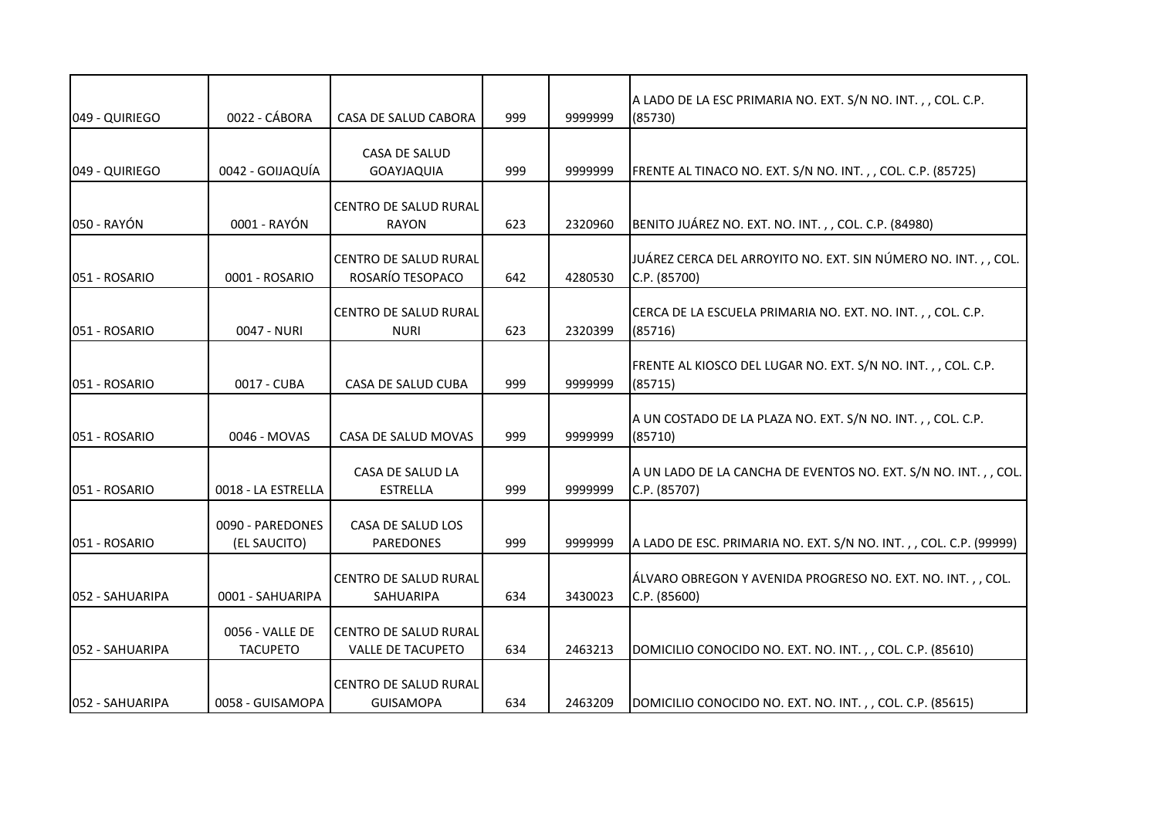| 049 - QUIRIEGO   | 0022 - CÁBORA                      | CASA DE SALUD CABORA                              | 999 | 9999999 | A LADO DE LA ESC PRIMARIA NO. EXT. S/N NO. INT.,, COL. C.P.<br>(85730)         |
|------------------|------------------------------------|---------------------------------------------------|-----|---------|--------------------------------------------------------------------------------|
| 049 - QUIRIEGO   | 0042 - GOIJAQUÍA                   | CASA DE SALUD<br><b>GOAYJAQUIA</b>                | 999 | 9999999 | FRENTE AL TINACO NO. EXT. S/N NO. INT.,, COL. C.P. (85725)                     |
| 050 - RAYÓN      | 0001 - RAYÓN                       | <b>CENTRO DE SALUD RURAL</b><br><b>RAYON</b>      | 623 | 2320960 | BENITO JUÁREZ NO. EXT. NO. INT.,, COL. C.P. (84980)                            |
| 051 - ROSARIO    | 0001 - ROSARIO                     | <b>CENTRO DE SALUD RURAL</b><br>ROSARÍO TESOPACO  | 642 | 4280530 | JUÁREZ CERCA DEL ARROYITO NO. EXT. SIN NÚMERO NO. INT.,, COL.<br>C.P. (85700)  |
| 051 - ROSARIO    | 0047 - NURI                        | CENTRO DE SALUD RURAL<br><b>NURI</b>              | 623 | 2320399 | CERCA DE LA ESCUELA PRIMARIA NO. EXT. NO. INT.,, COL. C.P.<br>(85716)          |
| 051 - ROSARIO    | 0017 - CUBA                        | <b>CASA DE SALUD CUBA</b>                         | 999 | 9999999 | FRENTE AL KIOSCO DEL LUGAR NO. EXT. S/N NO. INT., , COL. C.P.<br>(85715)       |
| 051 - ROSARIO    | 0046 - MOVAS                       | CASA DE SALUD MOVAS                               | 999 | 9999999 | A UN COSTADO DE LA PLAZA NO. EXT. S/N NO. INT.,, COL. C.P.<br>(85710)          |
| 051 - ROSARIO    | 0018 - LA ESTRELLA                 | CASA DE SALUD LA<br><b>ESTRELLA</b>               | 999 | 9999999 | A UN LADO DE LA CANCHA DE EVENTOS NO. EXT. S/N NO. INT.,, COL.<br>C.P. (85707) |
| 051 - ROSARIO    | 0090 - PAREDONES<br>(EL SAUCITO)   | CASA DE SALUD LOS<br><b>PAREDONES</b>             | 999 | 9999999 | A LADO DE ESC. PRIMARIA NO. EXT. S/N NO. INT.,, COL. C.P. (99999)              |
| 052 - SAHUARIPA  | 0001 - SAHUARIPA                   | <b>CENTRO DE SALUD RURAL</b><br>SAHUARIPA         | 634 | 3430023 | ÁLVARO OBREGON Y AVENIDA PROGRESO NO. EXT. NO. INT.,, COL.<br>C.P. (85600)     |
| 1052 - SAHUARIPA | 0056 - VALLE DE<br><b>TACUPETO</b> | CENTRO DE SALUD RURAL<br><b>VALLE DE TACUPETO</b> | 634 | 2463213 | DOMICILIO CONOCIDO NO. EXT. NO. INT.,, COL. C.P. (85610)                       |
| 052 - SAHUARIPA  | 0058 - GUISAMOPA                   | CENTRO DE SALUD RURAL<br><b>GUISAMOPA</b>         | 634 | 2463209 | DOMICILIO CONOCIDO NO. EXT. NO. INT.,, COL. C.P. (85615)                       |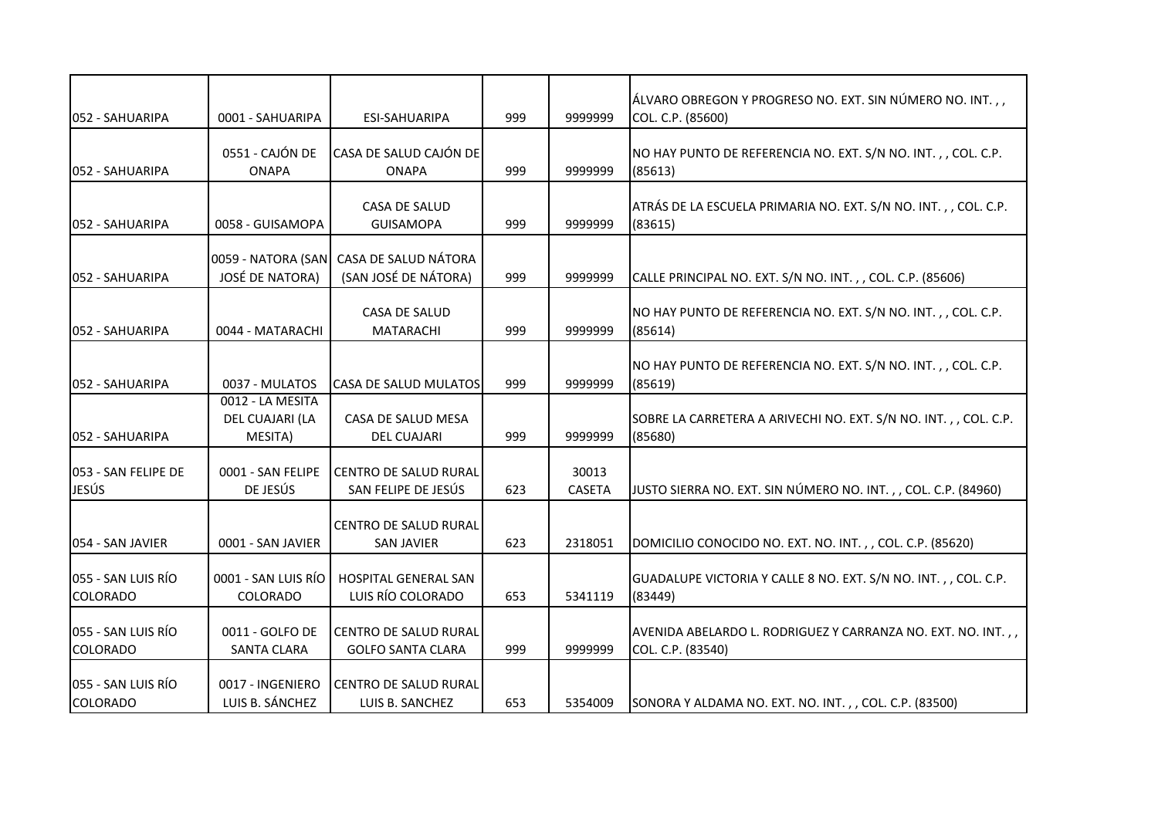| 052 - SAHUARIPA                       | 0001 - SAHUARIPA                               | ESI-SAHUARIPA                                                   | 999 | 9999999                | ÁLVARO OBREGON Y PROGRESO NO. EXT. SIN NÚMERO NO. INT.,,<br>COL. C.P. (85600)     |
|---------------------------------------|------------------------------------------------|-----------------------------------------------------------------|-----|------------------------|-----------------------------------------------------------------------------------|
| 1052 - SAHUARIPA                      | 0551 - CAJÓN DE<br><b>ONAPA</b>                | CASA DE SALUD CAJÓN DE<br><b>ONAPA</b>                          | 999 | 9999999                | NO HAY PUNTO DE REFERENCIA NO. EXT. S/N NO. INT.,, COL. C.P.<br>(85613)           |
| 052 - SAHUARIPA                       | 0058 - GUISAMOPA                               | <b>CASA DE SALUD</b><br><b>GUISAMOPA</b>                        | 999 | 9999999                | ATRÁS DE LA ESCUELA PRIMARIA NO. EXT. S/N NO. INT. , , COL. C.P.<br>(83615)       |
| 052 - SAHUARIPA                       | JOSÉ DE NATORA)                                | 0059 - NATORA (SAN CASA DE SALUD NÁTORA<br>(SAN JOSÉ DE NÁTORA) | 999 | 9999999                | CALLE PRINCIPAL NO. EXT. S/N NO. INT.,, COL. C.P. (85606)                         |
| 052 - SAHUARIPA                       | 0044 - MATARACHI                               | CASA DE SALUD<br><b>MATARACHI</b>                               | 999 | 9999999                | NO HAY PUNTO DE REFERENCIA NO. EXT. S/N NO. INT.,, COL. C.P.<br>(85614)           |
| 1052 - SAHUARIPA                      | 0037 - MULATOS                                 | <b>CASA DE SALUD MULATOS</b>                                    | 999 | 9999999                | NO HAY PUNTO DE REFERENCIA NO. EXT. S/N NO. INT.,, COL. C.P.<br>(85619)           |
| 052 - SAHUARIPA                       | 0012 - LA MESITA<br>DEL CUAJARI (LA<br>MESITA) | CASA DE SALUD MESA<br><b>DEL CUAJARI</b>                        | 999 | 9999999                | SOBRE LA CARRETERA A ARIVECHI NO. EXT. S/N NO. INT.,, COL. C.P.<br>(85680)        |
| 053 - SAN FELIPE DE<br>JESÚS          | 0001 - SAN FELIPE<br>DE JESÚS                  | <b>CENTRO DE SALUD RURAL</b><br>SAN FELIPE DE JESÚS             | 623 | 30013<br><b>CASETA</b> | JUSTO SIERRA NO. EXT. SIN NÚMERO NO. INT.,, COL. C.P. (84960)                     |
| 054 - SAN JAVIER                      | 0001 - SAN JAVIER                              | CENTRO DE SALUD RURAL<br><b>SAN JAVIER</b>                      | 623 | 2318051                | DOMICILIO CONOCIDO NO. EXT. NO. INT.,, COL. C.P. (85620)                          |
| 055 - SAN LUIS RÍO<br><b>COLORADO</b> | 0001 - SAN LUIS RÍO<br><b>COLORADO</b>         | <b>HOSPITAL GENERAL SAN</b><br>LUIS RÍO COLORADO                | 653 | 5341119                | GUADALUPE VICTORIA Y CALLE 8 NO. EXT. S/N NO. INT.,, COL. C.P.<br>(83449)         |
| 055 - SAN LUIS RÍO<br><b>COLORADO</b> | 0011 - GOLFO DE<br><b>SANTA CLARA</b>          | CENTRO DE SALUD RURAL<br><b>GOLFO SANTA CLARA</b>               | 999 | 9999999                | AVENIDA ABELARDO L. RODRIGUEZ Y CARRANZA NO. EXT. NO. INT.,,<br>COL. C.P. (83540) |
| 055 - SAN LUIS RÍO<br><b>COLORADO</b> | 0017 - INGENIERO<br>LUIS B. SÁNCHEZ            | CENTRO DE SALUD RURAL<br>LUIS B. SANCHEZ                        | 653 | 5354009                | SONORA Y ALDAMA NO. EXT. NO. INT.,, COL. C.P. (83500)                             |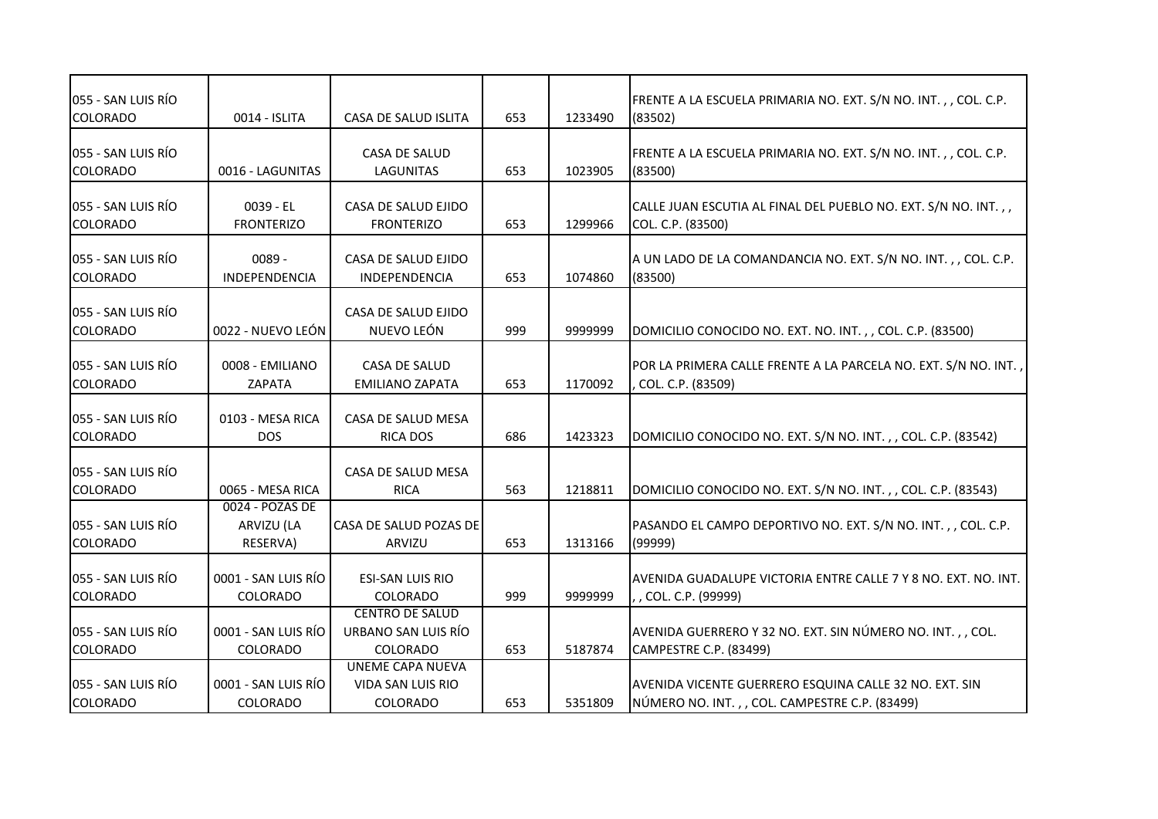| 055 - SAN LUIS RÍO<br><b>COLORADO</b> | 0014 - ISLITA                             | CASA DE SALUD ISLITA                                             | 653 | 1233490 | FRENTE A LA ESCUELA PRIMARIA NO. EXT. S/N NO. INT.,, COL. C.P.<br>(83502)                               |
|---------------------------------------|-------------------------------------------|------------------------------------------------------------------|-----|---------|---------------------------------------------------------------------------------------------------------|
| 055 - SAN LUIS RÍO<br><b>COLORADO</b> | 0016 - LAGUNITAS                          | <b>CASA DE SALUD</b><br>LAGUNITAS                                | 653 | 1023905 | FRENTE A LA ESCUELA PRIMARIA NO. EXT. S/N NO. INT. , , COL. C.P.<br>(83500)                             |
| 055 - SAN LUIS RÍO<br><b>COLORADO</b> | $0039 - EL$<br><b>FRONTERIZO</b>          | CASA DE SALUD EJIDO<br><b>FRONTERIZO</b>                         | 653 | 1299966 | CALLE JUAN ESCUTIA AL FINAL DEL PUEBLO NO. EXT. S/N NO. INT.,,<br>COL. C.P. (83500)                     |
| 055 - SAN LUIS RÍO<br><b>COLORADO</b> | $0089 -$<br>INDEPENDENCIA                 | CASA DE SALUD EJIDO<br>INDEPENDENCIA                             | 653 | 1074860 | A UN LADO DE LA COMANDANCIA NO. EXT. S/N NO. INT.,, COL. C.P.<br>(83500)                                |
| 055 - SAN LUIS RÍO<br><b>COLORADO</b> | 0022 - NUEVO LEÓN                         | CASA DE SALUD EJIDO<br>NUEVO LEÓN                                | 999 | 9999999 | DOMICILIO CONOCIDO NO. EXT. NO. INT.,, COL. C.P. (83500)                                                |
| 055 - SAN LUIS RÍO<br><b>COLORADO</b> | 0008 - EMILIANO<br><b>ZAPATA</b>          | CASA DE SALUD<br>EMILIANO ZAPATA                                 | 653 | 1170092 | POR LA PRIMERA CALLE FRENTE A LA PARCELA NO. EXT. S/N NO. INT.,<br>COL. C.P. (83509)                    |
| 055 - SAN LUIS RÍO<br><b>COLORADO</b> | 0103 - MESA RICA<br>DOS.                  | CASA DE SALUD MESA<br><b>RICA DOS</b>                            | 686 | 1423323 | DOMICILIO CONOCIDO NO. EXT. S/N NO. INT.,, COL. C.P. (83542)                                            |
| 055 - SAN LUIS RÍO<br><b>COLORADO</b> | 0065 - MESA RICA                          | CASA DE SALUD MESA<br><b>RICA</b>                                | 563 | 1218811 | DOMICILIO CONOCIDO NO. EXT. S/N NO. INT.,, COL. C.P. (83543)                                            |
| 055 - SAN LUIS RÍO<br><b>COLORADO</b> | 0024 - POZAS DE<br>ARVIZU (LA<br>RESERVA) | CASA DE SALUD POZAS DE<br>ARVIZU                                 | 653 | 1313166 | PASANDO EL CAMPO DEPORTIVO NO. EXT. S/N NO. INT.,, COL. C.P.<br>(99999)                                 |
| 055 - SAN LUIS RÍO<br><b>COLORADO</b> | 0001 - SAN LUIS RÍO<br>COLORADO           | <b>ESI-SAN LUIS RIO</b><br><b>COLORADO</b>                       | 999 | 9999999 | AVENIDA GUADALUPE VICTORIA ENTRE CALLE 7 Y 8 NO. EXT. NO. INT.<br>,, COL. C.P. (99999)                  |
| 055 - SAN LUIS RÍO<br><b>COLORADO</b> | 0001 - SAN LUIS RÍO<br>COLORADO           | <b>CENTRO DE SALUD</b><br>URBANO SAN LUIS RÍO<br><b>COLORADO</b> | 653 | 5187874 | AVENIDA GUERRERO Y 32 NO. EXT. SIN NÚMERO NO. INT.,, COL.<br>CAMPESTRE C.P. (83499)                     |
| 055 - SAN LUIS RÍO<br><b>COLORADO</b> | 0001 - SAN LUIS RÍO<br><b>COLORADO</b>    | <b>UNEME CAPA NUEVA</b><br>VIDA SAN LUIS RIO<br>COLORADO         | 653 | 5351809 | AVENIDA VICENTE GUERRERO ESQUINA CALLE 32 NO. EXT. SIN<br>NÚMERO NO. INT.,, COL. CAMPESTRE C.P. (83499) |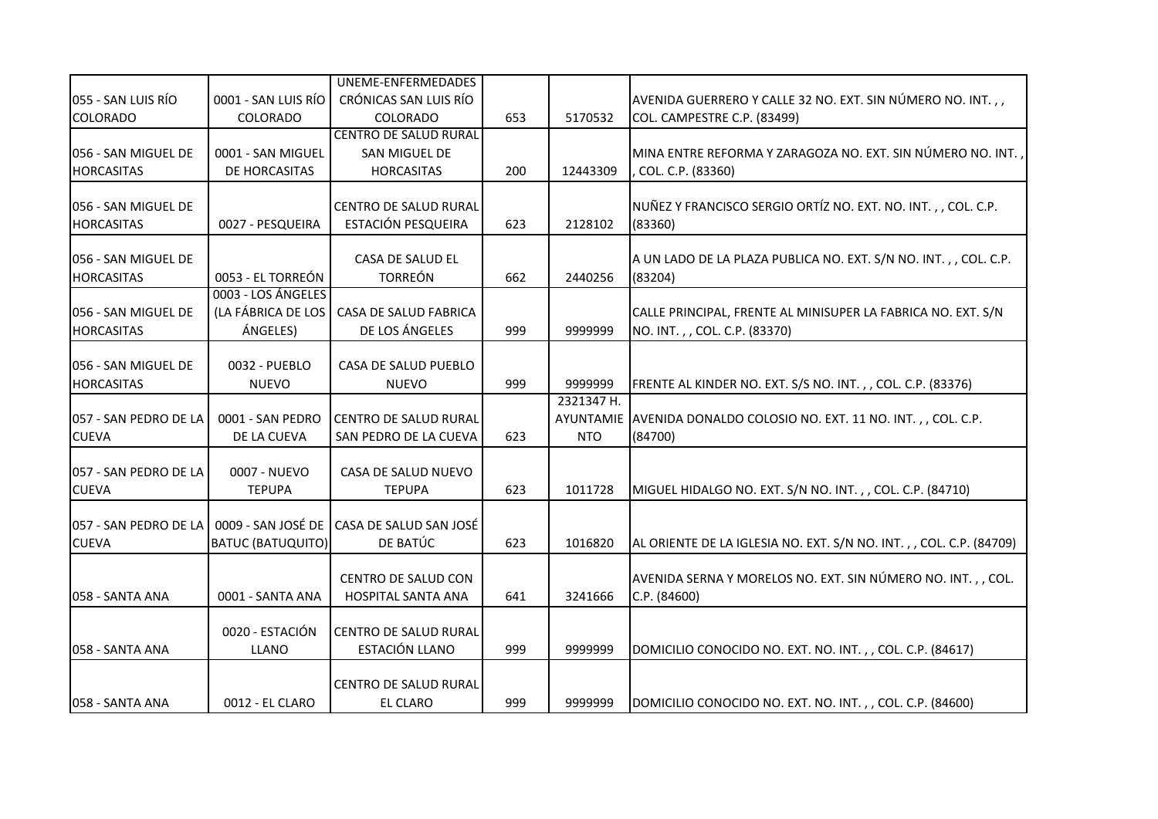|                                       |                                                | UNEME-ENFERMEDADES                 |     |            |                                                                    |
|---------------------------------------|------------------------------------------------|------------------------------------|-----|------------|--------------------------------------------------------------------|
| 055 - SAN LUIS RÍO                    | 0001 - SAN LUIS RÍO                            | CRÓNICAS SAN LUIS RÍO              |     |            | AVENIDA GUERRERO Y CALLE 32 NO. EXT. SIN NÚMERO NO. INT.,,         |
| <b>COLORADO</b>                       | <b>COLORADO</b>                                | COLORADO                           | 653 | 5170532    | COL. CAMPESTRE C.P. (83499)                                        |
|                                       |                                                | <b>CENTRO DE SALUD RURAL</b>       |     |            |                                                                    |
| 056 - SAN MIGUEL DE                   | 0001 - SAN MIGUEL                              | SAN MIGUEL DE                      |     |            | MINA ENTRE REFORMA Y ZARAGOZA NO. EXT. SIN NÚMERO NO. INT.,        |
| <b>HORCASITAS</b>                     | DE HORCASITAS                                  | <b>HORCASITAS</b>                  | 200 | 12443309   | COL. C.P. (83360)                                                  |
|                                       |                                                |                                    |     |            |                                                                    |
| 056 - SAN MIGUEL DE                   |                                                | CENTRO DE SALUD RURAL              |     |            | NUÑEZ Y FRANCISCO SERGIO ORTÍZ NO. EXT. NO. INT.,, COL. C.P.       |
| <b>HORCASITAS</b>                     | 0027 - PESQUEIRA                               | ESTACIÓN PESQUEIRA                 | 623 | 2128102    | (83360)                                                            |
|                                       |                                                | CASA DE SALUD EL                   |     |            |                                                                    |
| 056 - SAN MIGUEL DE                   | 0053 - EL TORREÓN                              | <b>TORREÓN</b>                     |     |            | A UN LADO DE LA PLAZA PUBLICA NO. EXT. S/N NO. INT.,, COL. C.P.    |
| <b>HORCASITAS</b>                     | 0003 - LOS ÁNGELES                             |                                    | 662 | 2440256    | (83204)                                                            |
| 056 - SAN MIGUEL DE                   | (LA FÁBRICA DE LOS                             | CASA DE SALUD FABRICA              |     |            | CALLE PRINCIPAL, FRENTE AL MINISUPER LA FABRICA NO. EXT. S/N       |
| <b>HORCASITAS</b>                     | ÁNGELES)                                       | DE LOS ÁNGELES                     | 999 | 9999999    | NO. INT.,, COL. C.P. (83370)                                       |
|                                       |                                                |                                    |     |            |                                                                    |
| 056 - SAN MIGUEL DE                   | 0032 - PUEBLO                                  | CASA DE SALUD PUEBLO               |     |            |                                                                    |
| <b>HORCASITAS</b>                     | <b>NUEVO</b>                                   | <b>NUEVO</b>                       | 999 | 9999999    | FRENTE AL KINDER NO. EXT. S/S NO. INT.,, COL. C.P. (83376)         |
|                                       |                                                |                                    |     | 2321347 H. |                                                                    |
| 057 - SAN PEDRO DE LA                 | 0001 - SAN PEDRO                               | <b>CENTRO DE SALUD RURAL</b>       |     |            | AYUNTAMIE AVENIDA DONALDO COLOSIO NO. EXT. 11 NO. INT., COL. C.P.  |
| <b>CUEVA</b>                          | DE LA CUEVA                                    | SAN PEDRO DE LA CUEVA              | 623 | <b>NTO</b> | (84700)                                                            |
|                                       |                                                |                                    |     |            |                                                                    |
| 057 - SAN PEDRO DE LA                 | 0007 - NUEVO                                   | CASA DE SALUD NUEVO                |     |            |                                                                    |
| <b>CUEVA</b>                          | <b>TEPUPA</b>                                  | <b>TEPUPA</b>                      | 623 | 1011728    | MIGUEL HIDALGO NO. EXT. S/N NO. INT.,, COL. C.P. (84710)           |
|                                       |                                                |                                    |     |            |                                                                    |
| 057 - SAN PEDRO DE LA<br><b>CUEVA</b> | 0009 - SAN JOSÉ DE<br><b>BATUC (BATUQUITO)</b> | CASA DE SALUD SAN JOSÉ<br>DE BATÚC | 623 | 1016820    |                                                                    |
|                                       |                                                |                                    |     |            | AL ORIENTE DE LA IGLESIA NO. EXT. S/N NO. INT.,, COL. C.P. (84709) |
|                                       |                                                | CENTRO DE SALUD CON                |     |            | AVENIDA SERNA Y MORELOS NO. EXT. SIN NÚMERO NO. INT.,, COL.        |
| 058 - SANTA ANA                       | 0001 - SANTA ANA                               | HOSPITAL SANTA ANA                 | 641 | 3241666    | C.P. (84600)                                                       |
|                                       |                                                |                                    |     |            |                                                                    |
|                                       | 0020 - ESTACIÓN                                | <b>CENTRO DE SALUD RURAL</b>       |     |            |                                                                    |
| 058 - SANTA ANA                       | <b>LLANO</b>                                   | ESTACIÓN LLANO                     | 999 | 9999999    | DOMICILIO CONOCIDO NO. EXT. NO. INT.,, COL. C.P. (84617)           |
|                                       |                                                |                                    |     |            |                                                                    |
|                                       |                                                | <b>CENTRO DE SALUD RURAL</b>       |     |            |                                                                    |
| 1058 - SANTA ANA                      | 0012 - EL CLARO                                | EL CLARO                           | 999 | 9999999    | DOMICILIO CONOCIDO NO. EXT. NO. INT.,, COL. C.P. (84600)           |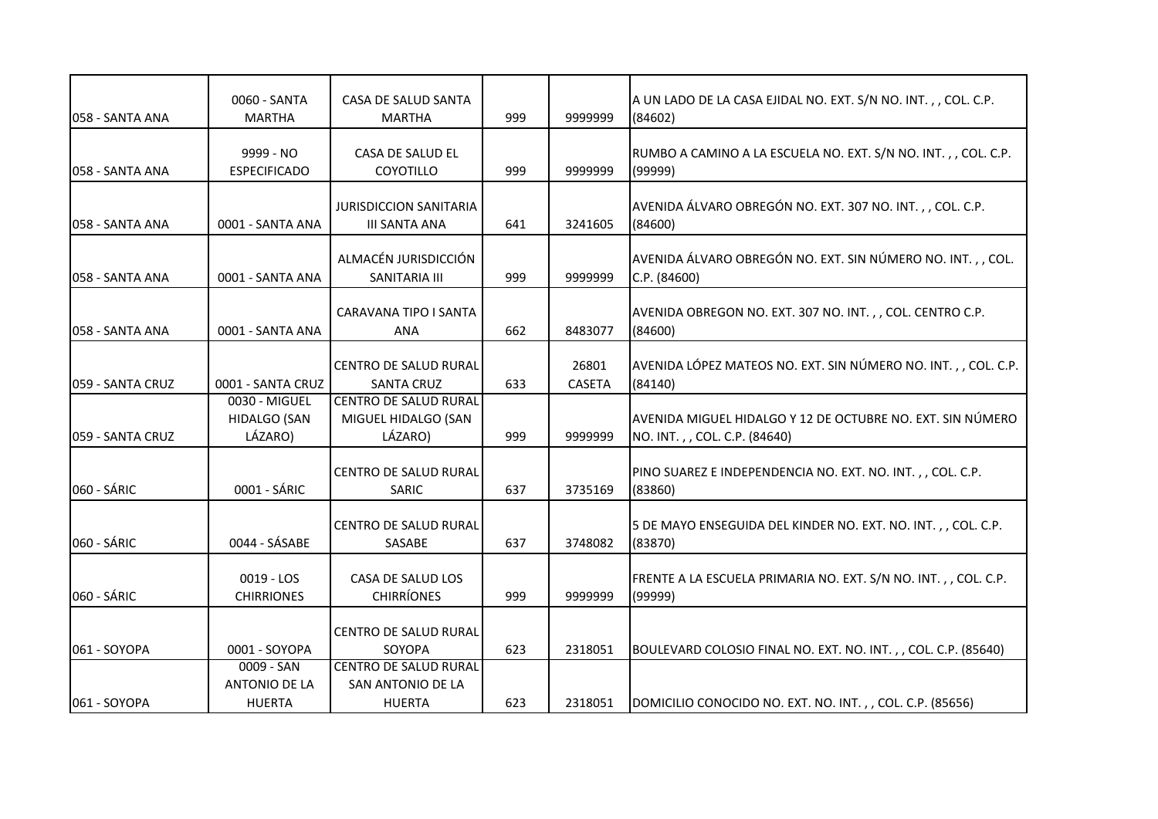| 058 - SANTA ANA  | 0060 - SANTA<br><b>MARTHA</b>                       | CASA DE SALUD SANTA<br><b>MARTHA</b>                               | 999 | 9999999                | IA UN LADO DE LA CASA EJIDAL NO. EXT. S/N NO. INT. , , COL. C.P.<br>(84602)                |
|------------------|-----------------------------------------------------|--------------------------------------------------------------------|-----|------------------------|--------------------------------------------------------------------------------------------|
| 058 - SANTA ANA  | 9999 - NO<br><b>ESPECIFICADO</b>                    | CASA DE SALUD EL<br>COYOTILLO                                      | 999 | 9999999                | RUMBO A CAMINO A LA ESCUELA NO. EXT. S/N NO. INT. , , COL. C.P.<br>(99999)                 |
| 058 - SANTA ANA  | 0001 - SANTA ANA                                    | <b>JURISDICCION SANITARIA</b><br><b>III SANTA ANA</b>              | 641 | 3241605                | AVENIDA ÁLVARO OBREGÓN NO. EXT. 307 NO. INT.,, COL. C.P.<br>(84600)                        |
| 058 - SANTA ANA  | 0001 - SANTA ANA                                    | ALMACÉN JURISDICCIÓN<br><b>SANITARIA III</b>                       | 999 | 9999999                | AVENIDA ÁLVARO OBREGÓN NO. EXT. SIN NÚMERO NO. INT.,, COL.<br>C.P. (84600)                 |
| 058 - SANTA ANA  | 0001 - SANTA ANA                                    | <b>CARAVANA TIPO I SANTA</b><br>ANA                                | 662 | 8483077                | AVENIDA OBREGON NO. EXT. 307 NO. INT.,, COL. CENTRO C.P.<br>(84600)                        |
| 059 - SANTA CRUZ | 0001 - SANTA CRUZ                                   | CENTRO DE SALUD RURAL<br><b>SANTA CRUZ</b>                         | 633 | 26801<br><b>CASETA</b> | AVENIDA LÓPEZ MATEOS NO. EXT. SIN NÚMERO NO. INT.,, COL. C.P.<br>(84140)                   |
| 059 - SANTA CRUZ | 0030 - MIGUEL<br><b>HIDALGO (SAN</b><br>LÁZARO)     | <b>CENTRO DE SALUD RURAL</b><br>MIGUEL HIDALGO (SAN<br>LÁZARO)     | 999 | 9999999                | AVENIDA MIGUEL HIDALGO Y 12 DE OCTUBRE NO. EXT. SIN NÚMERO<br>NO. INT.,, COL. C.P. (84640) |
| 060 - SÁRIC      | 0001 - SÁRIC                                        | CENTRO DE SALUD RURAL<br>SARIC                                     | 637 | 3735169                | PINO SUAREZ E INDEPENDENCIA NO. EXT. NO. INT.,, COL. C.P.<br>(83860)                       |
| 060 - SÁRIC      | 0044 - SÁSABE                                       | <b>CENTRO DE SALUD RURAL</b><br><b>SASABE</b>                      | 637 | 3748082                | 5 DE MAYO ENSEGUIDA DEL KINDER NO. EXT. NO. INT.,, COL. C.P.<br>(83870)                    |
| 060 - SÁRIC      | 0019 - LOS<br><b>CHIRRIONES</b>                     | CASA DE SALUD LOS<br><b>CHIRRÍONES</b>                             | 999 | 9999999                | FRENTE A LA ESCUELA PRIMARIA NO. EXT. S/N NO. INT.,, COL. C.P.<br>(99999)                  |
| 061 - SOYOPA     | 0001 - SOYOPA                                       | CENTRO DE SALUD RURAL<br>SOYOPA                                    | 623 | 2318051                | BOULEVARD COLOSIO FINAL NO. EXT. NO. INT.,, COL. C.P. (85640)                              |
| 061 - SOYOPA     | 0009 - SAN<br><b>ANTONIO DE LA</b><br><b>HUERTA</b> | <b>CENTRO DE SALUD RURAL</b><br>SAN ANTONIO DE LA<br><b>HUERTA</b> | 623 | 2318051                | DOMICILIO CONOCIDO NO. EXT. NO. INT.,, COL. C.P. (85656)                                   |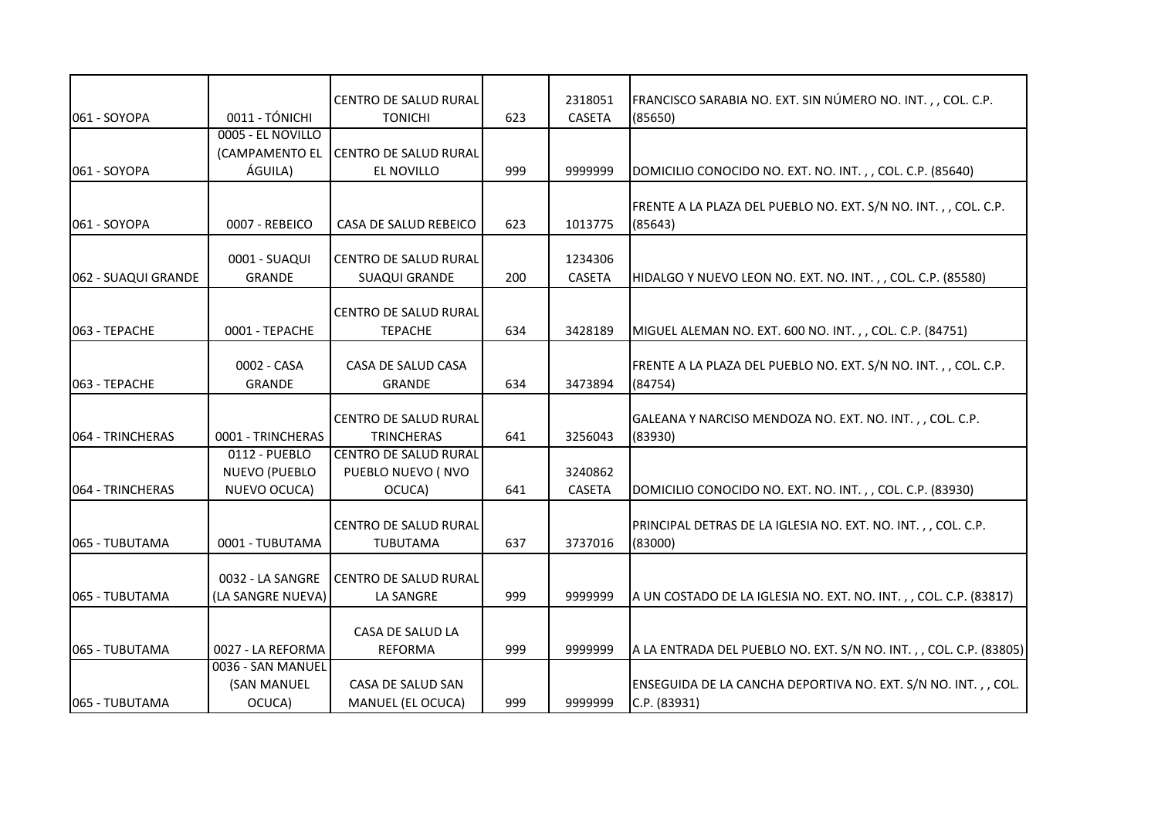| 061 - SOYOPA        | 0011 - TÓNICHI                                        | <b>CENTRO DE SALUD RURAL</b><br><b>TONICHI</b>              | 623 | 2318051<br><b>CASETA</b> | FRANCISCO SARABIA NO. EXT. SIN NÚMERO NO. INT., , COL. C.P.<br>(85650)        |
|---------------------|-------------------------------------------------------|-------------------------------------------------------------|-----|--------------------------|-------------------------------------------------------------------------------|
| 061 - SOYOPA        | 0005 - EL NOVILLO<br>(CAMPAMENTO EL<br>ÁGUILA)        | CENTRO DE SALUD RURAL<br>EL NOVILLO                         | 999 | 9999999                  | DOMICILIO CONOCIDO NO. EXT. NO. INT.,, COL. C.P. (85640)                      |
| 061 - SOYOPA        | 0007 - REBEICO                                        | CASA DE SALUD REBEICO                                       | 623 | 1013775                  | FRENTE A LA PLAZA DEL PUEBLO NO. EXT. S/N NO. INT. , , COL. C.P.<br>(85643)   |
| 062 - SUAQUI GRANDE | 0001 - SUAQUI<br>GRANDE                               | <b>CENTRO DE SALUD RURAL</b><br><b>SUAQUI GRANDE</b>        | 200 | 1234306<br><b>CASETA</b> | HIDALGO Y NUEVO LEON NO. EXT. NO. INT.,, COL. C.P. (85580)                    |
| 063 - TEPACHE       | 0001 - TEPACHE                                        | CENTRO DE SALUD RURAL<br><b>TEPACHE</b>                     | 634 | 3428189                  | MIGUEL ALEMAN NO. EXT. 600 NO. INT.,, COL. C.P. (84751)                       |
| 063 - TEPACHE       | 0002 - CASA<br><b>GRANDE</b>                          | CASA DE SALUD CASA<br><b>GRANDE</b>                         | 634 | 3473894                  | FRENTE A LA PLAZA DEL PUEBLO NO. EXT. S/N NO. INT.,, COL. C.P.<br>(84754)     |
| 064 - TRINCHERAS    | 0001 - TRINCHERAS                                     | <b>CENTRO DE SALUD RURAL</b><br><b>TRINCHERAS</b>           | 641 | 3256043                  | GALEANA Y NARCISO MENDOZA NO. EXT. NO. INT.,, COL. C.P.<br>(83930)            |
| 064 - TRINCHERAS    | 0112 - PUEBLO<br><b>NUEVO (PUEBLO</b><br>NUEVO OCUCA) | <b>CENTRO DE SALUD RURAL</b><br>PUEBLO NUEVO (NVO<br>OCUCA) | 641 | 3240862<br><b>CASETA</b> | DOMICILIO CONOCIDO NO. EXT. NO. INT.,, COL. C.P. (83930)                      |
| 065 - TUBUTAMA      | 0001 - TUBUTAMA                                       | CENTRO DE SALUD RURAL<br><b>TUBUTAMA</b>                    | 637 | 3737016                  | PRINCIPAL DETRAS DE LA IGLESIA NO. EXT. NO. INT.,, COL. C.P.<br>(83000)       |
| 065 - TUBUTAMA      | 0032 - LA SANGRE<br>(LA SANGRE NUEVA)                 | <b>CENTRO DE SALUD RURAL</b><br>LA SANGRE                   | 999 | 9999999                  | A UN COSTADO DE LA IGLESIA NO. EXT. NO. INT.,, COL. C.P. (83817)              |
| 065 - TUBUTAMA      | 0027 - LA REFORMA                                     | CASA DE SALUD LA<br><b>REFORMA</b>                          | 999 | 9999999                  | A LA ENTRADA DEL PUEBLO NO. EXT. S/N NO. INT.,, COL. C.P. (83805)             |
| 065 - TUBUTAMA      | 0036 - SAN MANUEL<br>(SAN MANUEL<br>OCUCA)            | CASA DE SALUD SAN<br>MANUEL (EL OCUCA)                      | 999 | 9999999                  | ENSEGUIDA DE LA CANCHA DEPORTIVA NO. EXT. S/N NO. INT.,, COL.<br>C.P. (83931) |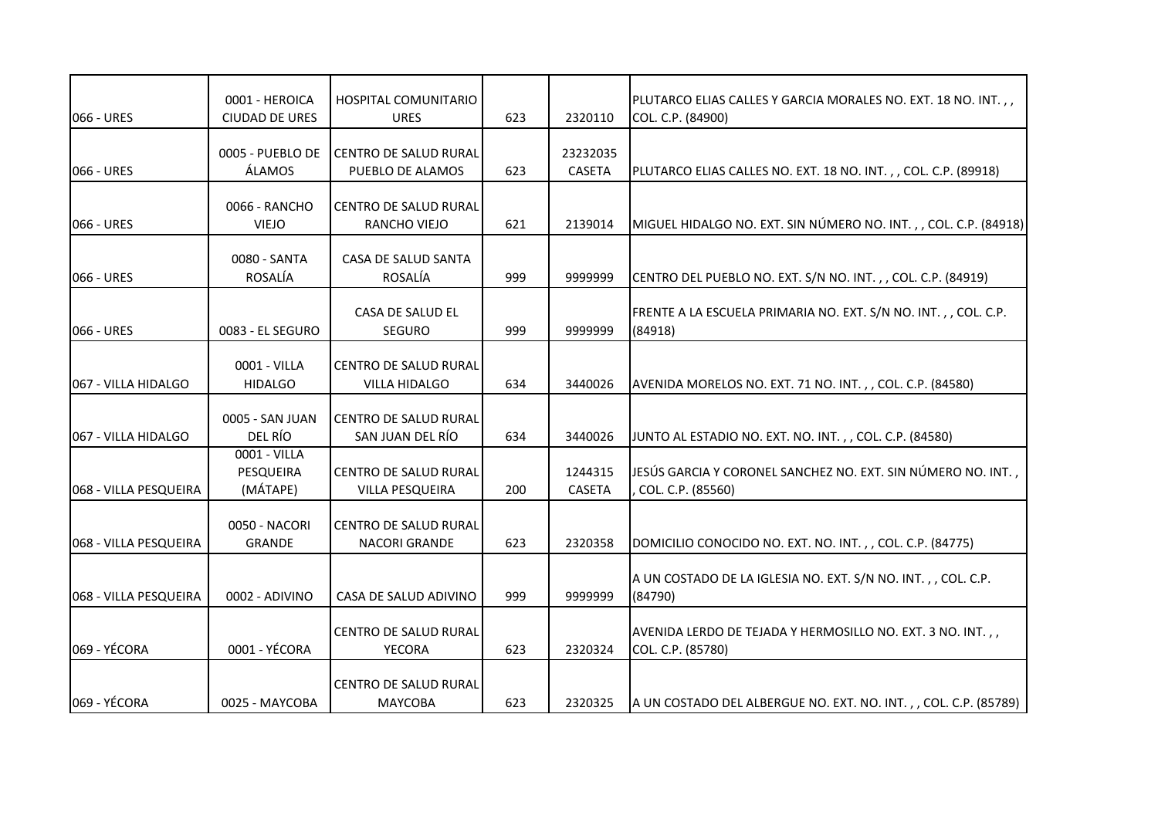| 066 - URES            | 0001 - HEROICA<br><b>CIUDAD DE URES</b> | HOSPITAL COMUNITARIO<br><b>URES</b>                  | 623 | 2320110                   | PLUTARCO ELIAS CALLES Y GARCIA MORALES NO. EXT. 18 NO. INT.,,<br>COL. C.P. (84900) |
|-----------------------|-----------------------------------------|------------------------------------------------------|-----|---------------------------|------------------------------------------------------------------------------------|
| 066 - URES            | 0005 - PUEBLO DE<br>ÁLAMOS              | <b>CENTRO DE SALUD RURAL</b><br>PUEBLO DE ALAMOS     | 623 | 23232035<br><b>CASETA</b> | PLUTARCO ELIAS CALLES NO. EXT. 18 NO. INT.,, COL. C.P. (89918)                     |
| 066 - URES            | 0066 - RANCHO<br><b>VIEJO</b>           | CENTRO DE SALUD RURAL<br>RANCHO VIEJO                | 621 | 2139014                   | MIGUEL HIDALGO NO. EXT. SIN NÚMERO NO. INT.,, COL. C.P. (84918)                    |
| 066 - URES            | 0080 - SANTA<br>ROSALÍA                 | CASA DE SALUD SANTA<br>ROSALÍA                       | 999 | 9999999                   | CENTRO DEL PUEBLO NO. EXT. S/N NO. INT.,, COL. C.P. (84919)                        |
| 066 - URES            | 0083 - EL SEGURO                        | CASA DE SALUD EL<br><b>SEGURO</b>                    | 999 | 9999999                   | FRENTE A LA ESCUELA PRIMARIA NO. EXT. S/N NO. INT.,, COL. C.P.<br>(84918)          |
| 067 - VILLA HIDALGO   | 0001 - VILLA<br><b>HIDALGO</b>          | <b>CENTRO DE SALUD RURAL</b><br><b>VILLA HIDALGO</b> | 634 | 3440026                   | AVENIDA MORELOS NO. EXT. 71 NO. INT.,, COL. C.P. (84580)                           |
| 067 - VILLA HIDALGO   | 0005 - SAN JUAN<br>DEL RÍO              | <b>CENTRO DE SALUD RURAL</b><br>SAN JUAN DEL RÍO     | 634 | 3440026                   | JUNTO AL ESTADIO NO. EXT. NO. INT.,, COL. C.P. (84580)                             |
| 068 - VILLA PESQUEIRA | 0001 - VILLA<br>PESQUEIRA<br>(MÁTAPE)   | CENTRO DE SALUD RURAL<br><b>VILLA PESQUEIRA</b>      | 200 | 1244315<br><b>CASETA</b>  | JESÚS GARCIA Y CORONEL SANCHEZ NO. EXT. SIN NÚMERO NO. INT.,<br>COL. C.P. (85560)  |
| 068 - VILLA PESQUEIRA | 0050 - NACORI<br>GRANDE                 | CENTRO DE SALUD RURAL<br><b>NACORI GRANDE</b>        | 623 | 2320358                   | DOMICILIO CONOCIDO NO. EXT. NO. INT.,, COL. C.P. (84775)                           |
| 068 - VILLA PESQUEIRA | 0002 - ADIVINO                          | CASA DE SALUD ADIVINO                                | 999 | 9999999                   | A UN COSTADO DE LA IGLESIA NO. EXT. S/N NO. INT.,, COL. C.P.<br>(84790)            |
| 069 - YÉCORA          | 0001 - YÉCORA                           | CENTRO DE SALUD RURAL<br>YECORA                      | 623 | 2320324                   | AVENIDA LERDO DE TEJADA Y HERMOSILLO NO. EXT. 3 NO. INT.,,<br>COL. C.P. (85780)    |
| 069 - YÉCORA          | 0025 - MAYCOBA                          | CENTRO DE SALUD RURAL<br><b>MAYCOBA</b>              | 623 | 2320325                   | A UN COSTADO DEL ALBERGUE NO. EXT. NO. INT., , COL. C.P. (85789)                   |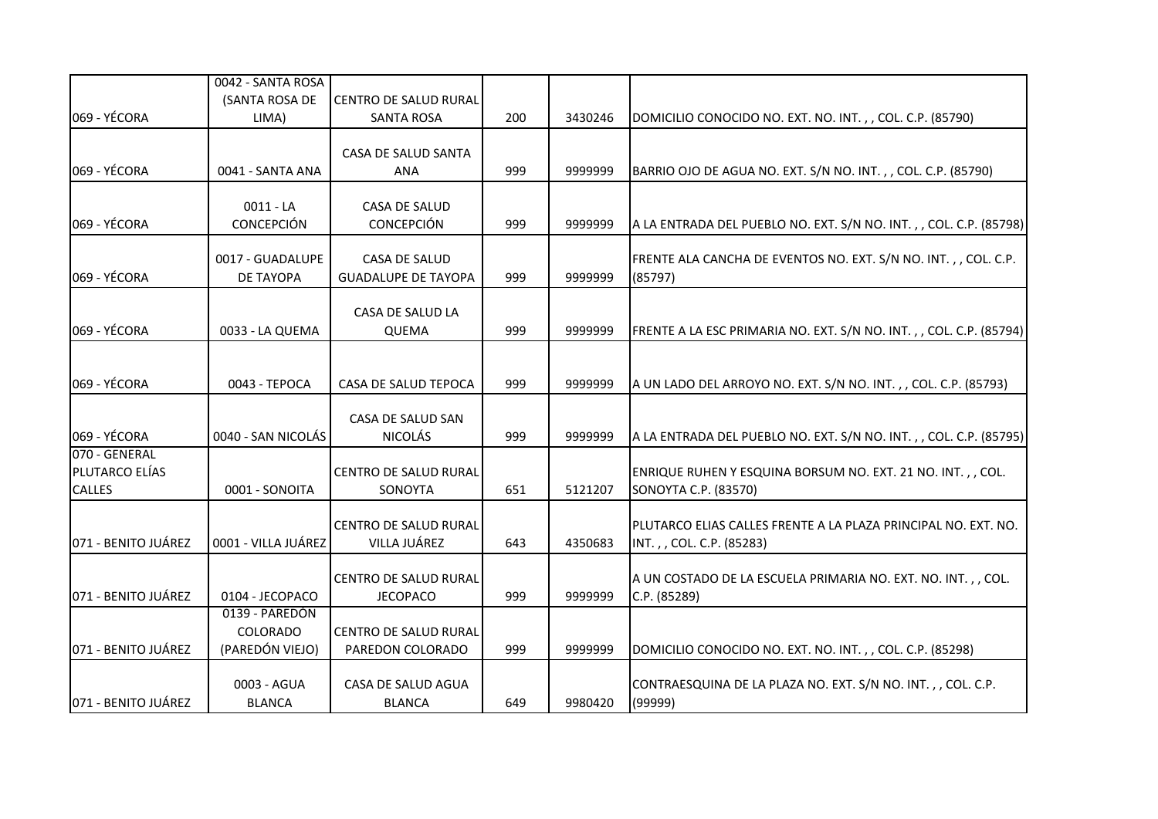|                     | 0042 - SANTA ROSA   |                                       |     |         |                                                                    |
|---------------------|---------------------|---------------------------------------|-----|---------|--------------------------------------------------------------------|
|                     | (SANTA ROSA DE      | CENTRO DE SALUD RURAL                 |     |         |                                                                    |
| 069 - YÉCORA        | LIMA)               | <b>SANTA ROSA</b>                     | 200 | 3430246 | DOMICILIO CONOCIDO NO. EXT. NO. INT.,, COL. C.P. (85790)           |
|                     |                     |                                       |     |         |                                                                    |
|                     |                     | CASA DE SALUD SANTA                   |     |         |                                                                    |
| 069 - YÉCORA        | 0041 - SANTA ANA    | <b>ANA</b>                            | 999 | 9999999 | BARRIO OJO DE AGUA NO. EXT. S/N NO. INT.,, COL. C.P. (85790)       |
|                     |                     |                                       |     |         |                                                                    |
|                     | $0011 - LA$         | CASA DE SALUD                         |     |         |                                                                    |
| 069 - YÉCORA        | <b>CONCEPCIÓN</b>   | <b>CONCEPCIÓN</b>                     | 999 | 9999999 | A LA ENTRADA DEL PUEBLO NO. EXT. S/N NO. INT.,, COL. C.P. (85798)  |
|                     | 0017 - GUADALUPE    | CASA DE SALUD                         |     |         | FRENTE ALA CANCHA DE EVENTOS NO. EXT. S/N NO. INT.,, COL. C.P.     |
| 069 - YÉCORA        | DE TAYOPA           | <b>GUADALUPE DE TAYOPA</b>            | 999 | 9999999 | (85797)                                                            |
|                     |                     |                                       |     |         |                                                                    |
|                     |                     | CASA DE SALUD LA                      |     |         |                                                                    |
| 069 - YÉCORA        | 0033 - LA QUEMA     | <b>QUEMA</b>                          | 999 | 9999999 | FRENTE A LA ESC PRIMARIA NO. EXT. S/N NO. INT.,, COL. C.P. (85794) |
|                     |                     |                                       |     |         |                                                                    |
|                     |                     |                                       |     |         |                                                                    |
| 069 - YÉCORA        | 0043 - TEPOCA       | CASA DE SALUD TEPOCA                  | 999 | 9999999 | A UN LADO DEL ARROYO NO. EXT. S/N NO. INT.,, COL. C.P. (85793)     |
|                     |                     |                                       |     |         |                                                                    |
|                     |                     | CASA DE SALUD SAN                     |     |         |                                                                    |
| 069 - YÉCORA        | 0040 - SAN NICOLÁS  | <b>NICOLÁS</b>                        | 999 | 9999999 | A LA ENTRADA DEL PUEBLO NO. EXT. S/N NO. INT.,, COL. C.P. (85795)  |
| 070 - GENERAL       |                     |                                       |     |         |                                                                    |
| PLUTARCO ELÍAS      |                     | <b>CENTRO DE SALUD RURAL</b>          |     |         | ENRIQUE RUHEN Y ESQUINA BORSUM NO. EXT. 21 NO. INT.,, COL.         |
| <b>CALLES</b>       | 0001 - SONOITA      | SONOYTA                               | 651 | 5121207 | SONOYTA C.P. (83570)                                               |
|                     |                     |                                       |     |         |                                                                    |
| 071 - BENITO JUÁREZ | 0001 - VILLA JUÁREZ | CENTRO DE SALUD RURAL<br>VILLA JUÁREZ |     |         | PLUTARCO ELIAS CALLES FRENTE A LA PLAZA PRINCIPAL NO. EXT. NO.     |
|                     |                     |                                       | 643 | 4350683 | INT.,, COL. C.P. (85283)                                           |
|                     |                     | CENTRO DE SALUD RURAL                 |     |         | A UN COSTADO DE LA ESCUELA PRIMARIA NO. EXT. NO. INT.,, COL.       |
| 071 - BENITO JUÁREZ | 0104 - JECOPACO     | <b>JECOPACO</b>                       | 999 | 9999999 | C.P. (85289)                                                       |
|                     | 0139 - PAREDÓN      |                                       |     |         |                                                                    |
|                     | COLORADO            | <b>CENTRO DE SALUD RURAL</b>          |     |         |                                                                    |
| 071 - BENITO JUÁREZ | (PAREDÓN VIEJO)     | PAREDON COLORADO                      | 999 | 9999999 | DOMICILIO CONOCIDO NO. EXT. NO. INT.,, COL. C.P. (85298)           |
|                     |                     |                                       |     |         |                                                                    |
|                     | 0003 - AGUA         | CASA DE SALUD AGUA                    |     |         | CONTRAESQUINA DE LA PLAZA NO. EXT. S/N NO. INT.,, COL. C.P.        |
| 071 - BENITO JUÁREZ | <b>BLANCA</b>       | <b>BLANCA</b>                         | 649 | 9980420 | (99999)                                                            |